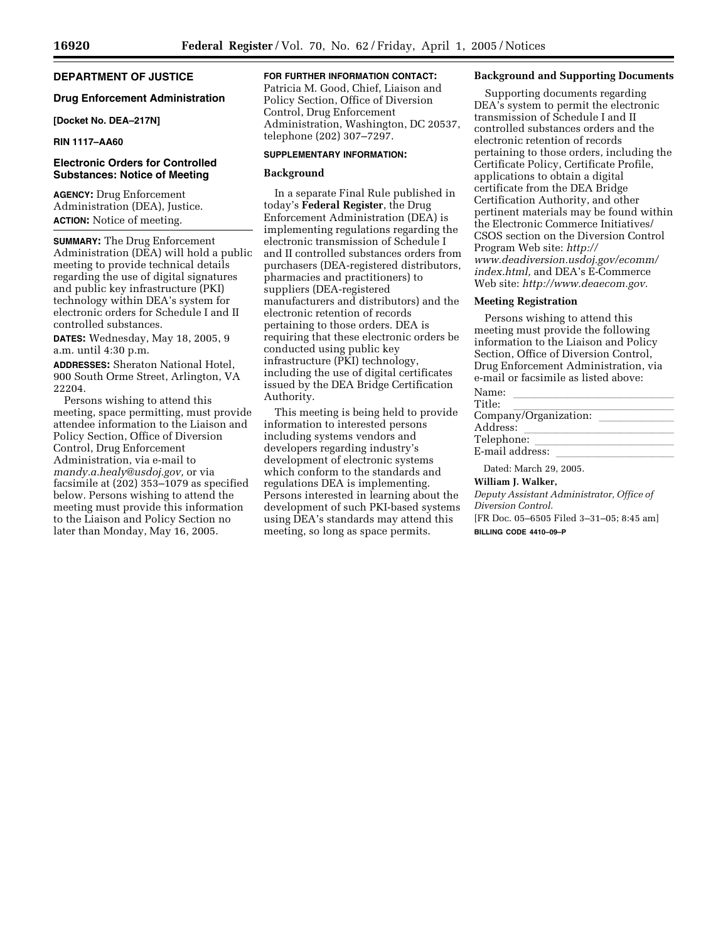# **DEPARTMENT OF JUSTICE**

#### **Drug Enforcement Administration**

#### **[Docket No. DEA–217N]**

# **RIN 1117–AA60**

# **Electronic Orders for Controlled Substances: Notice of Meeting**

**AGENCY:** Drug Enforcement Administration (DEA), Justice. **ACTION:** Notice of meeting.

**SUMMARY:** The Drug Enforcement Administration (DEA) will hold a public meeting to provide technical details regarding the use of digital signatures and public key infrastructure (PKI) technology within DEA's system for electronic orders for Schedule I and II controlled substances.

**DATES:** Wednesday, May 18, 2005, 9 a.m. until 4:30 p.m.

**ADDRESSES:** Sheraton National Hotel, 900 South Orme Street, Arlington, VA 22204.

Persons wishing to attend this meeting, space permitting, must provide attendee information to the Liaison and Policy Section, Office of Diversion Control, Drug Enforcement Administration, via e-mail to *mandy.a.healy@usdoj.gov,* or via facsimile at (202) 353–1079 as specified below. Persons wishing to attend the meeting must provide this information to the Liaison and Policy Section no later than Monday, May 16, 2005.

# **FOR FURTHER INFORMATION CONTACT:**

Patricia M. Good, Chief, Liaison and Policy Section, Office of Diversion Control, Drug Enforcement Administration, Washington, DC 20537, telephone (202) 307–7297.

# **SUPPLEMENTARY INFORMATION:**

#### **Background**

In a separate Final Rule published in today's **Federal Register**, the Drug Enforcement Administration (DEA) is implementing regulations regarding the electronic transmission of Schedule I and II controlled substances orders from purchasers (DEA-registered distributors, pharmacies and practitioners) to suppliers (DEA-registered manufacturers and distributors) and the electronic retention of records pertaining to those orders. DEA is requiring that these electronic orders be conducted using public key infrastructure (PKI) technology, including the use of digital certificates issued by the DEA Bridge Certification Authority.

This meeting is being held to provide information to interested persons including systems vendors and developers regarding industry's development of electronic systems which conform to the standards and regulations DEA is implementing. Persons interested in learning about the development of such PKI-based systems using DEA's standards may attend this meeting, so long as space permits.

#### **Background and Supporting Documents**

Supporting documents regarding DEA's system to permit the electronic transmission of Schedule I and II controlled substances orders and the electronic retention of records pertaining to those orders, including the Certificate Policy, Certificate Profile, applications to obtain a digital certificate from the DEA Bridge Certification Authority, and other pertinent materials may be found within the Electronic Commerce Initiatives/ CSOS section on the Diversion Control Program Web site: *http:// www.deadiversion.usdoj.gov/ecomm/ index.html,* and DEA's E-Commerce Web site: *http://www.deaecom.gov.*

#### **Meeting Registration**

Persons wishing to attend this meeting must provide the following information to the Liaison and Policy Section, Office of Diversion Control, Drug Enforcement Administration, via e-mail or facsimile as listed above:

| Name:                  |  |
|------------------------|--|
| Title:                 |  |
| Company/Organization:  |  |
| Address:               |  |
| Telephone:             |  |
| E-mail address:        |  |
| Dated: March 29, 2005. |  |

#### **William J. Walker,**

*Deputy Assistant Administrator, Office of Diversion Control.* [FR Doc. 05–6505 Filed 3–31–05; 8:45 am] **BILLING CODE 4410–09–P**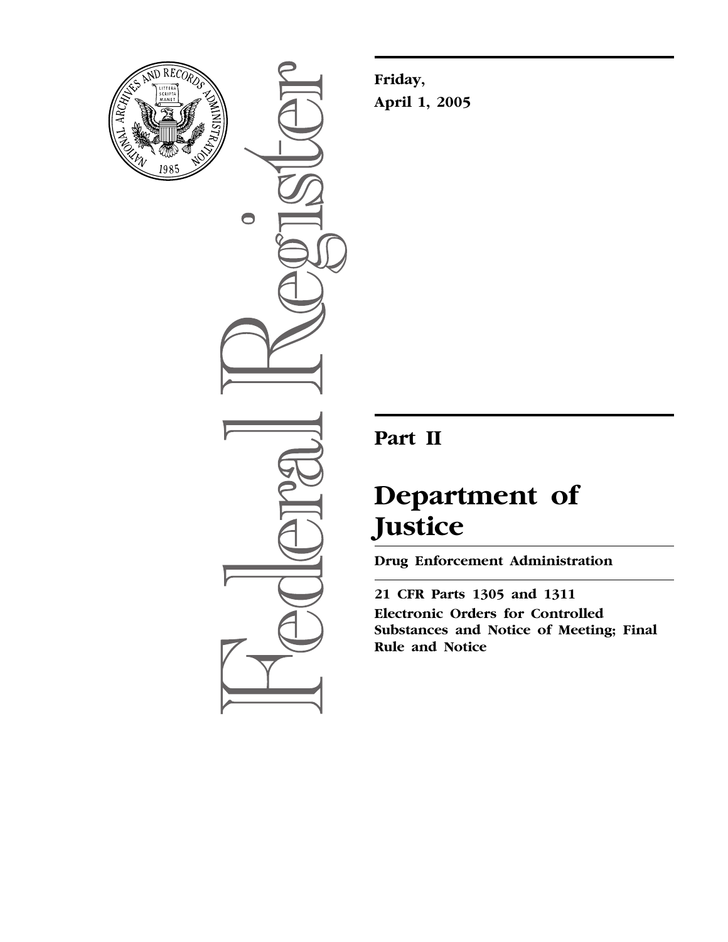

 $\bigcirc$ 

**Friday, April 1, 2005**

# **Part II**

# **Department of Justice**

**Drug Enforcement Administration** 

**21 CFR Parts 1305 and 1311 Electronic Orders for Controlled Substances and Notice of Meeting; Final Rule and Notice**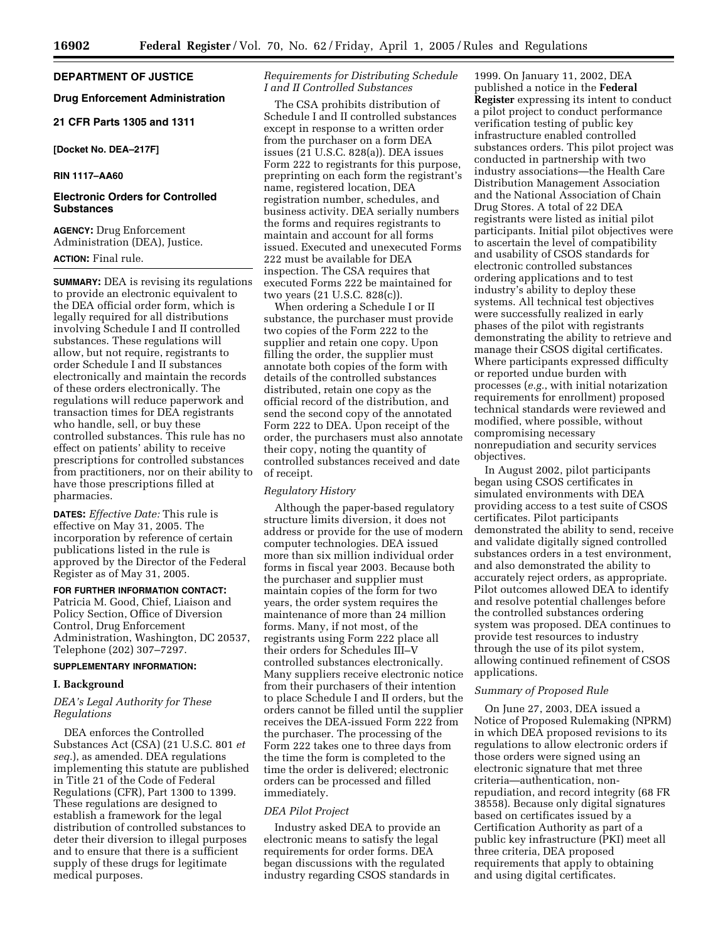# **DEPARTMENT OF JUSTICE**

# **Drug Enforcement Administration**

# **21 CFR Parts 1305 and 1311**

### **[Docket No. DEA–217F]**

### **RIN 1117–AA60**

### **Electronic Orders for Controlled Substances**

**AGENCY:** Drug Enforcement Administration (DEA), Justice.

#### **ACTION:** Final rule.

**SUMMARY:** DEA is revising its regulations to provide an electronic equivalent to the DEA official order form, which is legally required for all distributions involving Schedule I and II controlled substances. These regulations will allow, but not require, registrants to order Schedule I and II substances electronically and maintain the records of these orders electronically. The regulations will reduce paperwork and transaction times for DEA registrants who handle, sell, or buy these controlled substances. This rule has no effect on patients' ability to receive prescriptions for controlled substances from practitioners, nor on their ability to have those prescriptions filled at pharmacies.

**DATES:** *Effective Date:* This rule is effective on May 31, 2005. The incorporation by reference of certain publications listed in the rule is approved by the Director of the Federal Register as of May 31, 2005.

### **FOR FURTHER INFORMATION CONTACT:**

Patricia M. Good, Chief, Liaison and Policy Section, Office of Diversion Control, Drug Enforcement Administration, Washington, DC 20537, Telephone (202) 307–7297.

### **SUPPLEMENTARY INFORMATION:**

#### **I. Background**

#### *DEA's Legal Authority for These Regulations*

DEA enforces the Controlled Substances Act (CSA) (21 U.S.C. 801 *et seq.*), as amended. DEA regulations implementing this statute are published in Title 21 of the Code of Federal Regulations (CFR), Part 1300 to 1399. These regulations are designed to establish a framework for the legal distribution of controlled substances to deter their diversion to illegal purposes and to ensure that there is a sufficient supply of these drugs for legitimate medical purposes.

# *Requirements for Distributing Schedule I and II Controlled Substances*

The CSA prohibits distribution of Schedule I and II controlled substances except in response to a written order from the purchaser on a form DEA issues (21 U.S.C. 828(a)). DEA issues Form 222 to registrants for this purpose, preprinting on each form the registrant's name, registered location, DEA registration number, schedules, and business activity. DEA serially numbers the forms and requires registrants to maintain and account for all forms issued. Executed and unexecuted Forms 222 must be available for DEA inspection. The CSA requires that executed Forms 222 be maintained for two years (21 U.S.C. 828(c)).

When ordering a Schedule I or II substance, the purchaser must provide two copies of the Form 222 to the supplier and retain one copy. Upon filling the order, the supplier must annotate both copies of the form with details of the controlled substances distributed, retain one copy as the official record of the distribution, and send the second copy of the annotated Form 222 to DEA. Upon receipt of the order, the purchasers must also annotate their copy, noting the quantity of controlled substances received and date of receipt.

#### *Regulatory History*

Although the paper-based regulatory structure limits diversion, it does not address or provide for the use of modern computer technologies. DEA issued more than six million individual order forms in fiscal year 2003. Because both the purchaser and supplier must maintain copies of the form for two years, the order system requires the maintenance of more than 24 million forms. Many, if not most, of the registrants using Form 222 place all their orders for Schedules III–V controlled substances electronically. Many suppliers receive electronic notice from their purchasers of their intention to place Schedule I and II orders, but the orders cannot be filled until the supplier receives the DEA-issued Form 222 from the purchaser. The processing of the Form 222 takes one to three days from the time the form is completed to the time the order is delivered; electronic orders can be processed and filled immediately.

#### *DEA Pilot Project*

Industry asked DEA to provide an electronic means to satisfy the legal requirements for order forms. DEA began discussions with the regulated industry regarding CSOS standards in

1999. On January 11, 2002, DEA published a notice in the **Federal Register** expressing its intent to conduct a pilot project to conduct performance verification testing of public key infrastructure enabled controlled substances orders. This pilot project was conducted in partnership with two industry associations—the Health Care Distribution Management Association and the National Association of Chain Drug Stores. A total of 22 DEA registrants were listed as initial pilot participants. Initial pilot objectives were to ascertain the level of compatibility and usability of CSOS standards for electronic controlled substances ordering applications and to test industry's ability to deploy these systems. All technical test objectives were successfully realized in early phases of the pilot with registrants demonstrating the ability to retrieve and manage their CSOS digital certificates. Where participants expressed difficulty or reported undue burden with processes (*e.g.*, with initial notarization requirements for enrollment) proposed technical standards were reviewed and modified, where possible, without compromising necessary nonrepudiation and security services objectives.

In August 2002, pilot participants began using CSOS certificates in simulated environments with DEA providing access to a test suite of CSOS certificates. Pilot participants demonstrated the ability to send, receive and validate digitally signed controlled substances orders in a test environment, and also demonstrated the ability to accurately reject orders, as appropriate. Pilot outcomes allowed DEA to identify and resolve potential challenges before the controlled substances ordering system was proposed. DEA continues to provide test resources to industry through the use of its pilot system, allowing continued refinement of CSOS applications.

#### *Summary of Proposed Rule*

On June 27, 2003, DEA issued a Notice of Proposed Rulemaking (NPRM) in which DEA proposed revisions to its regulations to allow electronic orders if those orders were signed using an electronic signature that met three criteria—authentication, nonrepudiation, and record integrity (68 FR 38558). Because only digital signatures based on certificates issued by a Certification Authority as part of a public key infrastructure (PKI) meet all three criteria, DEA proposed requirements that apply to obtaining and using digital certificates.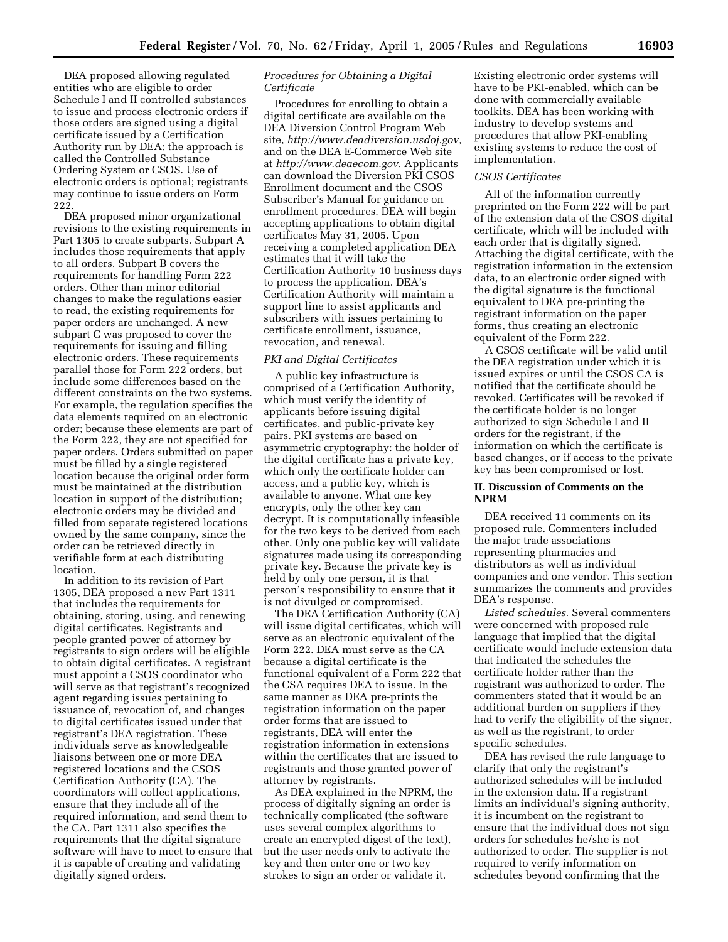DEA proposed allowing regulated entities who are eligible to order Schedule I and II controlled substances to issue and process electronic orders if those orders are signed using a digital certificate issued by a Certification Authority run by DEA; the approach is called the Controlled Substance Ordering System or CSOS. Use of electronic orders is optional; registrants may continue to issue orders on Form 222.

DEA proposed minor organizational revisions to the existing requirements in Part 1305 to create subparts. Subpart A includes those requirements that apply to all orders. Subpart B covers the requirements for handling Form 222 orders. Other than minor editorial changes to make the regulations easier to read, the existing requirements for paper orders are unchanged. A new subpart C was proposed to cover the requirements for issuing and filling electronic orders. These requirements parallel those for Form 222 orders, but include some differences based on the different constraints on the two systems. For example, the regulation specifies the data elements required on an electronic order; because these elements are part of the Form 222, they are not specified for paper orders. Orders submitted on paper must be filled by a single registered location because the original order form must be maintained at the distribution location in support of the distribution; electronic orders may be divided and filled from separate registered locations owned by the same company, since the order can be retrieved directly in verifiable form at each distributing location.

In addition to its revision of Part 1305, DEA proposed a new Part 1311 that includes the requirements for obtaining, storing, using, and renewing digital certificates. Registrants and people granted power of attorney by registrants to sign orders will be eligible to obtain digital certificates. A registrant must appoint a CSOS coordinator who will serve as that registrant's recognized agent regarding issues pertaining to issuance of, revocation of, and changes to digital certificates issued under that registrant's DEA registration. These individuals serve as knowledgeable liaisons between one or more DEA registered locations and the CSOS Certification Authority (CA). The coordinators will collect applications, ensure that they include all of the required information, and send them to the CA. Part 1311 also specifies the requirements that the digital signature software will have to meet to ensure that it is capable of creating and validating digitally signed orders.

# *Procedures for Obtaining a Digital Certificate*

Procedures for enrolling to obtain a digital certificate are available on the DEA Diversion Control Program Web site, *[http://www.deadiversion.usdoj.gov,](http://www.deadiversion.usdoj.gov)* and on the DEA E-Commerce Web site at *[http://www.deaecom.gov.](http://www.deaecom.gov)* Applicants can download the Diversion PKI CSOS Enrollment document and the CSOS Subscriber's Manual for guidance on enrollment procedures. DEA will begin accepting applications to obtain digital certificates May 31, 2005. Upon receiving a completed application DEA estimates that it will take the Certification Authority 10 business days to process the application. DEA's Certification Authority will maintain a support line to assist applicants and subscribers with issues pertaining to certificate enrollment, issuance, revocation, and renewal.

#### *PKI and Digital Certificates*

A public key infrastructure is comprised of a Certification Authority, which must verify the identity of applicants before issuing digital certificates, and public-private key pairs. PKI systems are based on asymmetric cryptography: the holder of the digital certificate has a private key, which only the certificate holder can access, and a public key, which is available to anyone. What one key encrypts, only the other key can decrypt. It is computationally infeasible for the two keys to be derived from each other. Only one public key will validate signatures made using its corresponding private key. Because the private key is held by only one person, it is that person's responsibility to ensure that it is not divulged or compromised.

The DEA Certification Authority (CA) will issue digital certificates, which will serve as an electronic equivalent of the Form 222. DEA must serve as the CA because a digital certificate is the functional equivalent of a Form 222 that the CSA requires DEA to issue. In the same manner as DEA pre-prints the registration information on the paper order forms that are issued to registrants, DEA will enter the registration information in extensions within the certificates that are issued to registrants and those granted power of attorney by registrants.

As DEA explained in the NPRM, the process of digitally signing an order is technically complicated (the software uses several complex algorithms to create an encrypted digest of the text), but the user needs only to activate the key and then enter one or two key strokes to sign an order or validate it.

Existing electronic order systems will have to be PKI-enabled, which can be done with commercially available toolkits. DEA has been working with industry to develop systems and procedures that allow PKI-enabling existing systems to reduce the cost of implementation.

#### *CSOS Certificates*

All of the information currently preprinted on the Form 222 will be part of the extension data of the CSOS digital certificate, which will be included with each order that is digitally signed. Attaching the digital certificate, with the registration information in the extension data, to an electronic order signed with the digital signature is the functional equivalent to DEA pre-printing the registrant information on the paper forms, thus creating an electronic equivalent of the Form 222.

A CSOS certificate will be valid until the DEA registration under which it is issued expires or until the CSOS CA is notified that the certificate should be revoked. Certificates will be revoked if the certificate holder is no longer authorized to sign Schedule I and II orders for the registrant, if the information on which the certificate is based changes, or if access to the private key has been compromised or lost.

#### **II. Discussion of Comments on the NPRM**

DEA received 11 comments on its proposed rule. Commenters included the major trade associations representing pharmacies and distributors as well as individual companies and one vendor. This section summarizes the comments and provides DEA's response.

*Listed schedules.* Several commenters were concerned with proposed rule language that implied that the digital certificate would include extension data that indicated the schedules the certificate holder rather than the registrant was authorized to order. The commenters stated that it would be an additional burden on suppliers if they had to verify the eligibility of the signer, as well as the registrant, to order specific schedules.

DEA has revised the rule language to clarify that only the registrant's authorized schedules will be included in the extension data. If a registrant limits an individual's signing authority, it is incumbent on the registrant to ensure that the individual does not sign orders for schedules he/she is not authorized to order. The supplier is not required to verify information on schedules beyond confirming that the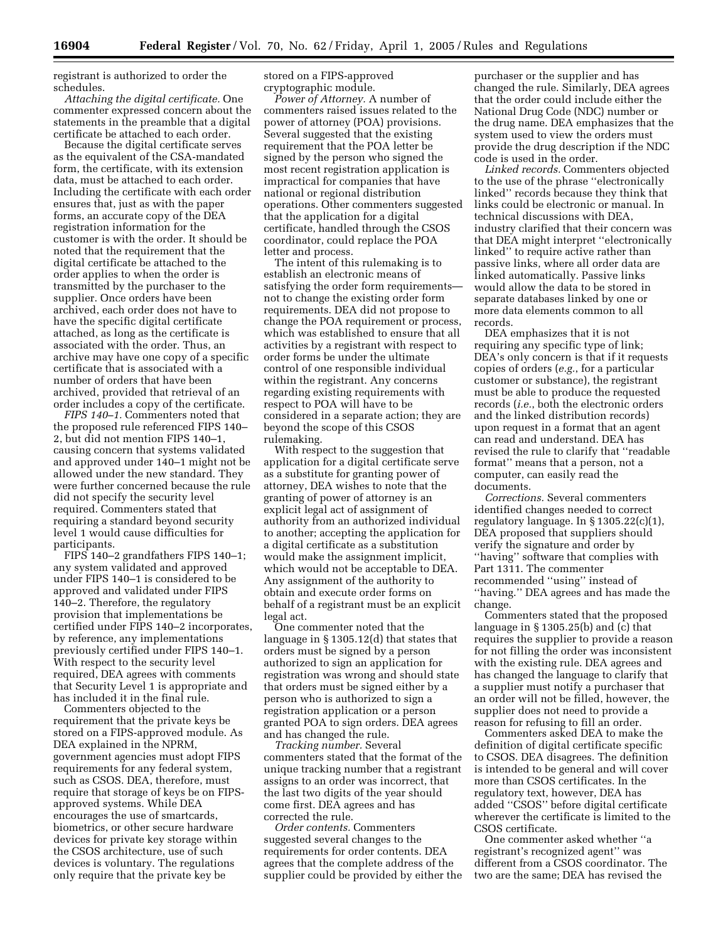registrant is authorized to order the schedules.

*Attaching the digital certificate.* One commenter expressed concern about the statements in the preamble that a digital certificate be attached to each order.

Because the digital certificate serves as the equivalent of the CSA-mandated form, the certificate, with its extension data, must be attached to each order. Including the certificate with each order ensures that, just as with the paper forms, an accurate copy of the DEA registration information for the customer is with the order. It should be noted that the requirement that the digital certificate be attached to the order applies to when the order is transmitted by the purchaser to the supplier. Once orders have been archived, each order does not have to have the specific digital certificate attached, as long as the certificate is associated with the order. Thus, an archive may have one copy of a specific certificate that is associated with a number of orders that have been archived, provided that retrieval of an order includes a copy of the certificate.

*FIPS 140–1.* Commenters noted that the proposed rule referenced FIPS 140– 2, but did not mention FIPS 140–1, causing concern that systems validated and approved under 140–1 might not be allowed under the new standard. They were further concerned because the rule did not specify the security level required. Commenters stated that requiring a standard beyond security level 1 would cause difficulties for participants.

FIPS 140–2 grandfathers FIPS 140–1; any system validated and approved under FIPS 140–1 is considered to be approved and validated under FIPS 140–2. Therefore, the regulatory provision that implementations be certified under FIPS 140–2 incorporates, by reference, any implementations previously certified under FIPS 140–1. With respect to the security level required, DEA agrees with comments that Security Level 1 is appropriate and has included it in the final rule.

Commenters objected to the requirement that the private keys be stored on a FIPS-approved module. As DEA explained in the NPRM, government agencies must adopt FIPS requirements for any federal system, such as CSOS. DEA, therefore, must require that storage of keys be on FIPSapproved systems. While DEA encourages the use of smartcards, biometrics, or other secure hardware devices for private key storage within the CSOS architecture, use of such devices is voluntary. The regulations only require that the private key be

stored on a FIPS-approved cryptographic module.

*Power of Attorney.* A number of commenters raised issues related to the power of attorney (POA) provisions. Several suggested that the existing requirement that the POA letter be signed by the person who signed the most recent registration application is impractical for companies that have national or regional distribution operations. Other commenters suggested that the application for a digital certificate, handled through the CSOS coordinator, could replace the POA letter and process.

The intent of this rulemaking is to establish an electronic means of satisfying the order form requirements not to change the existing order form requirements. DEA did not propose to change the POA requirement or process, which was established to ensure that all activities by a registrant with respect to order forms be under the ultimate control of one responsible individual within the registrant. Any concerns regarding existing requirements with respect to POA will have to be considered in a separate action; they are beyond the scope of this CSOS rulemaking.

With respect to the suggestion that application for a digital certificate serve as a substitute for granting power of attorney, DEA wishes to note that the granting of power of attorney is an explicit legal act of assignment of authority from an authorized individual to another; accepting the application for a digital certificate as a substitution would make the assignment implicit, which would not be acceptable to DEA. Any assignment of the authority to obtain and execute order forms on behalf of a registrant must be an explicit legal act.

One commenter noted that the language in § 1305.12(d) that states that orders must be signed by a person authorized to sign an application for registration was wrong and should state that orders must be signed either by a person who is authorized to sign a registration application or a person granted POA to sign orders. DEA agrees and has changed the rule.

*Tracking number.* Several commenters stated that the format of the unique tracking number that a registrant assigns to an order was incorrect, that the last two digits of the year should come first. DEA agrees and has corrected the rule.

*Order contents.* Commenters suggested several changes to the requirements for order contents. DEA agrees that the complete address of the supplier could be provided by either the

purchaser or the supplier and has changed the rule. Similarly, DEA agrees that the order could include either the National Drug Code (NDC) number or the drug name. DEA emphasizes that the system used to view the orders must provide the drug description if the NDC code is used in the order.

*Linked records.* Commenters objected to the use of the phrase ''electronically linked'' records because they think that links could be electronic or manual. In technical discussions with DEA, industry clarified that their concern was that DEA might interpret ''electronically linked'' to require active rather than passive links, where all order data are linked automatically. Passive links would allow the data to be stored in separate databases linked by one or more data elements common to all records.

DEA emphasizes that it is not requiring any specific type of link; DEA's only concern is that if it requests copies of orders (*e.g.*, for a particular customer or substance), the registrant must be able to produce the requested records (*i.e.*, both the electronic orders and the linked distribution records) upon request in a format that an agent can read and understand. DEA has revised the rule to clarify that ''readable format'' means that a person, not a computer, can easily read the documents.

*Corrections.* Several commenters identified changes needed to correct regulatory language. In § 1305.22(c)(1), DEA proposed that suppliers should verify the signature and order by ''having'' software that complies with Part 1311. The commenter recommended ''using'' instead of ''having.'' DEA agrees and has made the change.

Commenters stated that the proposed language in § 1305.25(b) and (c) that requires the supplier to provide a reason for not filling the order was inconsistent with the existing rule. DEA agrees and has changed the language to clarify that a supplier must notify a purchaser that an order will not be filled, however, the supplier does not need to provide a reason for refusing to fill an order.

Commenters asked DEA to make the definition of digital certificate specific to CSOS. DEA disagrees. The definition is intended to be general and will cover more than CSOS certificates. In the regulatory text, however, DEA has added ''CSOS'' before digital certificate wherever the certificate is limited to the CSOS certificate.

One commenter asked whether ''a registrant's recognized agent'' was different from a CSOS coordinator. The two are the same; DEA has revised the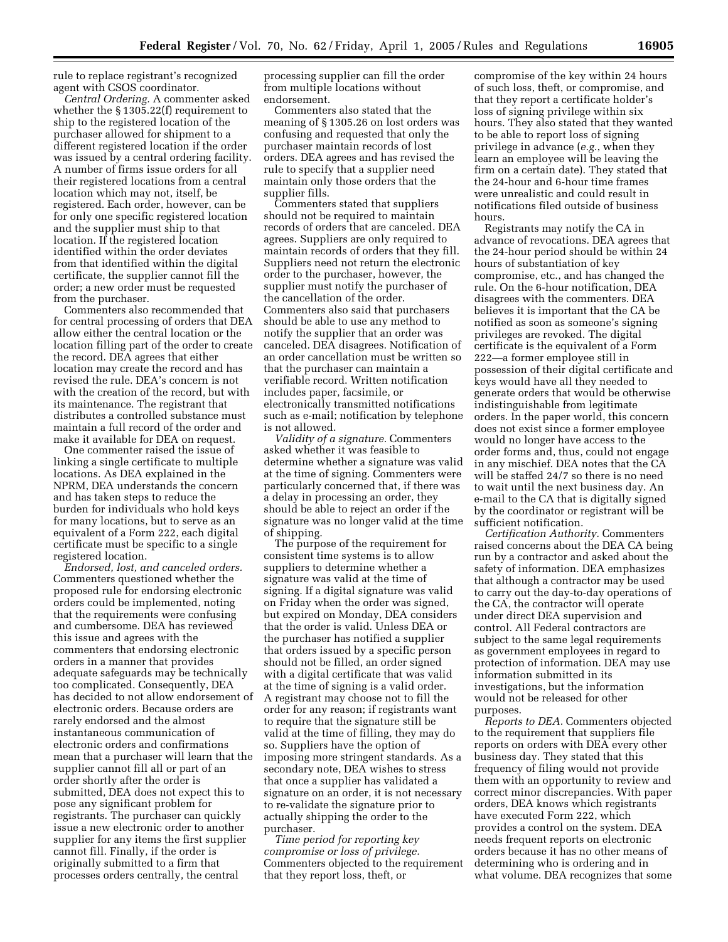rule to replace registrant's recognized agent with CSOS coordinator.

*Central Ordering.* A commenter asked whether the § 1305.22(f) requirement to ship to the registered location of the purchaser allowed for shipment to a different registered location if the order was issued by a central ordering facility. A number of firms issue orders for all their registered locations from a central location which may not, itself, be registered. Each order, however, can be for only one specific registered location and the supplier must ship to that location. If the registered location identified within the order deviates from that identified within the digital certificate, the supplier cannot fill the order; a new order must be requested from the purchaser.

Commenters also recommended that for central processing of orders that DEA allow either the central location or the location filling part of the order to create the record. DEA agrees that either location may create the record and has revised the rule. DEA's concern is not with the creation of the record, but with its maintenance. The registrant that distributes a controlled substance must maintain a full record of the order and make it available for DEA on request.

One commenter raised the issue of linking a single certificate to multiple locations. As DEA explained in the NPRM, DEA understands the concern and has taken steps to reduce the burden for individuals who hold keys for many locations, but to serve as an equivalent of a Form 222, each digital certificate must be specific to a single registered location.

*Endorsed, lost, and canceled orders.* Commenters questioned whether the proposed rule for endorsing electronic orders could be implemented, noting that the requirements were confusing and cumbersome. DEA has reviewed this issue and agrees with the commenters that endorsing electronic orders in a manner that provides adequate safeguards may be technically too complicated. Consequently, DEA has decided to not allow endorsement of electronic orders. Because orders are rarely endorsed and the almost instantaneous communication of electronic orders and confirmations mean that a purchaser will learn that the supplier cannot fill all or part of an order shortly after the order is submitted, DEA does not expect this to pose any significant problem for registrants. The purchaser can quickly issue a new electronic order to another supplier for any items the first supplier cannot fill. Finally, if the order is originally submitted to a firm that processes orders centrally, the central

processing supplier can fill the order from multiple locations without endorsement.

Commenters also stated that the meaning of § 1305.26 on lost orders was confusing and requested that only the purchaser maintain records of lost orders. DEA agrees and has revised the rule to specify that a supplier need maintain only those orders that the supplier fills.

Commenters stated that suppliers should not be required to maintain records of orders that are canceled. DEA agrees. Suppliers are only required to maintain records of orders that they fill. Suppliers need not return the electronic order to the purchaser, however, the supplier must notify the purchaser of the cancellation of the order. Commenters also said that purchasers should be able to use any method to notify the supplier that an order was canceled. DEA disagrees. Notification of an order cancellation must be written so that the purchaser can maintain a verifiable record. Written notification includes paper, facsimile, or electronically transmitted notifications such as e-mail; notification by telephone is not allowed.

*Validity of a signature.* Commenters asked whether it was feasible to determine whether a signature was valid at the time of signing. Commenters were particularly concerned that, if there was a delay in processing an order, they should be able to reject an order if the signature was no longer valid at the time of shipping.

The purpose of the requirement for consistent time systems is to allow suppliers to determine whether a signature was valid at the time of signing. If a digital signature was valid on Friday when the order was signed, but expired on Monday, DEA considers that the order is valid. Unless DEA or the purchaser has notified a supplier that orders issued by a specific person should not be filled, an order signed with a digital certificate that was valid at the time of signing is a valid order. A registrant may choose not to fill the order for any reason; if registrants want to require that the signature still be valid at the time of filling, they may do so. Suppliers have the option of imposing more stringent standards. As a secondary note, DEA wishes to stress that once a supplier has validated a signature on an order, it is not necessary to re-validate the signature prior to actually shipping the order to the purchaser.

*Time period for reporting key compromise or loss of privilege.* Commenters objected to the requirement that they report loss, theft, or

compromise of the key within 24 hours of such loss, theft, or compromise, and that they report a certificate holder's loss of signing privilege within six hours. They also stated that they wanted to be able to report loss of signing privilege in advance (*e.g.*, when they learn an employee will be leaving the firm on a certain date). They stated that the 24-hour and 6-hour time frames were unrealistic and could result in notifications filed outside of business hours.

Registrants may notify the CA in advance of revocations. DEA agrees that the 24-hour period should be within 24 hours of substantiation of key compromise, etc., and has changed the rule. On the 6-hour notification, DEA disagrees with the commenters. DEA believes it is important that the CA be notified as soon as someone's signing privileges are revoked. The digital certificate is the equivalent of a Form 222—a former employee still in possession of their digital certificate and keys would have all they needed to generate orders that would be otherwise indistinguishable from legitimate orders. In the paper world, this concern does not exist since a former employee would no longer have access to the order forms and, thus, could not engage in any mischief. DEA notes that the CA will be staffed 24/7 so there is no need to wait until the next business day. An e-mail to the CA that is digitally signed by the coordinator or registrant will be sufficient notification.

*Certification Authority.* Commenters raised concerns about the DEA CA being run by a contractor and asked about the safety of information. DEA emphasizes that although a contractor may be used to carry out the day-to-day operations of the CA, the contractor will operate under direct DEA supervision and control. All Federal contractors are subject to the same legal requirements as government employees in regard to protection of information. DEA may use information submitted in its investigations, but the information would not be released for other purposes.

*Reports to DEA.* Commenters objected to the requirement that suppliers file reports on orders with DEA every other business day. They stated that this frequency of filing would not provide them with an opportunity to review and correct minor discrepancies. With paper orders, DEA knows which registrants have executed Form 222, which provides a control on the system. DEA needs frequent reports on electronic orders because it has no other means of determining who is ordering and in what volume. DEA recognizes that some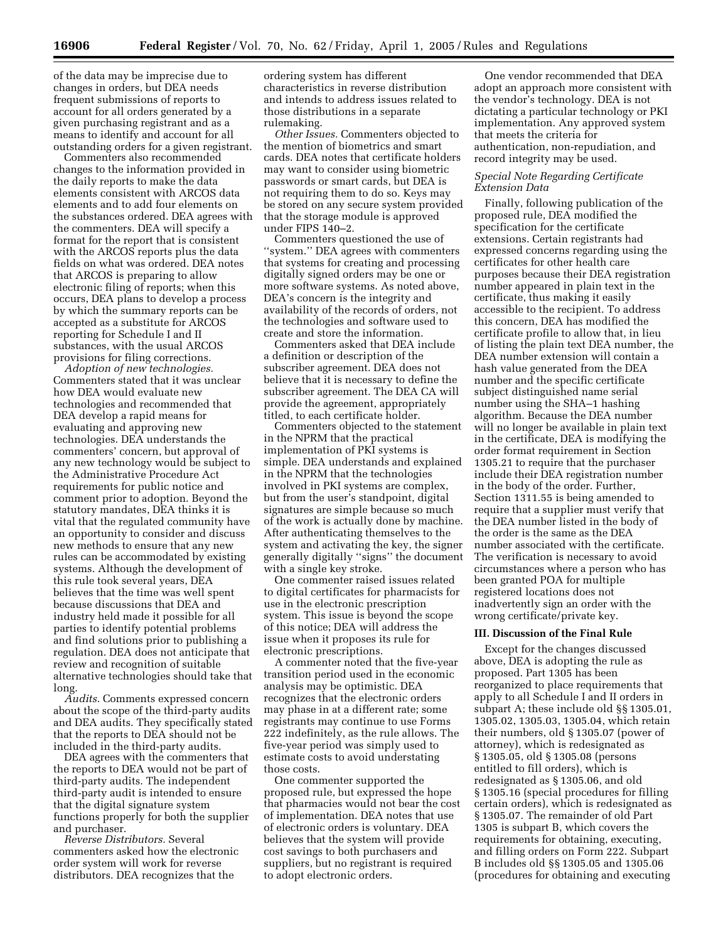of the data may be imprecise due to changes in orders, but DEA needs frequent submissions of reports to account for all orders generated by a given purchasing registrant and as a means to identify and account for all outstanding orders for a given registrant.

Commenters also recommended changes to the information provided in the daily reports to make the data elements consistent with ARCOS data elements and to add four elements on the substances ordered. DEA agrees with the commenters. DEA will specify a format for the report that is consistent with the ARCOS reports plus the data fields on what was ordered. DEA notes that ARCOS is preparing to allow electronic filing of reports; when this occurs, DEA plans to develop a process by which the summary reports can be accepted as a substitute for ARCOS reporting for Schedule I and II substances, with the usual ARCOS provisions for filing corrections.

*Adoption of new technologies.* Commenters stated that it was unclear how DEA would evaluate new technologies and recommended that DEA develop a rapid means for evaluating and approving new technologies. DEA understands the commenters' concern, but approval of any new technology would be subject to the Administrative Procedure Act requirements for public notice and comment prior to adoption. Beyond the statutory mandates, DEA thinks it is vital that the regulated community have an opportunity to consider and discuss new methods to ensure that any new rules can be accommodated by existing systems. Although the development of this rule took several years, DEA believes that the time was well spent because discussions that DEA and industry held made it possible for all parties to identify potential problems and find solutions prior to publishing a regulation. DEA does not anticipate that review and recognition of suitable alternative technologies should take that long.

*Audits.* Comments expressed concern about the scope of the third-party audits and DEA audits. They specifically stated that the reports to DEA should not be included in the third-party audits.

DEA agrees with the commenters that the reports to DEA would not be part of third-party audits. The independent third-party audit is intended to ensure that the digital signature system functions properly for both the supplier and purchaser.

*Reverse Distributors.* Several commenters asked how the electronic order system will work for reverse distributors. DEA recognizes that the

ordering system has different characteristics in reverse distribution and intends to address issues related to those distributions in a separate rulemaking.

*Other Issues.* Commenters objected to the mention of biometrics and smart cards. DEA notes that certificate holders may want to consider using biometric passwords or smart cards, but DEA is not requiring them to do so. Keys may be stored on any secure system provided that the storage module is approved under FIPS 140–2.

Commenters questioned the use of ''system.'' DEA agrees with commenters that systems for creating and processing digitally signed orders may be one or more software systems. As noted above, DEA's concern is the integrity and availability of the records of orders, not the technologies and software used to create and store the information.

Commenters asked that DEA include a definition or description of the subscriber agreement. DEA does not believe that it is necessary to define the subscriber agreement. The DEA CA will provide the agreement, appropriately titled, to each certificate holder.

Commenters objected to the statement in the NPRM that the practical implementation of PKI systems is simple. DEA understands and explained in the NPRM that the technologies involved in PKI systems are complex, but from the user's standpoint, digital signatures are simple because so much of the work is actually done by machine. After authenticating themselves to the system and activating the key, the signer generally digitally ''signs'' the document with a single key stroke.

One commenter raised issues related to digital certificates for pharmacists for use in the electronic prescription system. This issue is beyond the scope of this notice; DEA will address the issue when it proposes its rule for electronic prescriptions.

A commenter noted that the five-year transition period used in the economic analysis may be optimistic. DEA recognizes that the electronic orders may phase in at a different rate; some registrants may continue to use Forms 222 indefinitely, as the rule allows. The five-year period was simply used to estimate costs to avoid understating those costs.

One commenter supported the proposed rule, but expressed the hope that pharmacies would not bear the cost of implementation. DEA notes that use of electronic orders is voluntary. DEA believes that the system will provide cost savings to both purchasers and suppliers, but no registrant is required to adopt electronic orders.

One vendor recommended that DEA adopt an approach more consistent with the vendor's technology. DEA is not dictating a particular technology or PKI implementation. Any approved system that meets the criteria for authentication, non-repudiation, and record integrity may be used.

# *Special Note Regarding Certificate Extension Data*

Finally, following publication of the proposed rule, DEA modified the specification for the certificate extensions. Certain registrants had expressed concerns regarding using the certificates for other health care purposes because their DEA registration number appeared in plain text in the certificate, thus making it easily accessible to the recipient. To address this concern, DEA has modified the certificate profile to allow that, in lieu of listing the plain text DEA number, the DEA number extension will contain a hash value generated from the DEA number and the specific certificate subject distinguished name serial number using the SHA–1 hashing algorithm. Because the DEA number will no longer be available in plain text in the certificate, DEA is modifying the order format requirement in Section 1305.21 to require that the purchaser include their DEA registration number in the body of the order. Further, Section 1311.55 is being amended to require that a supplier must verify that the DEA number listed in the body of the order is the same as the DEA number associated with the certificate. The verification is necessary to avoid circumstances where a person who has been granted POA for multiple registered locations does not inadvertently sign an order with the wrong certificate/private key.

#### **III. Discussion of the Final Rule**

Except for the changes discussed above, DEA is adopting the rule as proposed. Part 1305 has been reorganized to place requirements that apply to all Schedule I and II orders in subpart A; these include old §§ 1305.01, 1305.02, 1305.03, 1305.04, which retain their numbers, old § 1305.07 (power of attorney), which is redesignated as § 1305.05, old § 1305.08 (persons entitled to fill orders), which is redesignated as § 1305.06, and old § 1305.16 (special procedures for filling certain orders), which is redesignated as § 1305.07. The remainder of old Part 1305 is subpart B, which covers the requirements for obtaining, executing, and filling orders on Form 222. Subpart B includes old §§ 1305.05 and 1305.06 (procedures for obtaining and executing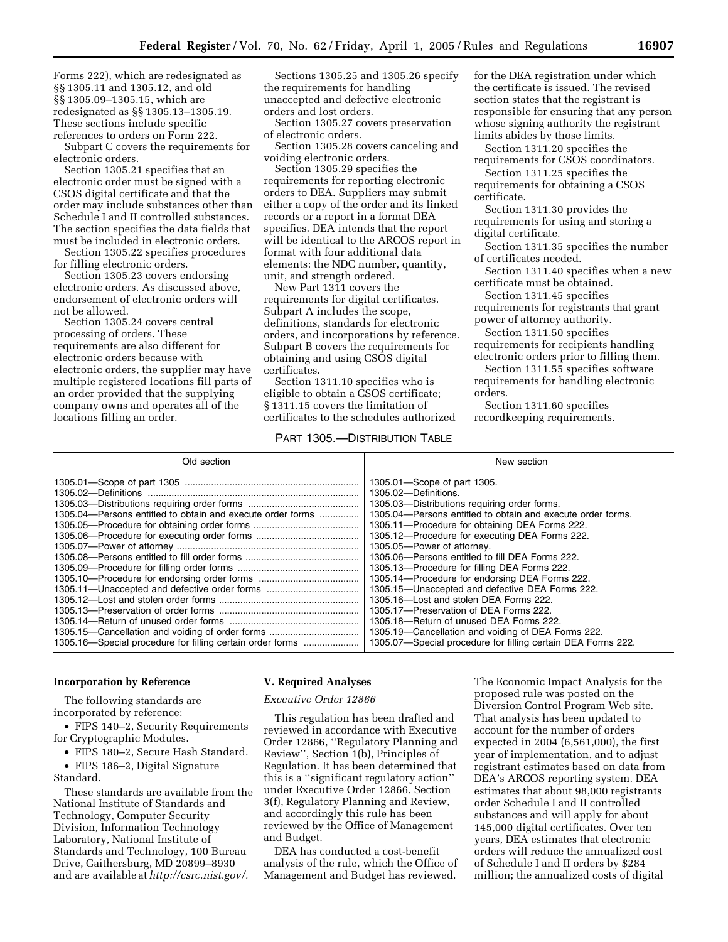Forms 222), which are redesignated as §§ 1305.11 and 1305.12, and old §§ 1305.09–1305.15, which are redesignated as §§ 1305.13–1305.19. These sections include specific references to orders on Form 222.

Subpart C covers the requirements for electronic orders.

Section 1305.21 specifies that an electronic order must be signed with a CSOS digital certificate and that the order may include substances other than Schedule I and II controlled substances. The section specifies the data fields that must be included in electronic orders.

Section 1305.22 specifies procedures for filling electronic orders.

Section 1305.23 covers endorsing electronic orders. As discussed above, endorsement of electronic orders will not be allowed.

Section 1305.24 covers central processing of orders. These requirements are also different for electronic orders because with electronic orders, the supplier may have multiple registered locations fill parts of an order provided that the supplying company owns and operates all of the locations filling an order.

Sections 1305.25 and 1305.26 specify the requirements for handling unaccepted and defective electronic orders and lost orders.

Section 1305.27 covers preservation of electronic orders.

Section 1305.28 covers canceling and voiding electronic orders.

Section 1305.29 specifies the requirements for reporting electronic orders to DEA. Suppliers may submit either a copy of the order and its linked records or a report in a format DEA specifies. DEA intends that the report will be identical to the ARCOS report in format with four additional data elements: the NDC number, quantity, unit, and strength ordered.

New Part 1311 covers the requirements for digital certificates. Subpart A includes the scope, definitions, standards for electronic orders, and incorporations by reference. Subpart B covers the requirements for obtaining and using CSOS digital certificates.

Section 1311.10 specifies who is eligible to obtain a CSOS certificate; § 1311.15 covers the limitation of certificates to the schedules authorized

# PART 1305.—DISTRIBUTION TABLE

for the DEA registration under which the certificate is issued. The revised section states that the registrant is responsible for ensuring that any person whose signing authority the registrant limits abides by those limits.

Section 1311.20 specifies the requirements for CSOS coordinators.

Section 1311.25 specifies the requirements for obtaining a CSOS certificate.

Section 1311.30 provides the requirements for using and storing a digital certificate.

Section 1311.35 specifies the number of certificates needed.

Section 1311.40 specifies when a new certificate must be obtained.

Section 1311.45 specifies requirements for registrants that grant power of attorney authority.

Section 1311.50 specifies requirements for recipients handling electronic orders prior to filling them.

Section 1311.55 specifies software requirements for handling electronic orders.

Section 1311.60 specifies recordkeeping requirements.

| Old section                                                | New section                                                  |
|------------------------------------------------------------|--------------------------------------------------------------|
|                                                            | 1305.01 – Scope of part 1305.                                |
|                                                            | 1305.02-Definitions.                                         |
|                                                            | 1305.03-Distributions requiring order forms.                 |
| 1305.04—Persons entitled to obtain and execute order forms | 1305.04—Persons entitled to obtain and execute order forms.  |
|                                                            | 1305.11—Procedure for obtaining DEA Forms 222.               |
|                                                            | 1305.12—Procedure for executing DEA Forms 222.               |
|                                                            | 1305.05-Power of attorney.                                   |
|                                                            | 1305.06-Persons entitled to fill DEA Forms 222.              |
|                                                            | 1305.13-Procedure for filling DEA Forms 222.                 |
|                                                            | 1305.14—Procedure for endorsing DEA Forms 222.               |
|                                                            | 1305.15-Unaccepted and defective DEA Forms 222.              |
|                                                            | 1305.16-Lost and stolen DEA Forms 222.                       |
|                                                            | 1305.17-Preservation of DEA Forms 222.                       |
|                                                            | 1305.18-Return of unused DEA Forms 222.                      |
| 1305.15–Cancellation and voiding of order forms            | 1305.19-Cancellation and voiding of DEA Forms 222.           |
| 1305.16–Special procedure for filling certain order forms  | 1305.07—Special procedure for filling certain DEA Forms 222. |

#### **Incorporation by Reference**

The following standards are incorporated by reference:

• FIPS 140–2, Security Requirements for Cryptographic Modules.

• FIPS 180–2, Secure Hash Standard.

• FIPS 186–2, Digital Signature Standard.

These standards are available from the National Institute of Standards and Technology, Computer Security Division, Information Technology Laboratory, National Institute of Standards and Technology, 100 Bureau Drive, Gaithersburg, MD 20899–8930 and are available at *[http://csrc.nist.gov/.](http://csrc.nist.gov/)*

#### **V. Required Analyses**

#### *Executive Order 12866*

This regulation has been drafted and reviewed in accordance with Executive Order 12866, ''Regulatory Planning and Review'', Section 1(b), Principles of Regulation. It has been determined that this is a ''significant regulatory action'' under Executive Order 12866, Section 3(f), Regulatory Planning and Review, and accordingly this rule has been reviewed by the Office of Management and Budget.

DEA has conducted a cost-benefit analysis of the rule, which the Office of Management and Budget has reviewed.

The Economic Impact Analysis for the proposed rule was posted on the Diversion Control Program Web site. That analysis has been updated to account for the number of orders expected in 2004 (6,561,000), the first year of implementation, and to adjust registrant estimates based on data from DEA's ARCOS reporting system. DEA estimates that about 98,000 registrants order Schedule I and II controlled substances and will apply for about 145,000 digital certificates. Over ten years, DEA estimates that electronic orders will reduce the annualized cost of Schedule I and II orders by \$284 million; the annualized costs of digital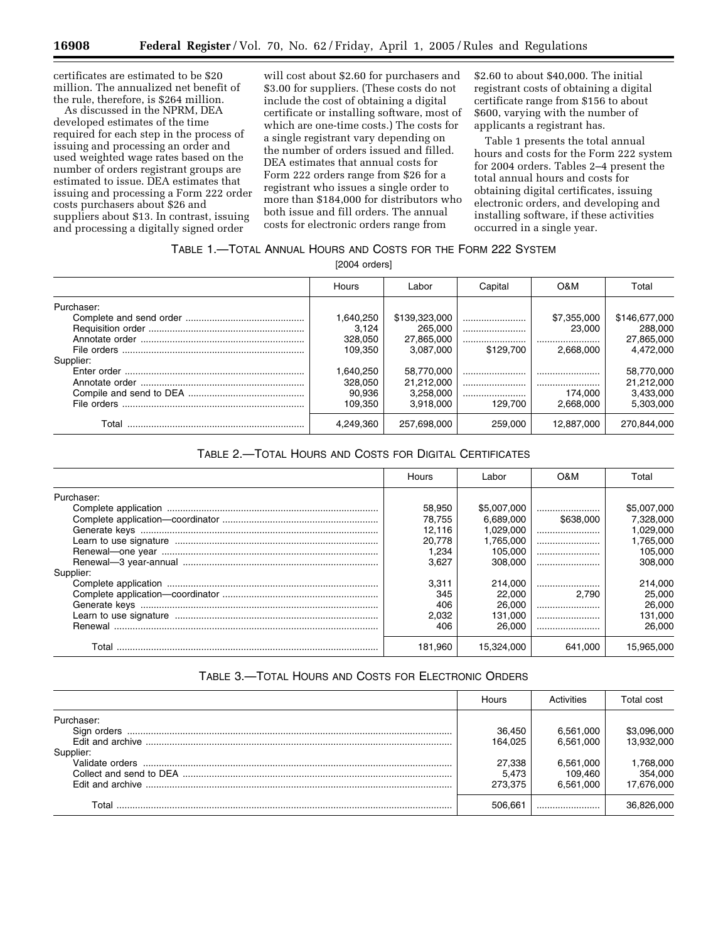certificates are estimated to be \$20 million. The annualized net benefit of the rule, therefore, is \$264 million.

As discussed in the NPRM, DEA developed estimates of the time required for each step in the process of issuing and processing an order and used weighted wage rates based on the number of orders registrant groups are estimated to issue. DEA estimates that issuing and processing a Form 222 order costs purchasers about \$26 and suppliers about \$13. In contrast, issuing and processing a digitally signed order

will cost about \$2.60 for purchasers and \$3.00 for suppliers. (These costs do not include the cost of obtaining a digital certificate or installing software, most of which are one-time costs.) The costs for a single registrant vary depending on the number of orders issued and filled. DEA estimates that annual costs for Form 222 orders range from \$26 for a registrant who issues a single order to more than \$184,000 for distributors who both issue and fill orders. The annual costs for electronic orders range from

\$2.60 to about \$40,000. The initial registrant costs of obtaining a digital certificate range from \$156 to about \$600, varying with the number of applicants a registrant has.

Table 1 presents the total annual hours and costs for the Form 222 system for 2004 orders. Tables 2–4 present the total annual hours and costs for obtaining digital certificates, issuing electronic orders, and developing and installing software, if these activities occurred in a single year.

# TABLE 1.—TOTAL ANNUAL HOURS AND COSTS FOR THE FORM 222 SYSTEM

[2004 orders]

|            | <b>Hours</b> | Labor         | Capital   | O&M         | Total         |
|------------|--------------|---------------|-----------|-------------|---------------|
| Purchaser: |              |               |           |             |               |
|            | 1,640,250    | \$139,323,000 |           | \$7,355,000 | \$146,677,000 |
|            | 3.124        | 265.000       |           | 23,000      | 288,000       |
|            | 328,050      | 27.865.000    |           |             | 27,865,000    |
|            | 109.350      | 3.087.000     | \$129,700 | 2.668.000   | 4.472.000     |
| Supplier:  |              |               |           |             |               |
|            | 1,640,250    | 58.770.000    |           |             | 58,770,000    |
|            | 328.050      | 21.212.000    |           |             | 21,212,000    |
|            | 90.936       | 3.258.000     |           | 174.000     | 3.433.000     |
|            | 109.350      | 3.918.000     | 129.700   | 2.668.000   | 5.303.000     |
| Total      | 4.249.360    | 257.698.000   | 259,000   | 12.887.000  | 270.844.000   |

# TABLE 2.—TOTAL HOURS AND COSTS FOR DIGITAL CERTIFICATES

|            | Hours   | Labor       | O&M       | Total       |
|------------|---------|-------------|-----------|-------------|
| Purchaser: |         |             |           |             |
|            | 58.950  | \$5,007,000 |           | \$5,007,000 |
|            | 78.755  | 6.689.000   | \$638,000 | 7,328,000   |
|            | 12.116  | 1.029.000   |           | 1.029.000   |
|            | 20.778  | 1.765.000   |           | 1.765.000   |
|            | 1.234   | 105.000     |           | 105.000     |
|            | 3.627   | 308.000     |           | 308,000     |
| Supplier:  |         |             |           |             |
|            | 3.311   | 214.000     |           | 214.000     |
|            | 345     | 22,000      | 2.790     | 25.000      |
|            | 406     | 26,000      |           | 26,000      |
|            | 2.032   | 131.000     |           | 131.000     |
|            | 406     | 26,000      |           | 26,000      |
| Total      | 181.960 | 15.324.000  | 641.000   | 15.965.000  |

# TABLE 3.—TOTAL HOURS AND COSTS FOR ELECTRONIC ORDERS

|                           | Hours                      | Activities                        | Total cost                         |
|---------------------------|----------------------------|-----------------------------------|------------------------------------|
| Purchaser:<br>Sign orders | 36.450<br>164.025          | 6,561,000<br>6.561.000            | \$3,096,000<br>13.932.000          |
| Supplier:                 | 27,338<br>5.473<br>273.375 | 6,561,000<br>109.460<br>6.561.000 | 1,768,000<br>354.000<br>17.676.000 |
| Total                     | $506.66^{\circ}$           |                                   | 36.826.000                         |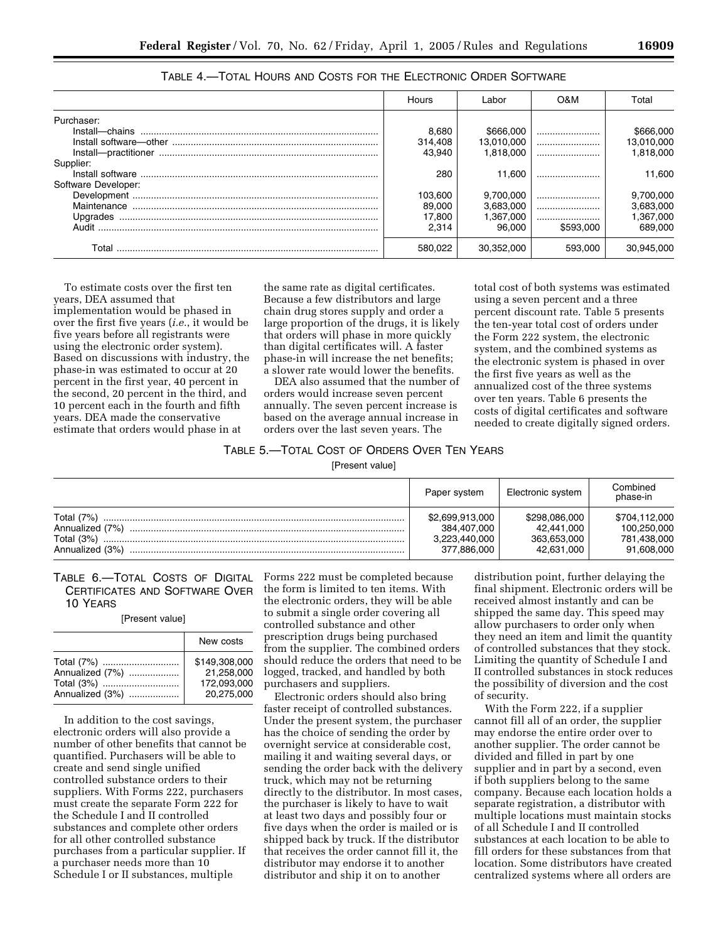|                     | Hours   | ∟abor      | O&M       | Total      |
|---------------------|---------|------------|-----------|------------|
| Purchaser:          |         |            |           |            |
|                     | 8,680   | \$666,000  |           | \$666,000  |
|                     | 314.408 | 13.010.000 |           | 13,010,000 |
|                     | 43.940  | 1.818.000  |           | 1.818.000  |
| Supplier:           |         |            |           |            |
|                     | 280     | 11.600     |           | 11.600     |
| Software Developer: |         |            |           |            |
|                     | 103,600 | 9.700.000  |           | 9,700,000  |
| Maintenance         | 89,000  | 3.683.000  |           | 3,683,000  |
|                     | 17,800  | 1.367.000  |           | 1,367,000  |
| Audit               | 2.314   | 96.000     | \$593,000 | 689,000    |
| Total               | 580,022 | 30.352.000 | 593,000   | 30.945.000 |

TABLE 4.—TOTAL HOURS AND COSTS FOR THE ELECTRONIC ORDER SOFTWARE

To estimate costs over the first ten years, DEA assumed that implementation would be phased in over the first five years (*i.e.*, it would be five years before all registrants were using the electronic order system). Based on discussions with industry, the phase-in was estimated to occur at 20 percent in the first year, 40 percent in the second, 20 percent in the third, and 10 percent each in the fourth and fifth years. DEA made the conservative estimate that orders would phase in at

the same rate as digital certificates. Because a few distributors and large chain drug stores supply and order a large proportion of the drugs, it is likely that orders will phase in more quickly than digital certificates will. A faster phase-in will increase the net benefits; a slower rate would lower the benefits.

DEA also assumed that the number of orders would increase seven percent annually. The seven percent increase is based on the average annual increase in orders over the last seven years. The

total cost of both systems was estimated using a seven percent and a three percent discount rate. Table 5 presents the ten-year total cost of orders under the Form 222 system, the electronic system, and the combined systems as the electronic system is phased in over the first five years as well as the annualized cost of the three systems over ten years. Table 6 presents the costs of digital certificates and software needed to create digitally signed orders.

# TABLE 5.—TOTAL COST OF ORDERS OVER TEN YEARS

[Present value]

|                                 | Paper system                   | Electronic system           | Combined<br>phase-in         |
|---------------------------------|--------------------------------|-----------------------------|------------------------------|
| Total (7%)<br>Annualized (7%)   | \$2,699,913,000<br>384.407.000 | \$298,086,000<br>42.441.000 | \$704.112.000<br>100,250,000 |
| Total $(3%)$<br>Annualized (3%) | 3,223,440,000<br>377,886,000   | 363.653.000<br>42,631,000   | 781,438,000<br>91,608,000    |

TABLE 6.—TOTAL COSTS OF DIGITAL CERTIFICATES AND SOFTWARE OVER 10 YEARS

[Present value]

|                 | New costs                 |
|-----------------|---------------------------|
|                 | \$149,308,000             |
| Annualized (7%) | 21.258.000<br>172.093.000 |
| Annualized (3%) | 20.275.000                |

In addition to the cost savings, electronic orders will also provide a number of other benefits that cannot be quantified. Purchasers will be able to create and send single unified controlled substance orders to their suppliers. With Forms 222, purchasers must create the separate Form 222 for the Schedule I and II controlled substances and complete other orders for all other controlled substance purchases from a particular supplier. If a purchaser needs more than 10 Schedule I or II substances, multiple

Forms 222 must be completed because the form is limited to ten items. With the electronic orders, they will be able to submit a single order covering all controlled substance and other prescription drugs being purchased from the supplier. The combined orders should reduce the orders that need to be logged, tracked, and handled by both purchasers and suppliers.

Electronic orders should also bring faster receipt of controlled substances. Under the present system, the purchaser has the choice of sending the order by overnight service at considerable cost, mailing it and waiting several days, or sending the order back with the delivery truck, which may not be returning directly to the distributor. In most cases, the purchaser is likely to have to wait at least two days and possibly four or five days when the order is mailed or is shipped back by truck. If the distributor that receives the order cannot fill it, the distributor may endorse it to another distributor and ship it on to another

distribution point, further delaying the final shipment. Electronic orders will be received almost instantly and can be shipped the same day. This speed may allow purchasers to order only when they need an item and limit the quantity of controlled substances that they stock. Limiting the quantity of Schedule I and II controlled substances in stock reduces the possibility of diversion and the cost of security.

With the Form 222, if a supplier cannot fill all of an order, the supplier may endorse the entire order over to another supplier. The order cannot be divided and filled in part by one supplier and in part by a second, even if both suppliers belong to the same company. Because each location holds a separate registration, a distributor with multiple locations must maintain stocks of all Schedule I and II controlled substances at each location to be able to fill orders for these substances from that location. Some distributors have created centralized systems where all orders are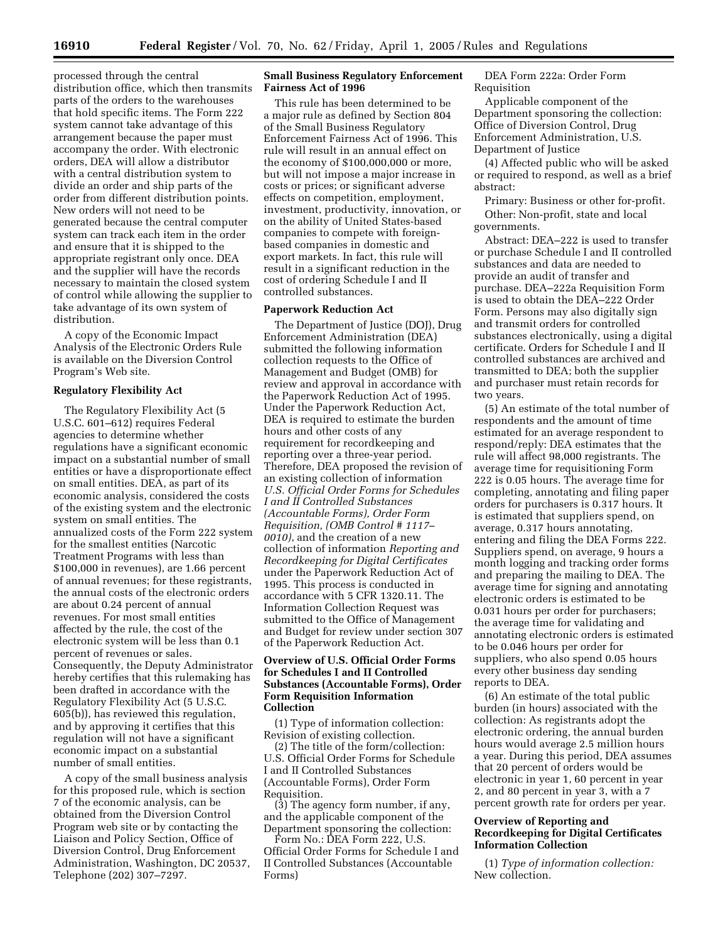processed through the central distribution office, which then transmits parts of the orders to the warehouses that hold specific items. The Form 222 system cannot take advantage of this arrangement because the paper must accompany the order. With electronic orders, DEA will allow a distributor with a central distribution system to divide an order and ship parts of the order from different distribution points. New orders will not need to be generated because the central computer system can track each item in the order and ensure that it is shipped to the appropriate registrant only once. DEA and the supplier will have the records necessary to maintain the closed system of control while allowing the supplier to take advantage of its own system of distribution.

A copy of the Economic Impact Analysis of the Electronic Orders Rule is available on the Diversion Control Program's Web site.

#### **Regulatory Flexibility Act**

The Regulatory Flexibility Act (5 U.S.C. 601–612) requires Federal agencies to determine whether regulations have a significant economic impact on a substantial number of small entities or have a disproportionate effect on small entities. DEA, as part of its economic analysis, considered the costs of the existing system and the electronic system on small entities. The annualized costs of the Form 222 system for the smallest entities (Narcotic Treatment Programs with less than \$100,000 in revenues), are 1.66 percent of annual revenues; for these registrants, the annual costs of the electronic orders are about 0.24 percent of annual revenues. For most small entities affected by the rule, the cost of the electronic system will be less than 0.1 percent of revenues or sales. Consequently, the Deputy Administrator hereby certifies that this rulemaking has been drafted in accordance with the Regulatory Flexibility Act (5 U.S.C. 605(b)), has reviewed this regulation, and by approving it certifies that this regulation will not have a significant economic impact on a substantial number of small entities.

A copy of the small business analysis for this proposed rule, which is section 7 of the economic analysis, can be obtained from the Diversion Control Program web site or by contacting the Liaison and Policy Section, Office of Diversion Control, Drug Enforcement Administration, Washington, DC 20537, Telephone (202) 307–7297.

# **Small Business Regulatory Enforcement Fairness Act of 1996**

This rule has been determined to be a major rule as defined by Section 804 of the Small Business Regulatory Enforcement Fairness Act of 1996. This rule will result in an annual effect on the economy of \$100,000,000 or more, but will not impose a major increase in costs or prices; or significant adverse effects on competition, employment, investment, productivity, innovation, or on the ability of United States-based companies to compete with foreignbased companies in domestic and export markets. In fact, this rule will result in a significant reduction in the cost of ordering Schedule I and II controlled substances.

#### **Paperwork Reduction Act**

The Department of Justice (DOJ), Drug Enforcement Administration (DEA) submitted the following information collection requests to the Office of Management and Budget (OMB) for review and approval in accordance with the Paperwork Reduction Act of 1995. Under the Paperwork Reduction Act, DEA is required to estimate the burden hours and other costs of any requirement for recordkeeping and reporting over a three-year period. Therefore, DEA proposed the revision of an existing collection of information *U.S. Official Order Forms for Schedules I and II Controlled Substances (Accountable Forms), Order Form Requisition, (OMB Control # 1117– 0010)*, and the creation of a new collection of information *Reporting and Recordkeeping for Digital Certificates* under the Paperwork Reduction Act of 1995. This process is conducted in accordance with 5 CFR 1320.11. The Information Collection Request was submitted to the Office of Management and Budget for review under section 307 of the Paperwork Reduction Act.

#### **Overview of U.S. Official Order Forms for Schedules I and II Controlled Substances (Accountable Forms), Order Form Requisition Information Collection**

(1) Type of information collection: Revision of existing collection.

(2) The title of the form/collection: U.S. Official Order Forms for Schedule I and II Controlled Substances (Accountable Forms), Order Form Requisition.

(3) The agency form number, if any, and the applicable component of the Department sponsoring the collection:

Form No.: DEA Form 222, U.S. Official Order Forms for Schedule I and II Controlled Substances (Accountable Forms)

DEA Form 222a: Order Form Requisition

Applicable component of the Department sponsoring the collection: Office of Diversion Control, Drug Enforcement Administration, U.S. Department of Justice

(4) Affected public who will be asked or required to respond, as well as a brief abstract:

Primary: Business or other for-profit. Other: Non-profit, state and local governments.

Abstract: DEA–222 is used to transfer or purchase Schedule I and II controlled substances and data are needed to provide an audit of transfer and purchase. DEA–222a Requisition Form is used to obtain the DEA–222 Order Form. Persons may also digitally sign and transmit orders for controlled substances electronically, using a digital certificate. Orders for Schedule I and II controlled substances are archived and transmitted to DEA; both the supplier and purchaser must retain records for two years.

(5) An estimate of the total number of respondents and the amount of time estimated for an average respondent to respond/reply: DEA estimates that the rule will affect 98,000 registrants. The average time for requisitioning Form 222 is 0.05 hours. The average time for completing, annotating and filing paper orders for purchasers is 0.317 hours. It is estimated that suppliers spend, on average, 0.317 hours annotating, entering and filing the DEA Forms 222. Suppliers spend, on average, 9 hours a month logging and tracking order forms and preparing the mailing to DEA. The average time for signing and annotating electronic orders is estimated to be 0.031 hours per order for purchasers; the average time for validating and annotating electronic orders is estimated to be 0.046 hours per order for suppliers, who also spend 0.05 hours every other business day sending reports to DEA.

(6) An estimate of the total public burden (in hours) associated with the collection: As registrants adopt the electronic ordering, the annual burden hours would average 2.5 million hours a year. During this period, DEA assumes that 20 percent of orders would be electronic in year 1, 60 percent in year 2, and 80 percent in year 3, with a 7 percent growth rate for orders per year.

### **Overview of Reporting and Recordkeeping for Digital Certificates Information Collection**

(1) *Type of information collection:* New collection.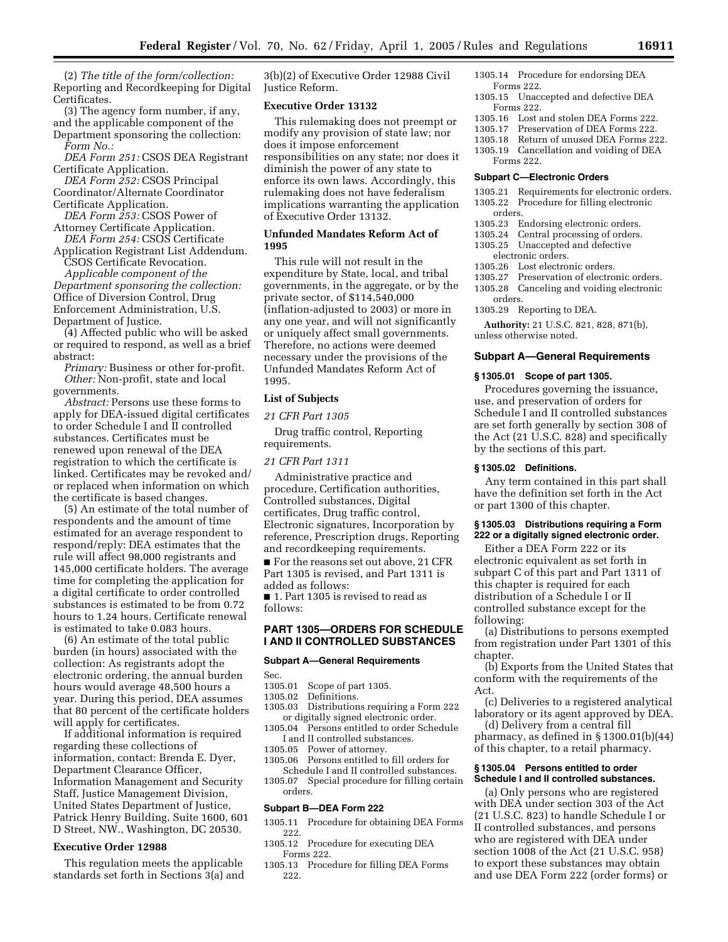(2) *The title of the form/collection:* Reporting and Recordkeeping for Digital Certificates.

(3) The agency form number, if any, and the applicable component of the Department sponsoring the collection: *Form No.:*

*DEA Form 251:* CSOS DEA Registrant Certificate Application.

*DEA Form 252:* CSOS Principal Coordinator/Alternate Coordinator Certificate Application.

*DEA Form 253:* CSOS Power of Attorney Certificate Application.

*DEA Form 254:* CSOS Certificate Application Registrant List Addendum.

CSOS Certificate Revocation. *Applicable component of the Department sponsoring the collection:* Office of Diversion Control, Drug Enforcement Administration, U.S. Department of Justice.

(4) Affected public who will be asked or required to respond, as well as a brief abstract:

*Primary:* Business or other for-profit. *Other:* Non-profit, state and local governments.

*Abstract:* Persons use these forms to apply for DEA-issued digital certificates to order Schedule I and II controlled substances. Certificates must be renewed upon renewal of the DEA registration to which the certificate is linked. Certificates may be revoked and/ or replaced when information on which the certificate is based changes.

(5) An estimate of the total number of respondents and the amount of time estimated for an average respondent to respond/reply: DEA estimates that the rule will affect 98,000 registrants and 145,000 certificate holders. The average time for completing the application for a digital certificate to order controlled substances is estimated to be from 0.72 hours to 1.24 hours. Certificate renewal is estimated to take 0.083 hours.

(6) An estimate of the total public burden (in hours) associated with the collection: As registrants adopt the electronic ordering, the annual burden hours would average 48,500 hours a year. During this period, DEA assumes that 80 percent of the certificate holders will apply for certificates.

If additional information is required regarding these collections of information, contact: Brenda E. Dyer, Department Clearance Officer, Information Management and Security Staff, Justice Management Division, United States Department of Justice, Patrick Henry Building, Suite 1600, 601 D Street, NW., Washington, DC 20530.

#### **Executive Order 12988**

This regulation meets the applicable standards set forth in Sections 3(a) and

3(b)(2) of Executive Order 12988 Civil Justice Reform.

#### **Executive Order 13132**

This rulemaking does not preempt or modify any provision of state law; nor does it impose enforcement responsibilities on any state; nor does it diminish the power of any state to enforce its own laws. Accordingly, this rulemaking does not have federalism implications warranting the application of Executive Order 13132.

#### **Unfunded Mandates Reform Act of 1995**

This rule will not result in the expenditure by State, local, and tribal governments, in the aggregate, or by the private sector, of \$114,540,000 (inflation-adjusted to 2003) or more in any one year, and will not significantly or uniquely affect small governments. Therefore, no actions were deemed necessary under the provisions of the Unfunded Mandates Reform Act of 1995.

### **List of Subjects**

*21 CFR Part 1305* 

Drug traffic control, Reporting requirements.

#### *21 CFR Part 1311*

Administrative practice and procedure, Certification authorities, Controlled substances, Digital certificates, Drug traffic control, Electronic signatures, Incorporation by reference, Prescription drugs, Reporting and recordkeeping requirements.

■ For the reasons set out above, 21 CFR Part 1305 is revised, and Part 1311 is added as follows:

■ 1. Part 1305 is revised to read as follows:

# **PART 1305—ORDERS FOR SCHEDULE I AND II CONTROLLED SUBSTANCES**

#### **Subpart A—General Requirements**

Sec.<br>1305.01

- 1305.01 Scope of part 1305.<br>1305.02 Definitions.
- Definitions.
- 1305.03 Distributions requiring a Form 222 or digitally signed electronic order.
- 1305.04 Persons entitled to order Schedule I and II controlled substances.
- 
- 1305.05 Power of attorney.<br>1305.06 Persons entitled to Persons entitled to fill orders for
- Schedule I and II controlled substances. 1305.07 Special procedure for filling certain orders.

## **Subpart B—DEA Form 222**

- 1305.11 Procedure for obtaining DEA Forms 222.
- 1305.12 Procedure for executing DEA Forms 222.
- 1305.13 Procedure for filling DEA Forms 222.
- 1305.14 Procedure for endorsing DEA Forms 222.
- 1305.15 Unaccepted and defective DEA Forms 222.
- 1305.16 Lost and stolen DEA Forms 222.<br>1305.17 Preservation of DEA Forms 222.
- Preservation of DEA Forms 222.
- 1305.18 Return of unused DEA Forms 222.
- 1305.19 Cancellation and voiding of DEA Forms 222.

#### **Subpart C—Electronic Orders**

- 1305.21 Requirements for electronic orders. 1305.22 Procedure for filling electronic orders.
- 1305.23 Endorsing electronic orders.
- 1305.24 Central processing of orders.
- 1305.25 Unaccepted and defective
- electronic orders.
- 1305.26 Lost electronic orders.
- 1305.27 Preservation of electronic orders.
- 1305.28 Canceling and voiding electronic
- orders.
- 1305.29 Reporting to DEA.

**Authority:** 21 U.S.C. 821, 828, 871(b), unless otherwise noted.

#### **Subpart A—General Requirements**

#### **§ 1305.01 Scope of part 1305.**

Procedures governing the issuance, use, and preservation of orders for Schedule I and II controlled substances are set forth generally by section 308 of the Act (21 U.S.C. 828) and specifically by the sections of this part.

#### **§ 1305.02 Definitions.**

Any term contained in this part shall have the definition set forth in the Act or part 1300 of this chapter.

#### **§ 1305.03 Distributions requiring a Form 222 or a digitally signed electronic order.**

Either a DEA Form 222 or its electronic equivalent as set forth in subpart C of this part and Part 1311 of this chapter is required for each distribution of a Schedule I or II controlled substance except for the following:

(a) Distributions to persons exempted from registration under Part 1301 of this chapter.

(b) Exports from the United States that conform with the requirements of the Act.

(c) Deliveries to a registered analytical laboratory or its agent approved by DEA.

(d) Delivery from a central fill pharmacy, as defined in § 1300.01(b)(44) of this chapter, to a retail pharmacy.

#### **§ 1305.04 Persons entitled to order Schedule I and II controlled substances.**

(a) Only persons who are registered with DEA under section 303 of the Act (21 U.S.C. 823) to handle Schedule I or II controlled substances, and persons who are registered with DEA under section 1008 of the Act (21 U.S.C. 958) to export these substances may obtain and use DEA Form 222 (order forms) or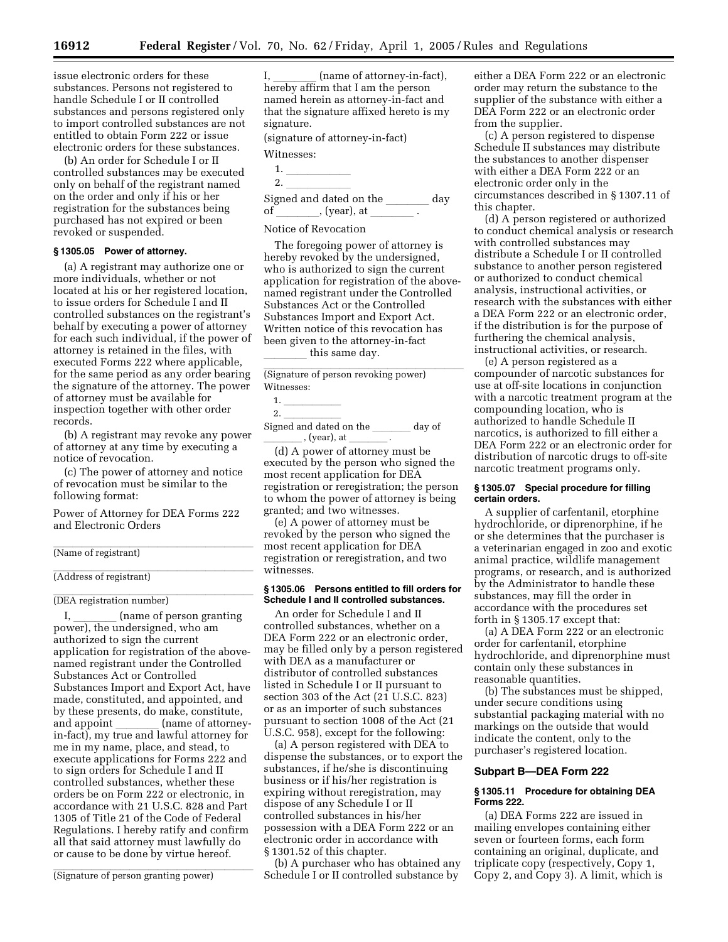issue electronic orders for these substances. Persons not registered to handle Schedule I or II controlled substances and persons registered only to import controlled substances are not entitled to obtain Form 222 or issue electronic orders for these substances.

(b) An order for Schedule I or II controlled substances may be executed only on behalf of the registrant named on the order and only if his or her registration for the substances being purchased has not expired or been revoked or suspended.

#### **§ 1305.05 Power of attorney.**

(a) A registrant may authorize one or more individuals, whether or not located at his or her registered location, to issue orders for Schedule I and II controlled substances on the registrant's behalf by executing a power of attorney for each such individual, if the power of attorney is retained in the files, with executed Forms 222 where applicable, for the same period as any order bearing the signature of the attorney. The power of attorney must be available for inspection together with other order records.

(b) A registrant may revoke any power of attorney at any time by executing a notice of revocation.

(c) The power of attorney and notice of revocation must be similar to the following format:

Power of Attorney for DEA Forms 222 and Electronic Orders

# (Name of registrant)

# (Address of registrant)

# (DEA registration number)

I, \_\_\_\_\_\_ (name of person granting<br>power), the undersigned, who am authorized to sign the current application for registration of the abovenamed registrant under the Controlled Substances Act or Controlled Substances Import and Export Act, have made, constituted, and appointed, and by these presents, do make, constitute,<br>and appoint \_\_\_\_\_\_\_ (name of attorneyand appoint \_\_\_\_\_\_ (name of attorney-<br>in-fact), my true and lawful attorney for me in my name, place, and stead, to execute applications for Forms 222 and to sign orders for Schedule I and II controlled substances, whether these orders be on Form 222 or electronic, in accordance with 21 U.S.C. 828 and Part 1305 of Title 21 of the Code of Federal Regulations. I hereby ratify and confirm all that said attorney must lawfully do or cause to be done by virtue hereof.

(Signature of person granting power)

I, \_\_\_\_\_\_ (name of attorney-in-fact),<br>hereby affirm that I am the person named herein as attorney-in-fact and that the signature affixed hereto is my signature.

(signature of attorney-in-fact)

# Witnesses:

| . . |  |  |  |
|-----|--|--|--|
|     |  |  |  |

| ۷<br>$\sim$ |  |  |  |
|-------------|--|--|--|
|             |  |  |  |

|    | Signed and dated on the | dav |
|----|-------------------------|-----|
| of | , (year), at            |     |
|    |                         |     |

### Notice of Revocation

The foregoing power of attorney is hereby revoked by the undersigned, who is authorized to sign the current application for registration of the abovenamed registrant under the Controlled Substances Act or the Controlled Substances Import and Export Act. Written notice of this revocation has been given to the attorney-in-fact this same day.

(Signature of person revoking power) Witnesses:

| . . |  |  |  |
|-----|--|--|--|
|     |  |  |  |

2.  $\frac{1}{\ln 2 \cdot 1}$ Signed and dated on the  $\frac{1}{\sqrt{1-\frac{1}{\sqrt{1-\frac{1}{\sqrt{1-\frac{1}{\sqrt{1-\frac{1}{\sqrt{1-\frac{1}{\sqrt{1-\frac{1}{\sqrt{1-\frac{1}{\sqrt{1-\frac{1}{\sqrt{1-\frac{1}{\sqrt{1-\frac{1}{\sqrt{1-\frac{1}{\sqrt{1-\frac{1}{\sqrt{1-\frac{1}{\sqrt{1-\frac{1}{\sqrt{1-\frac{1}{\sqrt{1-\frac{1}{\sqrt{1-\frac{1}{\sqrt{1-\frac{1}{\sqrt{1-\frac{1}{\sqrt{1-\frac{1}{\sqrt{1-\frac{1}{\sqrt$  $\_$  , (year), at  $\_$ 

(d) A power of attorney must be executed by the person who signed the most recent application for DEA registration or reregistration; the person to whom the power of attorney is being granted; and two witnesses.

(e) A power of attorney must be revoked by the person who signed the most recent application for DEA registration or reregistration, and two witnesses.

#### **§ 1305.06 Persons entitled to fill orders for Schedule I and II controlled substances.**

An order for Schedule I and II controlled substances, whether on a DEA Form 222 or an electronic order, may be filled only by a person registered with DEA as a manufacturer or distributor of controlled substances listed in Schedule I or II pursuant to section 303 of the Act (21 U.S.C. 823) or as an importer of such substances pursuant to section 1008 of the Act (21 U.S.C. 958), except for the following:

(a) A person registered with DEA to dispense the substances, or to export the substances, if he/she is discontinuing business or if his/her registration is expiring without reregistration, may dispose of any Schedule I or II controlled substances in his/her possession with a DEA Form 222 or an electronic order in accordance with § 1301.52 of this chapter.

(b) A purchaser who has obtained any Schedule I or II controlled substance by

either a DEA Form 222 or an electronic order may return the substance to the supplier of the substance with either a DEA Form 222 or an electronic order from the supplier.

(c) A person registered to dispense Schedule II substances may distribute the substances to another dispenser with either a DEA Form 222 or an electronic order only in the circumstances described in § 1307.11 of this chapter.

(d) A person registered or authorized to conduct chemical analysis or research with controlled substances may distribute a Schedule I or II controlled substance to another person registered or authorized to conduct chemical analysis, instructional activities, or research with the substances with either a DEA Form 222 or an electronic order, if the distribution is for the purpose of furthering the chemical analysis, instructional activities, or research.

(e) A person registered as a compounder of narcotic substances for use at off-site locations in conjunction with a narcotic treatment program at the compounding location, who is authorized to handle Schedule II narcotics, is authorized to fill either a DEA Form 222 or an electronic order for distribution of narcotic drugs to off-site narcotic treatment programs only.

#### **§ 1305.07 Special procedure for filling certain orders.**

A supplier of carfentanil, etorphine hydrochloride, or diprenorphine, if he or she determines that the purchaser is a veterinarian engaged in zoo and exotic animal practice, wildlife management programs, or research, and is authorized by the Administrator to handle these substances, may fill the order in accordance with the procedures set forth in § 1305.17 except that:

(a) A DEA Form 222 or an electronic order for carfentanil, etorphine hydrochloride, and diprenorphine must contain only these substances in reasonable quantities.

(b) The substances must be shipped, under secure conditions using substantial packaging material with no markings on the outside that would indicate the content, only to the purchaser's registered location.

#### **Subpart B—DEA Form 222**

#### **§ 1305.11 Procedure for obtaining DEA Forms 222.**

(a) DEA Forms 222 are issued in mailing envelopes containing either seven or fourteen forms, each form containing an original, duplicate, and triplicate copy (respectively, Copy 1, Copy 2, and Copy 3). A limit, which is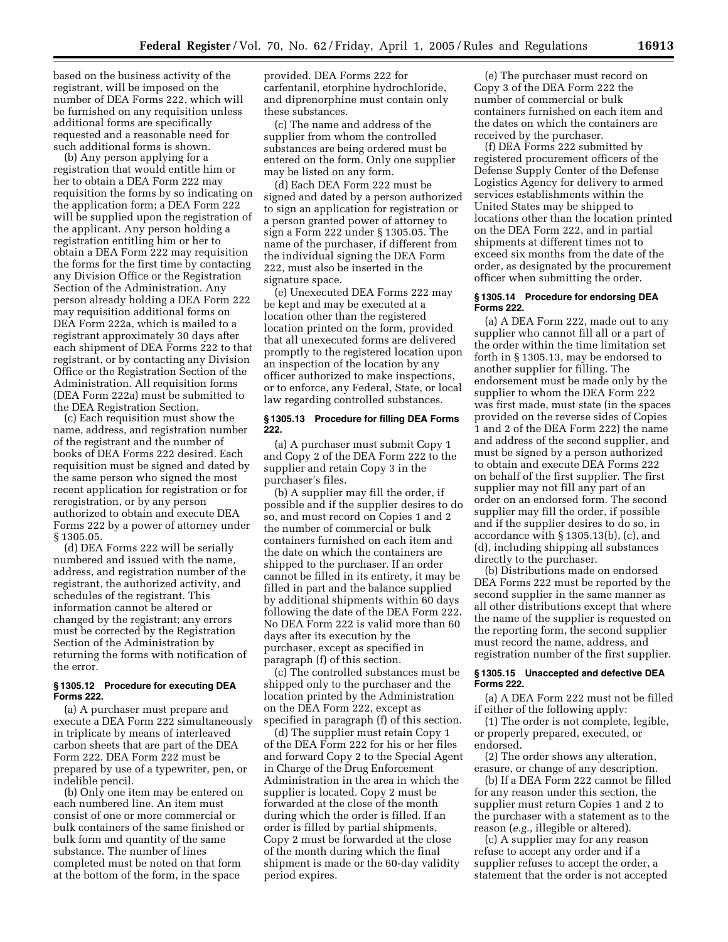based on the business activity of the registrant, will be imposed on the number of DEA Forms 222, which will be furnished on any requisition unless additional forms are specifically requested and a reasonable need for such additional forms is shown.

(b) Any person applying for a registration that would entitle him or her to obtain a DEA Form 222 may requisition the forms by so indicating on the application form; a DEA Form 222 will be supplied upon the registration of the applicant. Any person holding a registration entitling him or her to obtain a DEA Form 222 may requisition the forms for the first time by contacting any Division Office or the Registration Section of the Administration. Any person already holding a DEA Form 222 may requisition additional forms on DEA Form 222a, which is mailed to a registrant approximately 30 days after each shipment of DEA Forms 222 to that registrant, or by contacting any Division Office or the Registration Section of the Administration. All requisition forms (DEA Form 222a) must be submitted to the DEA Registration Section.

(c) Each requisition must show the name, address, and registration number of the registrant and the number of books of DEA Forms 222 desired. Each requisition must be signed and dated by the same person who signed the most recent application for registration or for reregistration, or by any person authorized to obtain and execute DEA Forms 222 by a power of attorney under § 1305.05.

(d) DEA Forms 222 will be serially numbered and issued with the name, address, and registration number of the registrant, the authorized activity, and schedules of the registrant. This information cannot be altered or changed by the registrant; any errors must be corrected by the Registration Section of the Administration by returning the forms with notification of the error.

#### **§ 1305.12 Procedure for executing DEA Forms 222.**

(a) A purchaser must prepare and execute a DEA Form 222 simultaneously in triplicate by means of interleaved carbon sheets that are part of the DEA Form 222. DEA Form 222 must be prepared by use of a typewriter, pen, or indelible pencil.

(b) Only one item may be entered on each numbered line. An item must consist of one or more commercial or bulk containers of the same finished or bulk form and quantity of the same substance. The number of lines completed must be noted on that form at the bottom of the form, in the space

provided. DEA Forms 222 for carfentanil, etorphine hydrochloride, and diprenorphine must contain only these substances.

(c) The name and address of the supplier from whom the controlled substances are being ordered must be entered on the form. Only one supplier may be listed on any form.

(d) Each DEA Form 222 must be signed and dated by a person authorized to sign an application for registration or a person granted power of attorney to sign a Form 222 under § 1305.05. The name of the purchaser, if different from the individual signing the DEA Form 222, must also be inserted in the signature space.

(e) Unexecuted DEA Forms 222 may be kept and may be executed at a location other than the registered location printed on the form, provided that all unexecuted forms are delivered promptly to the registered location upon an inspection of the location by any officer authorized to make inspections, or to enforce, any Federal, State, or local law regarding controlled substances.

#### **§ 1305.13 Procedure for filling DEA Forms 222.**

(a) A purchaser must submit Copy 1 and Copy 2 of the DEA Form 222 to the supplier and retain Copy 3 in the purchaser's files.

(b) A supplier may fill the order, if possible and if the supplier desires to do so, and must record on Copies 1 and 2 the number of commercial or bulk containers furnished on each item and the date on which the containers are shipped to the purchaser. If an order cannot be filled in its entirety, it may be filled in part and the balance supplied by additional shipments within 60 days following the date of the DEA Form 222. No DEA Form 222 is valid more than 60 days after its execution by the purchaser, except as specified in paragraph (f) of this section.

(c) The controlled substances must be shipped only to the purchaser and the location printed by the Administration on the DEA Form 222, except as specified in paragraph (f) of this section.

(d) The supplier must retain Copy 1 of the DEA Form 222 for his or her files and forward Copy 2 to the Special Agent in Charge of the Drug Enforcement Administration in the area in which the supplier is located. Copy 2 must be forwarded at the close of the month during which the order is filled. If an order is filled by partial shipments, Copy 2 must be forwarded at the close of the month during which the final shipment is made or the 60-day validity period expires.

(e) The purchaser must record on Copy 3 of the DEA Form 222 the number of commercial or bulk containers furnished on each item and the dates on which the containers are received by the purchaser.

(f) DEA Forms 222 submitted by registered procurement officers of the Defense Supply Center of the Defense Logistics Agency for delivery to armed services establishments within the United States may be shipped to locations other than the location printed on the DEA Form 222, and in partial shipments at different times not to exceed six months from the date of the order, as designated by the procurement officer when submitting the order.

#### **§ 1305.14 Procedure for endorsing DEA Forms 222.**

(a) A DEA Form 222, made out to any supplier who cannot fill all or a part of the order within the time limitation set forth in § 1305.13, may be endorsed to another supplier for filling. The endorsement must be made only by the supplier to whom the DEA Form 222 was first made, must state (in the spaces provided on the reverse sides of Copies 1 and 2 of the DEA Form 222) the name and address of the second supplier, and must be signed by a person authorized to obtain and execute DEA Forms 222 on behalf of the first supplier. The first supplier may not fill any part of an order on an endorsed form. The second supplier may fill the order, if possible and if the supplier desires to do so, in accordance with § 1305.13(b), (c), and (d), including shipping all substances directly to the purchaser.

(b) Distributions made on endorsed DEA Forms 222 must be reported by the second supplier in the same manner as all other distributions except that where the name of the supplier is requested on the reporting form, the second supplier must record the name, address, and registration number of the first supplier.

#### **§ 1305.15 Unaccepted and defective DEA Forms 222.**

(a) A DEA Form 222 must not be filled if either of the following apply:

(1) The order is not complete, legible, or properly prepared, executed, or endorsed.

(2) The order shows any alteration, erasure, or change of any description.

(b) If a DEA Form 222 cannot be filled for any reason under this section, the supplier must return Copies 1 and 2 to the purchaser with a statement as to the reason (*e.g.*, illegible or altered).

(c) A supplier may for any reason refuse to accept any order and if a supplier refuses to accept the order, a statement that the order is not accepted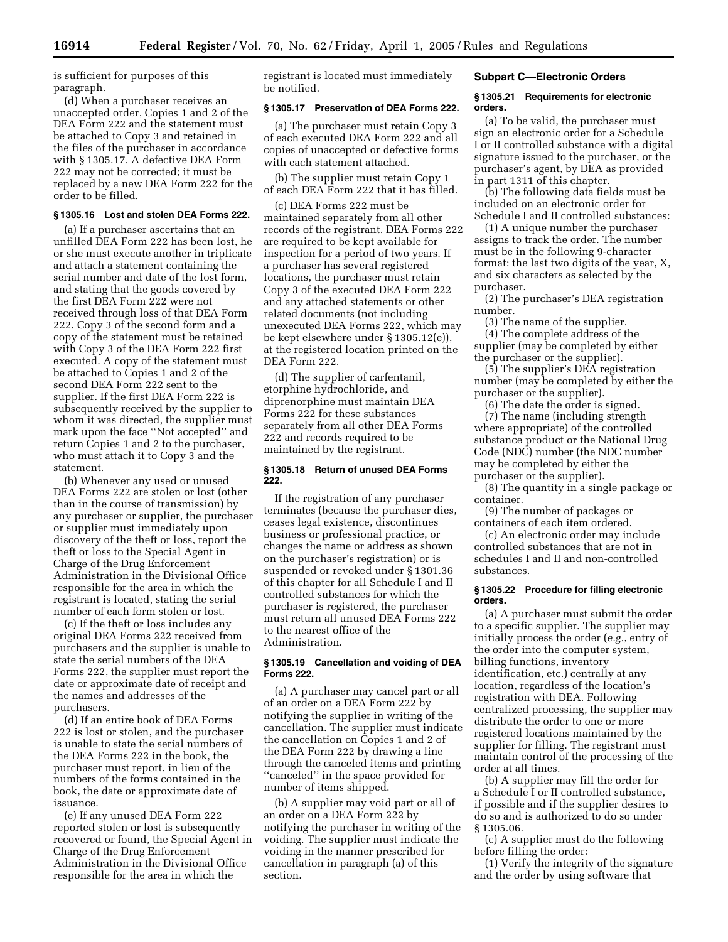is sufficient for purposes of this paragraph.

(d) When a purchaser receives an unaccepted order, Copies 1 and 2 of the DEA Form 222 and the statement must be attached to Copy 3 and retained in the files of the purchaser in accordance with § 1305.17. A defective DEA Form 222 may not be corrected; it must be replaced by a new DEA Form 222 for the order to be filled.

# **§ 1305.16 Lost and stolen DEA Forms 222.**

(a) If a purchaser ascertains that an unfilled DEA Form 222 has been lost, he or she must execute another in triplicate and attach a statement containing the serial number and date of the lost form, and stating that the goods covered by the first DEA Form 222 were not received through loss of that DEA Form 222. Copy 3 of the second form and a copy of the statement must be retained with Copy 3 of the DEA Form 222 first executed. A copy of the statement must be attached to Copies 1 and 2 of the second DEA Form 222 sent to the supplier. If the first DEA Form 222 is subsequently received by the supplier to whom it was directed, the supplier must mark upon the face ''Not accepted'' and return Copies 1 and 2 to the purchaser, who must attach it to Copy 3 and the statement.

(b) Whenever any used or unused DEA Forms 222 are stolen or lost (other than in the course of transmission) by any purchaser or supplier, the purchaser or supplier must immediately upon discovery of the theft or loss, report the theft or loss to the Special Agent in Charge of the Drug Enforcement Administration in the Divisional Office responsible for the area in which the registrant is located, stating the serial number of each form stolen or lost.

(c) If the theft or loss includes any original DEA Forms 222 received from purchasers and the supplier is unable to state the serial numbers of the DEA Forms 222, the supplier must report the date or approximate date of receipt and the names and addresses of the purchasers.

(d) If an entire book of DEA Forms 222 is lost or stolen, and the purchaser is unable to state the serial numbers of the DEA Forms 222 in the book, the purchaser must report, in lieu of the numbers of the forms contained in the book, the date or approximate date of issuance.

(e) If any unused DEA Form 222 reported stolen or lost is subsequently recovered or found, the Special Agent in Charge of the Drug Enforcement Administration in the Divisional Office responsible for the area in which the

registrant is located must immediately be notified.

# **§ 1305.17 Preservation of DEA Forms 222.**

(a) The purchaser must retain Copy 3 of each executed DEA Form 222 and all copies of unaccepted or defective forms with each statement attached.

(b) The supplier must retain Copy 1 of each DEA Form 222 that it has filled.

(c) DEA Forms 222 must be maintained separately from all other records of the registrant. DEA Forms 222 are required to be kept available for inspection for a period of two years. If a purchaser has several registered locations, the purchaser must retain Copy 3 of the executed DEA Form 222 and any attached statements or other related documents (not including unexecuted DEA Forms 222, which may be kept elsewhere under § 1305.12(e)), at the registered location printed on the DEA Form 222.

(d) The supplier of carfentanil, etorphine hydrochloride, and diprenorphine must maintain DEA Forms 222 for these substances separately from all other DEA Forms 222 and records required to be maintained by the registrant.

#### **§ 1305.18 Return of unused DEA Forms 222.**

If the registration of any purchaser terminates (because the purchaser dies, ceases legal existence, discontinues business or professional practice, or changes the name or address as shown on the purchaser's registration) or is suspended or revoked under § 1301.36 of this chapter for all Schedule I and II controlled substances for which the purchaser is registered, the purchaser must return all unused DEA Forms 222 to the nearest office of the Administration.

#### **§ 1305.19 Cancellation and voiding of DEA Forms 222.**

(a) A purchaser may cancel part or all of an order on a DEA Form 222 by notifying the supplier in writing of the cancellation. The supplier must indicate the cancellation on Copies 1 and 2 of the DEA Form 222 by drawing a line through the canceled items and printing ''canceled'' in the space provided for number of items shipped.

(b) A supplier may void part or all of an order on a DEA Form 222 by notifying the purchaser in writing of the voiding. The supplier must indicate the voiding in the manner prescribed for cancellation in paragraph (a) of this section.

## **Subpart C—Electronic Orders**

#### **§ 1305.21 Requirements for electronic orders.**

(a) To be valid, the purchaser must sign an electronic order for a Schedule I or II controlled substance with a digital signature issued to the purchaser, or the purchaser's agent, by DEA as provided in part 1311 of this chapter.

(b) The following data fields must be included on an electronic order for Schedule I and II controlled substances:

(1) A unique number the purchaser assigns to track the order. The number must be in the following 9-character format: the last two digits of the year, X, and six characters as selected by the purchaser.

(2) The purchaser's DEA registration number.

(3) The name of the supplier.

(4) The complete address of the supplier (may be completed by either the purchaser or the supplier).

(5) The supplier's DEA registration number (may be completed by either the purchaser or the supplier).

(6) The date the order is signed. (7) The name (including strength where appropriate) of the controlled substance product or the National Drug Code (NDC) number (the NDC number may be completed by either the purchaser or the supplier).

(8) The quantity in a single package or container.

(9) The number of packages or containers of each item ordered.

(c) An electronic order may include controlled substances that are not in schedules I and II and non-controlled substances.

#### **§ 1305.22 Procedure for filling electronic orders.**

(a) A purchaser must submit the order to a specific supplier. The supplier may initially process the order (*e.g.*, entry of the order into the computer system, billing functions, inventory identification, etc.) centrally at any location, regardless of the location's registration with DEA. Following centralized processing, the supplier may distribute the order to one or more registered locations maintained by the supplier for filling. The registrant must maintain control of the processing of the order at all times.

(b) A supplier may fill the order for a Schedule I or II controlled substance, if possible and if the supplier desires to do so and is authorized to do so under § 1305.06.

(c) A supplier must do the following before filling the order:

(1) Verify the integrity of the signature and the order by using software that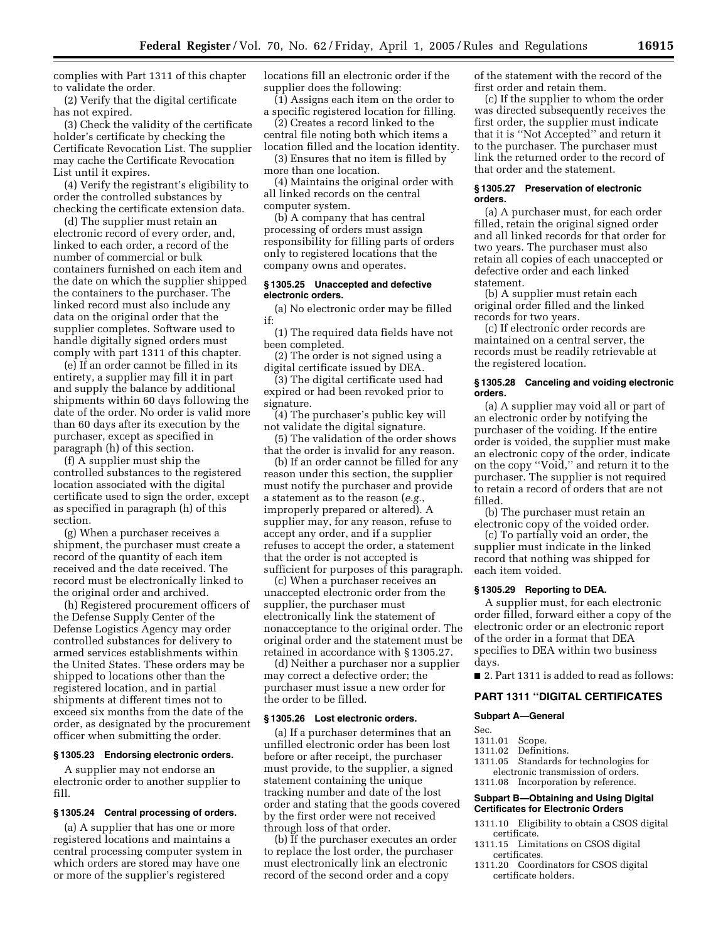complies with Part 1311 of this chapter to validate the order.

(2) Verify that the digital certificate has not expired.

(3) Check the validity of the certificate holder's certificate by checking the Certificate Revocation List. The supplier may cache the Certificate Revocation List until it expires.

(4) Verify the registrant's eligibility to order the controlled substances by checking the certificate extension data.

(d) The supplier must retain an electronic record of every order, and, linked to each order, a record of the number of commercial or bulk containers furnished on each item and the date on which the supplier shipped the containers to the purchaser. The linked record must also include any data on the original order that the supplier completes. Software used to handle digitally signed orders must comply with part 1311 of this chapter.

(e) If an order cannot be filled in its entirety, a supplier may fill it in part and supply the balance by additional shipments within 60 days following the date of the order. No order is valid more than 60 days after its execution by the purchaser, except as specified in paragraph (h) of this section.

(f) A supplier must ship the controlled substances to the registered location associated with the digital certificate used to sign the order, except as specified in paragraph (h) of this section.

(g) When a purchaser receives a shipment, the purchaser must create a record of the quantity of each item received and the date received. The record must be electronically linked to the original order and archived.

(h) Registered procurement officers of the Defense Supply Center of the Defense Logistics Agency may order controlled substances for delivery to armed services establishments within the United States. These orders may be shipped to locations other than the registered location, and in partial shipments at different times not to exceed six months from the date of the order, as designated by the procurement officer when submitting the order.

#### **§ 1305.23 Endorsing electronic orders.**

A supplier may not endorse an electronic order to another supplier to fill.

#### **§ 1305.24 Central processing of orders.**

(a) A supplier that has one or more registered locations and maintains a central processing computer system in which orders are stored may have one or more of the supplier's registered

locations fill an electronic order if the supplier does the following:

(1) Assigns each item on the order to a specific registered location for filling.

(2) Creates a record linked to the central file noting both which items a location filled and the location identity.

(3) Ensures that no item is filled by more than one location.

(4) Maintains the original order with all linked records on the central computer system.

(b) A company that has central processing of orders must assign responsibility for filling parts of orders only to registered locations that the company owns and operates.

#### **§ 1305.25 Unaccepted and defective electronic orders.**

(a) No electronic order may be filled if:

(1) The required data fields have not been completed.

(2) The order is not signed using a digital certificate issued by DEA.

(3) The digital certificate used had expired or had been revoked prior to signature.

(4) The purchaser's public key will not validate the digital signature.

(5) The validation of the order shows that the order is invalid for any reason.

(b) If an order cannot be filled for any reason under this section, the supplier must notify the purchaser and provide a statement as to the reason (*e.g.*, improperly prepared or altered). A supplier may, for any reason, refuse to accept any order, and if a supplier refuses to accept the order, a statement that the order is not accepted is sufficient for purposes of this paragraph.

(c) When a purchaser receives an unaccepted electronic order from the supplier, the purchaser must electronically link the statement of nonacceptance to the original order. The original order and the statement must be retained in accordance with § 1305.27.

(d) Neither a purchaser nor a supplier may correct a defective order; the purchaser must issue a new order for the order to be filled.

# **§ 1305.26 Lost electronic orders.**

(a) If a purchaser determines that an unfilled electronic order has been lost before or after receipt, the purchaser must provide, to the supplier, a signed statement containing the unique tracking number and date of the lost order and stating that the goods covered by the first order were not received through loss of that order.

(b) If the purchaser executes an order to replace the lost order, the purchaser must electronically link an electronic record of the second order and a copy

of the statement with the record of the first order and retain them.

(c) If the supplier to whom the order was directed subsequently receives the first order, the supplier must indicate that it is ''Not Accepted'' and return it to the purchaser. The purchaser must link the returned order to the record of that order and the statement.

#### **§ 1305.27 Preservation of electronic orders.**

(a) A purchaser must, for each order filled, retain the original signed order and all linked records for that order for two years. The purchaser must also retain all copies of each unaccepted or defective order and each linked statement.

(b) A supplier must retain each original order filled and the linked records for two years.

(c) If electronic order records are maintained on a central server, the records must be readily retrievable at the registered location.

#### **§ 1305.28 Canceling and voiding electronic orders.**

(a) A supplier may void all or part of an electronic order by notifying the purchaser of the voiding. If the entire order is voided, the supplier must make an electronic copy of the order, indicate on the copy ''Void,'' and return it to the purchaser. The supplier is not required to retain a record of orders that are not filled.

(b) The purchaser must retain an electronic copy of the voided order.

(c) To partially void an order, the supplier must indicate in the linked record that nothing was shipped for each item voided.

#### **§ 1305.29 Reporting to DEA.**

A supplier must, for each electronic order filled, forward either a copy of the electronic order or an electronic report of the order in a format that DEA specifies to DEA within two business days.

■ 2. Part 1311 is added to read as follows:

#### **PART 1311 ''DIGITAL CERTIFICATES**

#### **Subpart A—General**

Sec.

- 1311.01 Scope.
	- Definitions.
- 1311.05 Standards for technologies for electronic transmission of orders.
- 1311.08 Incorporation by reference.

#### **Subpart B—Obtaining and Using Digital Certificates for Electronic Orders**

- 1311.10 Eligibility to obtain a CSOS digital certificate.
- 1311.15 Limitations on CSOS digital certificates.
- 1311.20 Coordinators for CSOS digital certificate holders.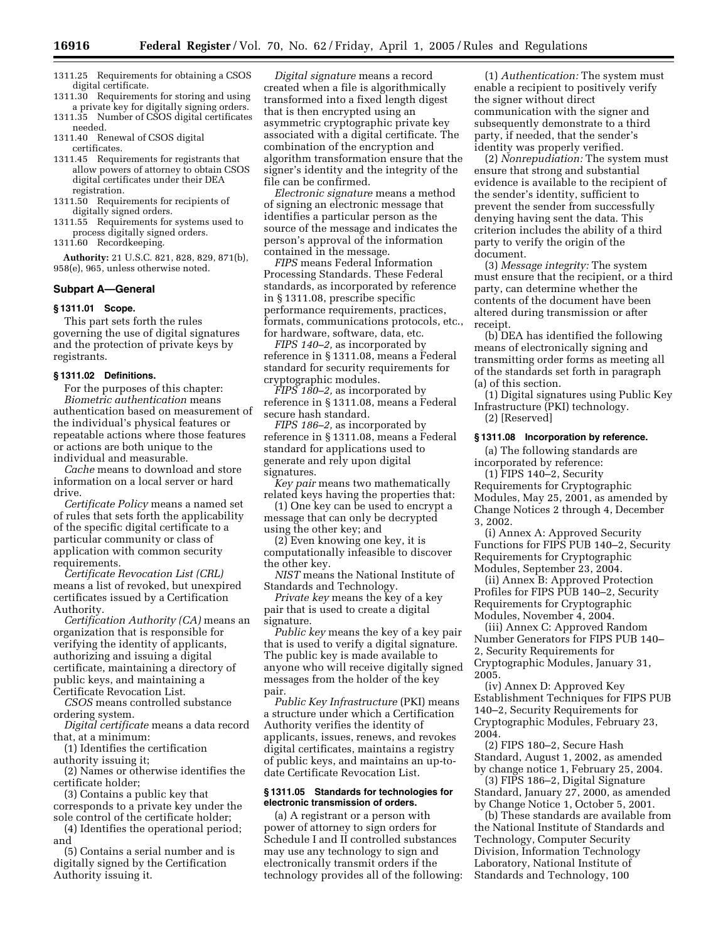- 1311.25 Requirements for obtaining a CSOS digital certificate.
- 1311.30 Requirements for storing and using a private key for digitally signing orders.

1311.35 Number of CSOS digital certificates needed.

1311.40 Renewal of CSOS digital certificates.

- 1311.45 Requirements for registrants that allow powers of attorney to obtain CSOS digital certificates under their DEA registration.
- 1311.50 Requirements for recipients of digitally signed orders.
- 1311.55 Requirements for systems used to process digitally signed orders.
- 1311.60 Recordkeeping.

**Authority:** 21 U.S.C. 821, 828, 829, 871(b), 958(e), 965, unless otherwise noted.

#### **Subpart A—General**

#### **§ 1311.01 Scope.**

This part sets forth the rules governing the use of digital signatures and the protection of private keys by registrants.

#### **§ 1311.02 Definitions.**

For the purposes of this chapter: *Biometric authentication* means authentication based on measurement of the individual's physical features or repeatable actions where those features or actions are both unique to the individual and measurable.

*Cache* means to download and store information on a local server or hard drive.

*Certificate Policy* means a named set of rules that sets forth the applicability of the specific digital certificate to a particular community or class of application with common security requirements.

*Certificate Revocation List (CRL)* means a list of revoked, but unexpired certificates issued by a Certification Authority.

*Certification Authority (CA)* means an organization that is responsible for verifying the identity of applicants, authorizing and issuing a digital certificate, maintaining a directory of public keys, and maintaining a Certificate Revocation List.

*CSOS* means controlled substance ordering system.

*Digital certificate* means a data record that, at a minimum:

- (1) Identifies the certification
- authority issuing it;

(2) Names or otherwise identifies the certificate holder;

(3) Contains a public key that corresponds to a private key under the sole control of the certificate holder;

(4) Identifies the operational period; and

(5) Contains a serial number and is digitally signed by the Certification Authority issuing it.

*Digital signature* means a record created when a file is algorithmically transformed into a fixed length digest that is then encrypted using an asymmetric cryptographic private key associated with a digital certificate. The combination of the encryption and algorithm transformation ensure that the signer's identity and the integrity of the file can be confirmed.

*Electronic signature* means a method of signing an electronic message that identifies a particular person as the source of the message and indicates the person's approval of the information contained in the message.

*FIPS* means Federal Information Processing Standards. These Federal standards, as incorporated by reference in § 1311.08, prescribe specific performance requirements, practices, formats, communications protocols, etc., for hardware, software, data, etc.

*FIPS 140–2,* as incorporated by reference in § 1311.08, means a Federal standard for security requirements for cryptographic modules.

*FIPS 180–2,* as incorporated by reference in § 1311.08, means a Federal secure hash standard.

*FIPS 186–2,* as incorporated by reference in § 1311.08, means a Federal standard for applications used to generate and rely upon digital signatures.

*Key pair* means two mathematically related keys having the properties that:

(1) One key can be used to encrypt a message that can only be decrypted using the other key; and

(2) Even knowing one key, it is computationally infeasible to discover the other key.

*NIST* means the National Institute of Standards and Technology.

*Private key* means the key of a key pair that is used to create a digital signature.

*Public key* means the key of a key pair that is used to verify a digital signature. The public key is made available to anyone who will receive digitally signed messages from the holder of the key pair.

*Public Key Infrastructure* (PKI) means a structure under which a Certification Authority verifies the identity of applicants, issues, renews, and revokes digital certificates, maintains a registry of public keys, and maintains an up-todate Certificate Revocation List.

#### **§ 1311.05 Standards for technologies for electronic transmission of orders.**

(a) A registrant or a person with power of attorney to sign orders for Schedule I and II controlled substances may use any technology to sign and electronically transmit orders if the technology provides all of the following:

(1) *Authentication:* The system must enable a recipient to positively verify the signer without direct communication with the signer and subsequently demonstrate to a third party, if needed, that the sender's identity was properly verified.

(2) *Nonrepudiation:* The system must ensure that strong and substantial evidence is available to the recipient of the sender's identity, sufficient to prevent the sender from successfully denying having sent the data. This criterion includes the ability of a third party to verify the origin of the document.

(3) *Message integrity:* The system must ensure that the recipient, or a third party, can determine whether the contents of the document have been altered during transmission or after receipt.

(b) DEA has identified the following means of electronically signing and transmitting order forms as meeting all of the standards set forth in paragraph (a) of this section.

(1) Digital signatures using Public Key Infrastructure (PKI) technology. (2) [Reserved]

#### **§ 1311.08 Incorporation by reference.**

(a) The following standards are incorporated by reference:

(1) FIPS 140–2, Security Requirements for Cryptographic Modules, May 25, 2001, as amended by Change Notices 2 through 4, December 3, 2002.

(i) Annex A: Approved Security Functions for FIPS PUB 140–2, Security Requirements for Cryptographic Modules, September 23, 2004.

(ii) Annex B: Approved Protection Profiles for FIPS PUB 140–2, Security Requirements for Cryptographic Modules, November 4, 2004.

(iii) Annex C: Approved Random Number Generators for FIPS PUB 140– 2, Security Requirements for Cryptographic Modules, January 31, 2005.

(iv) Annex D: Approved Key Establishment Techniques for FIPS PUB 140–2, Security Requirements for Cryptographic Modules, February 23, 2004.

(2) FIPS 180–2, Secure Hash Standard, August 1, 2002, as amended by change notice 1, February 25, 2004.

(3) FIPS 186–2, Digital Signature Standard, January 27, 2000, as amended by Change Notice 1, October 5, 2001.

(b) These standards are available from the National Institute of Standards and Technology, Computer Security Division, Information Technology Laboratory, National Institute of Standards and Technology, 100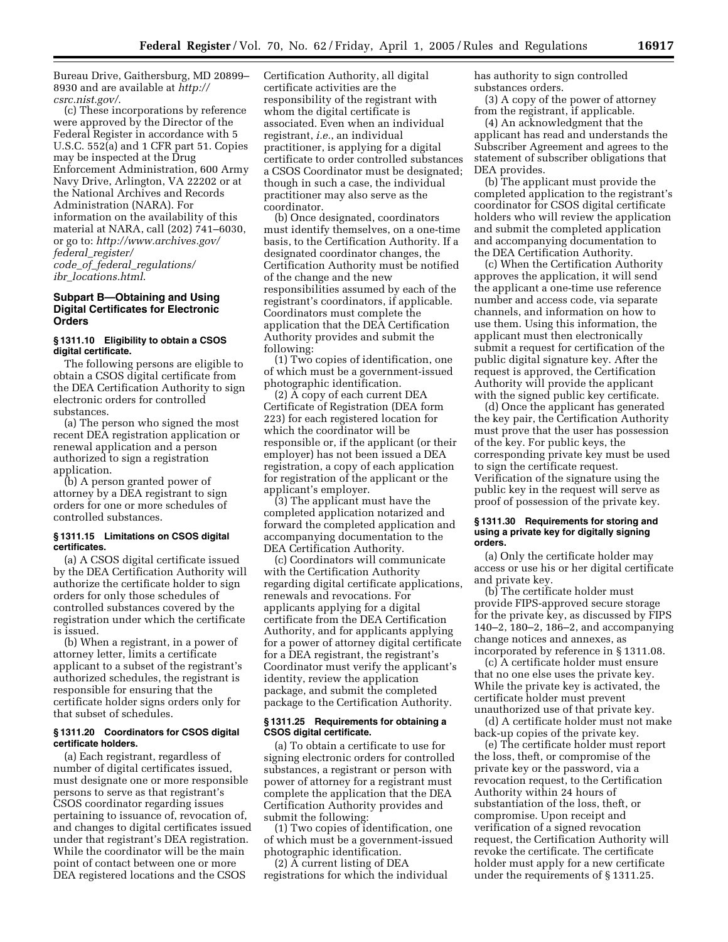Bureau Drive, Gaithersburg, MD 20899– [8930 and are available at](http://csrc.nist.gov/) *http:// csrc.nist.gov/*.

(c) These incorporations by reference were approved by the Director of the Federal Register in accordance with 5 U.S.C. 552(a) and 1 CFR part 51. Copies may be inspected at the Drug Enforcement Administration, 600 Army Navy Drive, Arlington, VA 22202 or at the National Archives and Records Administration (NARA). For information on the availability of this material at NARA, call (202) 741–6030, or go to: *[http://www.archives.gov/](http://www.archives.gov/federal_register/code_of_federal_regulations/ibr_locations.html) federal*\_*register/ code*\_*of*\_*federal*\_*regulations/ ibr*\_*locations.html*.

#### **Subpart B—Obtaining and Using Digital Certificates for Electronic Orders**

#### **§ 1311.10 Eligibility to obtain a CSOS digital certificate.**

The following persons are eligible to obtain a CSOS digital certificate from the DEA Certification Authority to sign electronic orders for controlled substances.

(a) The person who signed the most recent DEA registration application or renewal application and a person authorized to sign a registration application.

(b) A person granted power of attorney by a DEA registrant to sign orders for one or more schedules of controlled substances.

#### **§ 1311.15 Limitations on CSOS digital certificates.**

(a) A CSOS digital certificate issued by the DEA Certification Authority will authorize the certificate holder to sign orders for only those schedules of controlled substances covered by the registration under which the certificate is issued.

(b) When a registrant, in a power of attorney letter, limits a certificate applicant to a subset of the registrant's authorized schedules, the registrant is responsible for ensuring that the certificate holder signs orders only for that subset of schedules.

# **§ 1311.20 Coordinators for CSOS digital certificate holders.**

(a) Each registrant, regardless of number of digital certificates issued, must designate one or more responsible persons to serve as that registrant's CSOS coordinator regarding issues pertaining to issuance of, revocation of, and changes to digital certificates issued under that registrant's DEA registration. While the coordinator will be the main point of contact between one or more DEA registered locations and the CSOS

Certification Authority, all digital certificate activities are the responsibility of the registrant with whom the digital certificate is associated. Even when an individual registrant, *i.e.*, an individual practitioner, is applying for a digital certificate to order controlled substances a CSOS Coordinator must be designated; though in such a case, the individual practitioner may also serve as the coordinator.

(b) Once designated, coordinators must identify themselves, on a one-time basis, to the Certification Authority. If a designated coordinator changes, the Certification Authority must be notified of the change and the new responsibilities assumed by each of the registrant's coordinators, if applicable. Coordinators must complete the application that the DEA Certification Authority provides and submit the following:

(1) Two copies of identification, one of which must be a government-issued photographic identification.

(2) A copy of each current DEA Certificate of Registration (DEA form 223) for each registered location for which the coordinator will be responsible or, if the applicant (or their employer) has not been issued a DEA registration, a copy of each application for registration of the applicant or the applicant's employer.

(3) The applicant must have the completed application notarized and forward the completed application and accompanying documentation to the DEA Certification Authority.

(c) Coordinators will communicate with the Certification Authority regarding digital certificate applications, renewals and revocations. For applicants applying for a digital certificate from the DEA Certification Authority, and for applicants applying for a power of attorney digital certificate for a DEA registrant, the registrant's Coordinator must verify the applicant's identity, review the application package, and submit the completed package to the Certification Authority.

#### **§ 1311.25 Requirements for obtaining a CSOS digital certificate.**

(a) To obtain a certificate to use for signing electronic orders for controlled substances, a registrant or person with power of attorney for a registrant must complete the application that the DEA Certification Authority provides and submit the following:

(1) Two copies of identification, one of which must be a government-issued photographic identification.

(2) A current listing of DEA registrations for which the individual has authority to sign controlled substances orders.

(3) A copy of the power of attorney from the registrant, if applicable.

(4) An acknowledgment that the applicant has read and understands the Subscriber Agreement and agrees to the statement of subscriber obligations that DEA provides.

(b) The applicant must provide the completed application to the registrant's coordinator for CSOS digital certificate holders who will review the application and submit the completed application and accompanying documentation to the DEA Certification Authority.

(c) When the Certification Authority approves the application, it will send the applicant a one-time use reference number and access code, via separate channels, and information on how to use them. Using this information, the applicant must then electronically submit a request for certification of the public digital signature key. After the request is approved, the Certification Authority will provide the applicant with the signed public key certificate.

(d) Once the applicant has generated the key pair, the Certification Authority must prove that the user has possession of the key. For public keys, the corresponding private key must be used to sign the certificate request. Verification of the signature using the public key in the request will serve as proof of possession of the private key.

#### **§ 1311.30 Requirements for storing and using a private key for digitally signing orders.**

(a) Only the certificate holder may access or use his or her digital certificate and private key.

(b) The certificate holder must provide FIPS-approved secure storage for the private key, as discussed by FIPS 140–2, 180–2, 186–2, and accompanying change notices and annexes, as incorporated by reference in § 1311.08.

(c) A certificate holder must ensure that no one else uses the private key. While the private key is activated, the certificate holder must prevent unauthorized use of that private key.

(d) A certificate holder must not make back-up copies of the private key.

(e) The certificate holder must report the loss, theft, or compromise of the private key or the password, via a revocation request, to the Certification Authority within 24 hours of substantiation of the loss, theft, or compromise. Upon receipt and verification of a signed revocation request, the Certification Authority will revoke the certificate. The certificate holder must apply for a new certificate under the requirements of § 1311.25.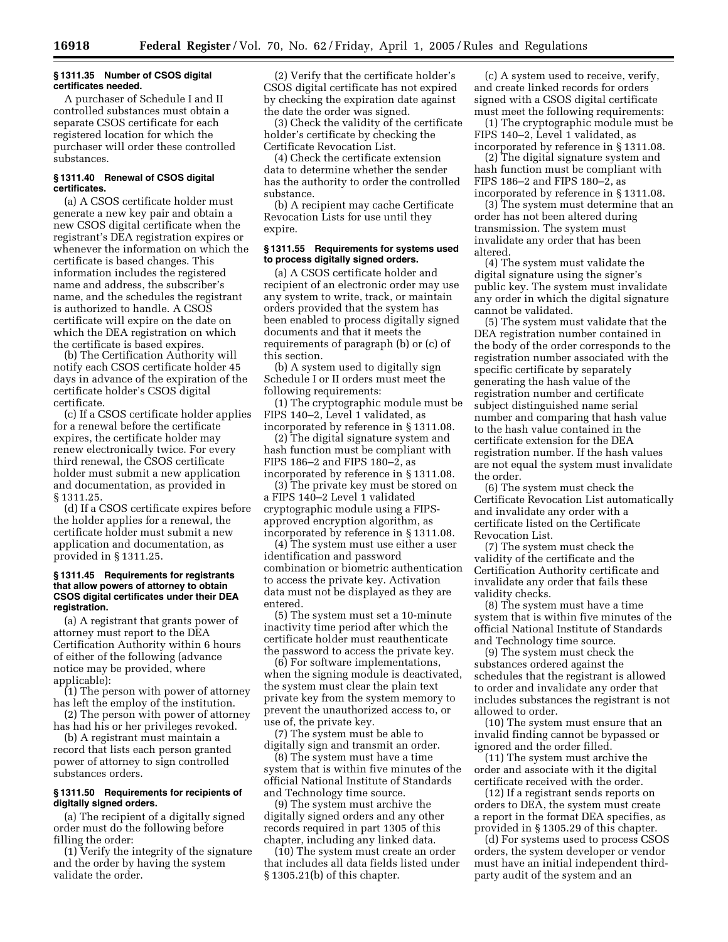#### **§ 1311.35 Number of CSOS digital certificates needed.**

A purchaser of Schedule I and II controlled substances must obtain a separate CSOS certificate for each registered location for which the purchaser will order these controlled substances.

#### **§ 1311.40 Renewal of CSOS digital certificates.**

(a) A CSOS certificate holder must generate a new key pair and obtain a new CSOS digital certificate when the registrant's DEA registration expires or whenever the information on which the certificate is based changes. This information includes the registered name and address, the subscriber's name, and the schedules the registrant is authorized to handle. A CSOS certificate will expire on the date on which the DEA registration on which the certificate is based expires.

(b) The Certification Authority will notify each CSOS certificate holder 45 days in advance of the expiration of the certificate holder's CSOS digital certificate.

(c) If a CSOS certificate holder applies for a renewal before the certificate expires, the certificate holder may renew electronically twice. For every third renewal, the CSOS certificate holder must submit a new application and documentation, as provided in § 1311.25.

(d) If a CSOS certificate expires before the holder applies for a renewal, the certificate holder must submit a new application and documentation, as provided in § 1311.25.

#### **§ 1311.45 Requirements for registrants that allow powers of attorney to obtain CSOS digital certificates under their DEA registration.**

(a) A registrant that grants power of attorney must report to the DEA Certification Authority within 6 hours of either of the following (advance notice may be provided, where applicable):

(1) The person with power of attorney has left the employ of the institution.

(2) The person with power of attorney has had his or her privileges revoked.

(b) A registrant must maintain a record that lists each person granted power of attorney to sign controlled substances orders.

## **§ 1311.50 Requirements for recipients of digitally signed orders.**

(a) The recipient of a digitally signed order must do the following before filling the order:

(1) Verify the integrity of the signature and the order by having the system validate the order.

(2) Verify that the certificate holder's CSOS digital certificate has not expired by checking the expiration date against the date the order was signed.

(3) Check the validity of the certificate holder's certificate by checking the Certificate Revocation List.

(4) Check the certificate extension data to determine whether the sender has the authority to order the controlled substance.

(b) A recipient may cache Certificate Revocation Lists for use until they expire.

#### **§ 1311.55 Requirements for systems used to process digitally signed orders.**

(a) A CSOS certificate holder and recipient of an electronic order may use any system to write, track, or maintain orders provided that the system has been enabled to process digitally signed documents and that it meets the requirements of paragraph (b) or (c) of this section.

(b) A system used to digitally sign Schedule I or II orders must meet the following requirements:

(1) The cryptographic module must be FIPS 140–2, Level 1 validated, as incorporated by reference in § 1311.08.

(2) The digital signature system and hash function must be compliant with FIPS 186–2 and FIPS 180–2, as incorporated by reference in § 1311.08.

(3) The private key must be stored on a FIPS 140–2 Level 1 validated cryptographic module using a FIPSapproved encryption algorithm, as incorporated by reference in § 1311.08.

(4) The system must use either a user identification and password combination or biometric authentication to access the private key. Activation data must not be displayed as they are entered.

(5) The system must set a 10-minute inactivity time period after which the certificate holder must reauthenticate the password to access the private key.

(6) For software implementations, when the signing module is deactivated, the system must clear the plain text private key from the system memory to prevent the unauthorized access to, or use of, the private key.

(7) The system must be able to digitally sign and transmit an order.

(8) The system must have a time system that is within five minutes of the official National Institute of Standards and Technology time source.

(9) The system must archive the digitally signed orders and any other records required in part 1305 of this chapter, including any linked data.

(10) The system must create an order that includes all data fields listed under § 1305.21(b) of this chapter.

(c) A system used to receive, verify, and create linked records for orders signed with a CSOS digital certificate must meet the following requirements:

(1) The cryptographic module must be FIPS 140–2, Level 1 validated, as incorporated by reference in § 1311.08.

(2) The digital signature system and hash function must be compliant with FIPS 186–2 and FIPS 180–2, as incorporated by reference in § 1311.08.

(3) The system must determine that an order has not been altered during transmission. The system must invalidate any order that has been altered.

(4) The system must validate the digital signature using the signer's public key. The system must invalidate any order in which the digital signature cannot be validated.

(5) The system must validate that the DEA registration number contained in the body of the order corresponds to the registration number associated with the specific certificate by separately generating the hash value of the registration number and certificate subject distinguished name serial number and comparing that hash value to the hash value contained in the certificate extension for the DEA registration number. If the hash values are not equal the system must invalidate the order.

(6) The system must check the Certificate Revocation List automatically and invalidate any order with a certificate listed on the Certificate Revocation List.

(7) The system must check the validity of the certificate and the Certification Authority certificate and invalidate any order that fails these validity checks.

(8) The system must have a time system that is within five minutes of the official National Institute of Standards and Technology time source.

(9) The system must check the substances ordered against the schedules that the registrant is allowed to order and invalidate any order that includes substances the registrant is not allowed to order.

(10) The system must ensure that an invalid finding cannot be bypassed or ignored and the order filled.

(11) The system must archive the order and associate with it the digital certificate received with the order.

(12) If a registrant sends reports on orders to DEA, the system must create a report in the format DEA specifies, as provided in § 1305.29 of this chapter.

(d) For systems used to process CSOS orders, the system developer or vendor must have an initial independent thirdparty audit of the system and an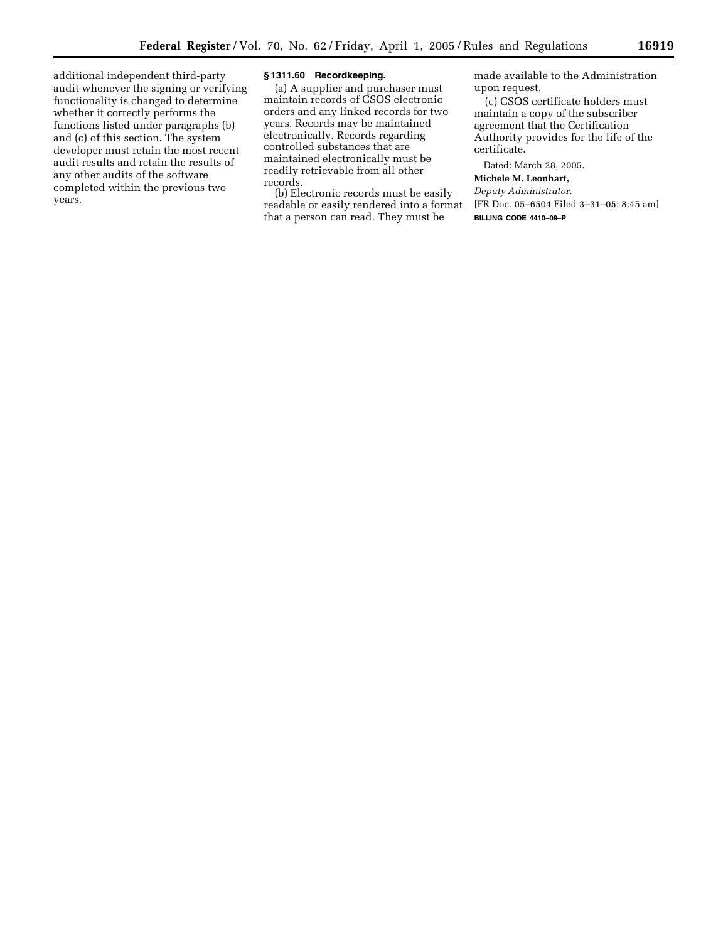additional independent third-party audit whenever the signing or verifying functionality is changed to determine whether it correctly performs the functions listed under paragraphs (b) and (c) of this section. The system developer must retain the most recent audit results and retain the results of any other audits of the software completed within the previous two years.

### **§ 1311.60 Recordkeeping.**

(a) A supplier and purchaser must maintain records of CSOS electronic orders and any linked records for two years. Records may be maintained electronically. Records regarding controlled substances that are maintained electronically must be readily retrievable from all other records.

(b) Electronic records must be easily readable or easily rendered into a format that a person can read. They must be

made available to the Administration upon request.

(c) CSOS certificate holders must maintain a copy of the subscriber agreement that the Certification Authority provides for the life of the certificate.

Dated: March 28, 2005.

# **Michele M. Leonhart,**

*Deputy Administrator.*

[FR Doc. 05–6504 Filed 3–31–05; 8:45 am] **BILLING CODE 4410–09–P**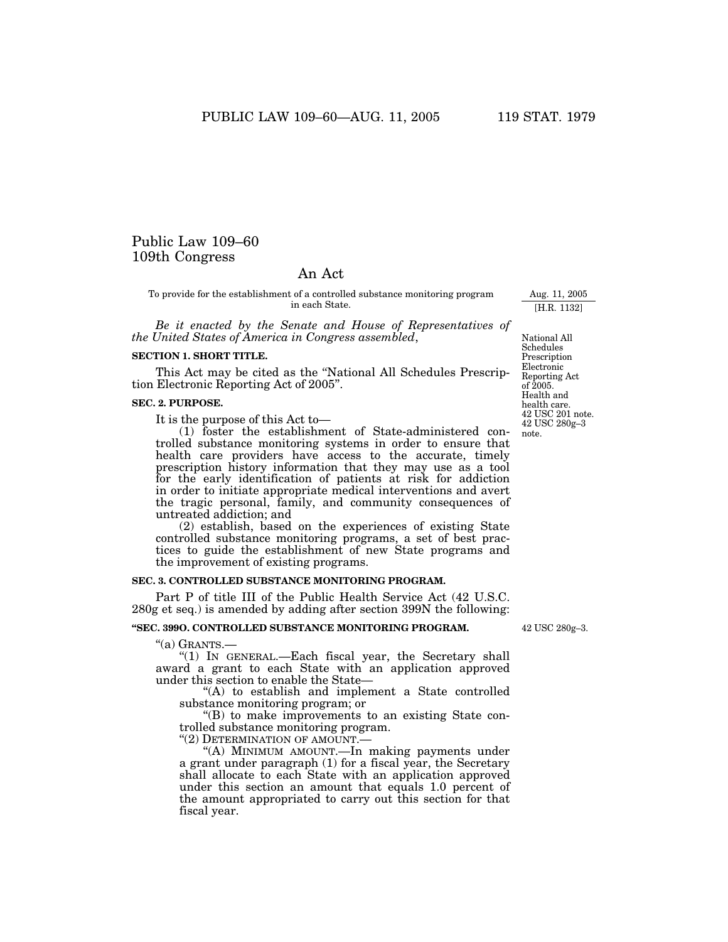# Public Law 109–60 109th Congress

# An Act

To provide for the establishment of a controlled substance monitoring program in each State.

*Be it enacted by the Senate and House of Representatives of the United States of America in Congress assembled*,

### **SECTION 1. SHORT TITLE.**

This Act may be cited as the ''National All Schedules Prescription Electronic Reporting Act of 2005''.

#### **SEC. 2. PURPOSE.**

It is the purpose of this Act to—

(1) foster the establishment of State-administered controlled substance monitoring systems in order to ensure that health care providers have access to the accurate, timely prescription history information that they may use as a tool for the early identification of patients at risk for addiction in order to initiate appropriate medical interventions and avert the tragic personal, family, and community consequences of untreated addiction; and

(2) establish, based on the experiences of existing State controlled substance monitoring programs, a set of best practices to guide the establishment of new State programs and the improvement of existing programs.

# **SEC. 3. CONTROLLED SUBSTANCE MONITORING PROGRAM.**

Part P of title III of the Public Health Service Act (42 U.S.C. 280g et seq.) is amended by adding after section 399N the following:

# **''SEC. 399O. CONTROLLED SUBSTANCE MONITORING PROGRAM.**

''(a) GRANTS.—

"(1) IN GENERAL.—Each fiscal year, the Secretary shall award a grant to each State with an application approved under this section to enable the State—

''(A) to establish and implement a State controlled substance monitoring program; or

''(B) to make improvements to an existing State controlled substance monitoring program.

"(2) DETERMINATION OF AMOUNT.-

''(A) MINIMUM AMOUNT.—In making payments under a grant under paragraph (1) for a fiscal year, the Secretary shall allocate to each State with an application approved under this section an amount that equals 1.0 percent of the amount appropriated to carry out this section for that fiscal year.

Reporting Act of 2005. Health and health care. 42 USC 201 note. 42 USC 280g–3 note.

National All Schedules Prescription Electronic

Aug. 11, 2005 [H.R. 1132]

42 USC 280g–3.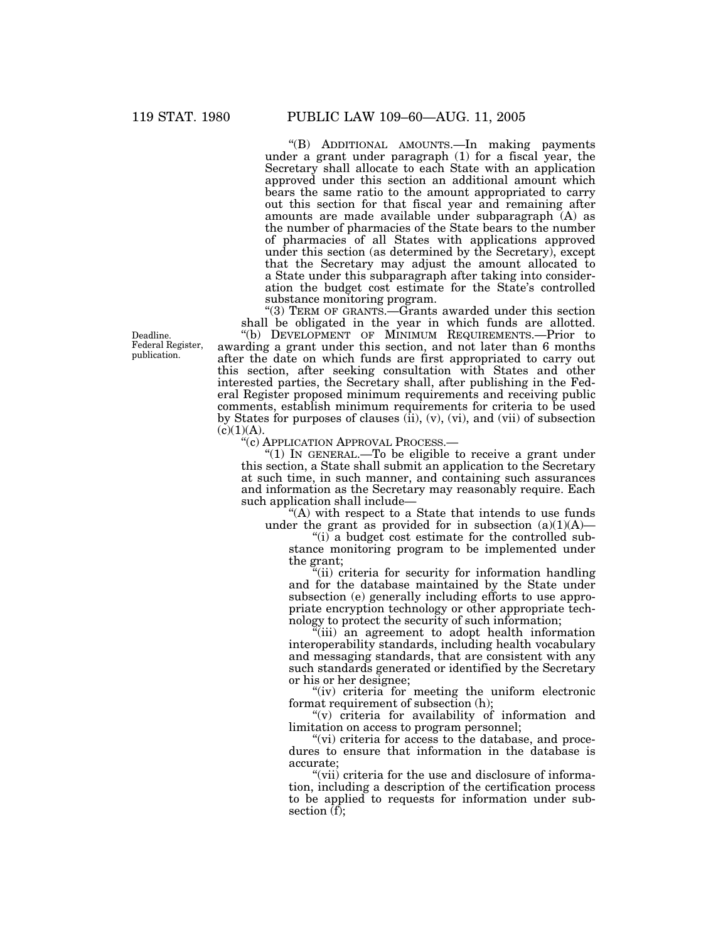''(B) ADDITIONAL AMOUNTS.—In making payments under a grant under paragraph (1) for a fiscal year, the Secretary shall allocate to each State with an application approved under this section an additional amount which bears the same ratio to the amount appropriated to carry out this section for that fiscal year and remaining after amounts are made available under subparagraph (A) as the number of pharmacies of the State bears to the number of pharmacies of all States with applications approved under this section (as determined by the Secretary), except that the Secretary may adjust the amount allocated to a State under this subparagraph after taking into consideration the budget cost estimate for the State's controlled substance monitoring program.

"(3) TERM OF GRANTS.—Grants awarded under this section shall be obligated in the year in which funds are allotted.

''(b) DEVELOPMENT OF MINIMUM REQUIREMENTS.—Prior to awarding a grant under this section, and not later than 6 months after the date on which funds are first appropriated to carry out this section, after seeking consultation with States and other interested parties, the Secretary shall, after publishing in the Federal Register proposed minimum requirements and receiving public comments, establish minimum requirements for criteria to be used by States for purposes of clauses  $(ii)$ ,  $(v)$ ,  $(vi)$ , and  $(vii)$  of subsection  $(c)(1)(A).$ 

''(c) APPLICATION APPROVAL PROCESS.—

" $(1)$  In GENERAL.—To be eligible to receive a grant under this section, a State shall submit an application to the Secretary at such time, in such manner, and containing such assurances and information as the Secretary may reasonably require. Each such application shall include—

''(A) with respect to a State that intends to use funds under the grant as provided for in subsection  $(a)(1)(A)$ —

''(i) a budget cost estimate for the controlled substance monitoring program to be implemented under the grant;

''(ii) criteria for security for information handling and for the database maintained by the State under subsection (e) generally including efforts to use appropriate encryption technology or other appropriate technology to protect the security of such information;

''(iii) an agreement to adopt health information interoperability standards, including health vocabulary and messaging standards, that are consistent with any such standards generated or identified by the Secretary or his or her designee;

"(iv) criteria for meeting the uniform electronic format requirement of subsection (h);

" $(v)$  criteria for availability of information and limitation on access to program personnel;

"(vi) criteria for access to the database, and procedures to ensure that information in the database is accurate;

"(vii) criteria for the use and disclosure of information, including a description of the certification process to be applied to requests for information under subsection  $(f)$ ;

Deadline. Federal Register, publication.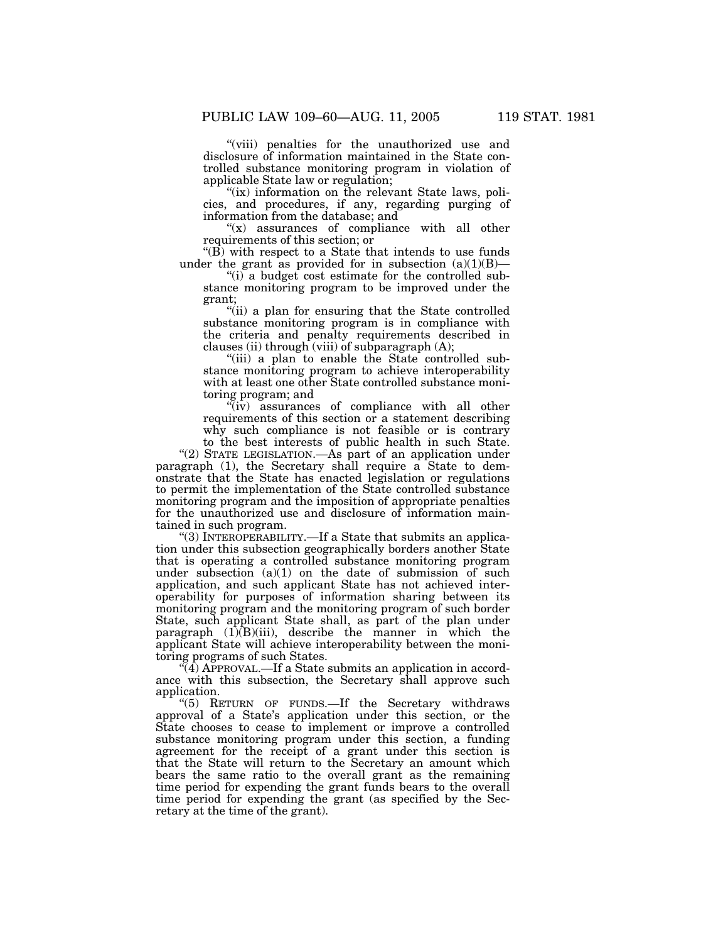"(viii) penalties for the unauthorized use and disclosure of information maintained in the State controlled substance monitoring program in violation of applicable State law or regulation;

"(ix) information on the relevant State laws, policies, and procedures, if any, regarding purging of information from the database; and

" $(x)$  assurances of compliance with all other requirements of this section; or

 $\mathrm{H}(B)$  with respect to a State that intends to use funds under the grant as provided for in subsection  $(a)(1)(B)$ —

"(i) a budget cost estimate for the controlled substance monitoring program to be improved under the grant;

''(ii) a plan for ensuring that the State controlled substance monitoring program is in compliance with the criteria and penalty requirements described in clauses (ii) through (viii) of subparagraph (A);

"(iii) a plan to enable the State controlled substance monitoring program to achieve interoperability with at least one other State controlled substance monitoring program; and

"(iv) assurances of compliance with all other requirements of this section or a statement describing why such compliance is not feasible or is contrary

to the best interests of public health in such State. "(2) STATE LEGISLATION.—As part of an application under paragraph (1), the Secretary shall require a State to demonstrate that the State has enacted legislation or regulations

to permit the implementation of the State controlled substance monitoring program and the imposition of appropriate penalties for the unauthorized use and disclosure of information maintained in such program.

''(3) INTEROPERABILITY.—If a State that submits an application under this subsection geographically borders another State that is operating a controlled substance monitoring program under subsection  $(a)(1)$  on the date of submission of such application, and such applicant State has not achieved interoperability for purposes of information sharing between its monitoring program and the monitoring program of such border State, such applicant State shall, as part of the plan under paragraph  $(1)(B)(iii)$ , describe the manner in which the applicant State will achieve interoperability between the monitoring programs of such States.

 $\sqrt[q]{4}$ ) APPROVAL.—If a State submits an application in accordance with this subsection, the Secretary shall approve such application.

''(5) RETURN OF FUNDS.—If the Secretary withdraws approval of a State's application under this section, or the State chooses to cease to implement or improve a controlled substance monitoring program under this section, a funding agreement for the receipt of a grant under this section is that the State will return to the Secretary an amount which bears the same ratio to the overall grant as the remaining time period for expending the grant funds bears to the overall time period for expending the grant (as specified by the Secretary at the time of the grant).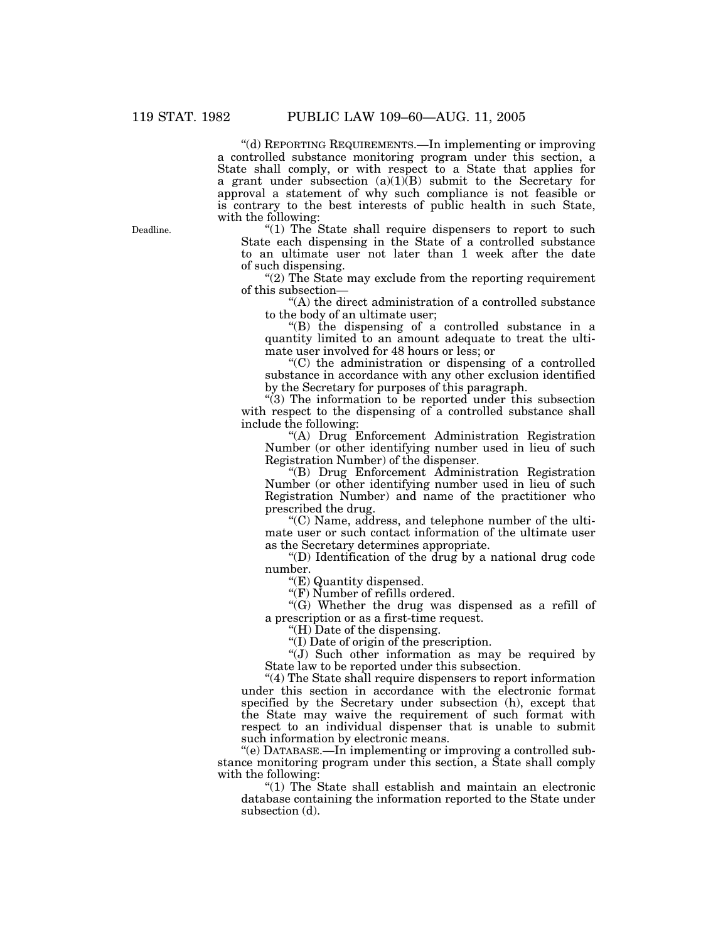''(d) REPORTING REQUIREMENTS.—In implementing or improving a controlled substance monitoring program under this section, a State shall comply, or with respect to a State that applies for a grant under subsection  $(a)(1)(B)$  submit to the Secretary for approval a statement of why such compliance is not feasible or is contrary to the best interests of public health in such State, with the following:

" $(1)$  The State shall require dispensers to report to such State each dispensing in the State of a controlled substance to an ultimate user not later than 1 week after the date of such dispensing.

"(2) The State may exclude from the reporting requirement of this subsection—

''(A) the direct administration of a controlled substance to the body of an ultimate user;

''(B) the dispensing of a controlled substance in a quantity limited to an amount adequate to treat the ultimate user involved for 48 hours or less; or

''(C) the administration or dispensing of a controlled substance in accordance with any other exclusion identified by the Secretary for purposes of this paragraph.

''(3) The information to be reported under this subsection with respect to the dispensing of a controlled substance shall include the following:

''(A) Drug Enforcement Administration Registration Number (or other identifying number used in lieu of such Registration Number) of the dispenser.

''(B) Drug Enforcement Administration Registration Number (or other identifying number used in lieu of such Registration Number) and name of the practitioner who prescribed the drug.

''(C) Name, address, and telephone number of the ultimate user or such contact information of the ultimate user as the Secretary determines appropriate.

''(D) Identification of the drug by a national drug code number.

''(E) Quantity dispensed.

''(F) Number of refills ordered.

''(G) Whether the drug was dispensed as a refill of a prescription or as a first-time request.

''(H) Date of the dispensing.

''(I) Date of origin of the prescription.

''(J) Such other information as may be required by State law to be reported under this subsection.

''(4) The State shall require dispensers to report information under this section in accordance with the electronic format specified by the Secretary under subsection (h), except that the State may waive the requirement of such format with respect to an individual dispenser that is unable to submit such information by electronic means.

''(e) DATABASE.—In implementing or improving a controlled substance monitoring program under this section, a State shall comply with the following:

''(1) The State shall establish and maintain an electronic database containing the information reported to the State under subsection (d).

Deadline.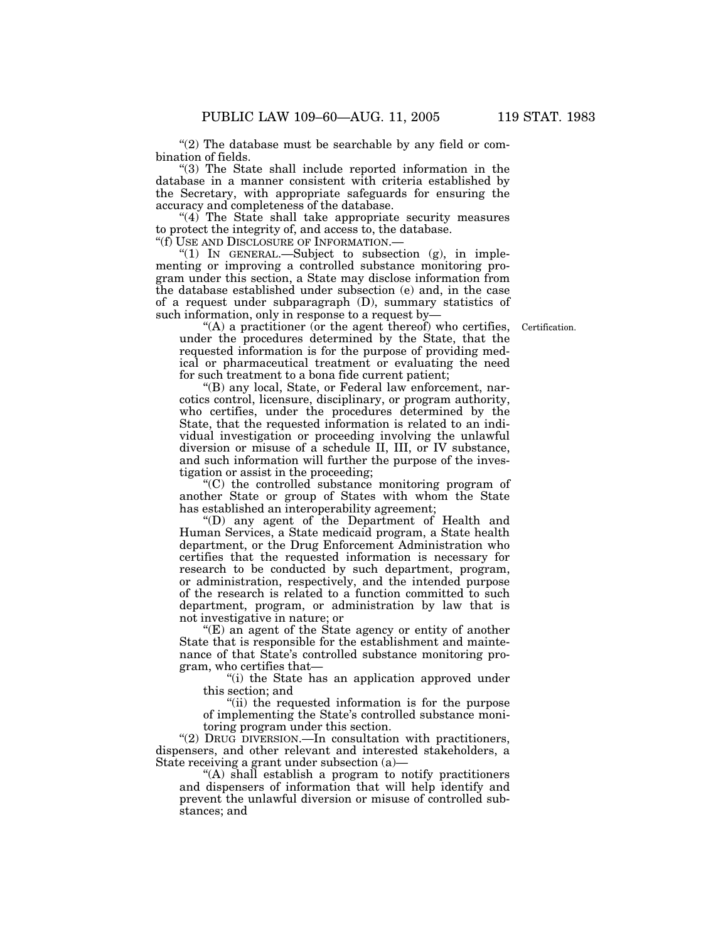"(2) The database must be searchable by any field or combination of fields.

''(3) The State shall include reported information in the database in a manner consistent with criteria established by the Secretary, with appropriate safeguards for ensuring the accuracy and completeness of the database.

"(4) The State shall take appropriate security measures to protect the integrity of, and access to, the database.

''(f) USE AND DISCLOSURE OF INFORMATION.—

"(1) IN GENERAL.—Subject to subsection  $(g)$ , in implementing or improving a controlled substance monitoring program under this section, a State may disclose information from the database established under subsection (e) and, in the case of a request under subparagraph (D), summary statistics of such information, only in response to a request by—

Certification.

''(A) a practitioner (or the agent thereof) who certifies, under the procedures determined by the State, that the requested information is for the purpose of providing medical or pharmaceutical treatment or evaluating the need for such treatment to a bona fide current patient;

''(B) any local, State, or Federal law enforcement, narcotics control, licensure, disciplinary, or program authority, who certifies, under the procedures determined by the State, that the requested information is related to an individual investigation or proceeding involving the unlawful diversion or misuse of a schedule II, III, or IV substance, and such information will further the purpose of the investigation or assist in the proceeding;

''(C) the controlled substance monitoring program of another State or group of States with whom the State has established an interoperability agreement;

''(D) any agent of the Department of Health and Human Services, a State medicaid program, a State health department, or the Drug Enforcement Administration who certifies that the requested information is necessary for research to be conducted by such department, program, or administration, respectively, and the intended purpose of the research is related to a function committed to such department, program, or administration by law that is not investigative in nature; or

''(E) an agent of the State agency or entity of another State that is responsible for the establishment and maintenance of that State's controlled substance monitoring program, who certifies that—

''(i) the State has an application approved under this section; and

''(ii) the requested information is for the purpose of implementing the State's controlled substance monitoring program under this section.

''(2) DRUG DIVERSION.—In consultation with practitioners, dispensers, and other relevant and interested stakeholders, a State receiving a grant under subsection (a)—

''(A) shall establish a program to notify practitioners and dispensers of information that will help identify and prevent the unlawful diversion or misuse of controlled substances; and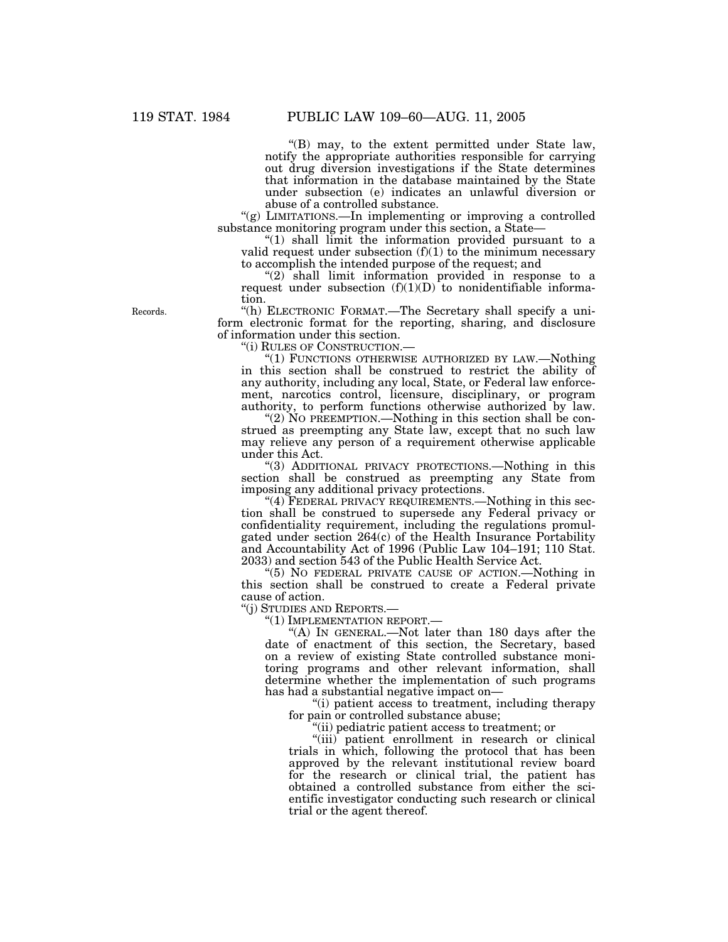''(B) may, to the extent permitted under State law, notify the appropriate authorities responsible for carrying out drug diversion investigations if the State determines that information in the database maintained by the State under subsection (e) indicates an unlawful diversion or abuse of a controlled substance.

"(g) LIMITATIONS.—In implementing or improving a controlled substance monitoring program under this section, a State—

"(1) shall limit the information provided pursuant to a valid request under subsection  $(f)(1)$  to the minimum necessary to accomplish the intended purpose of the request; and

"(2) shall limit information provided in response to a request under subsection  $(f)(1)(D)$  to nonidentifiable information.

''(h) ELECTRONIC FORMAT.—The Secretary shall specify a uniform electronic format for the reporting, sharing, and disclosure of information under this section.

''(i) RULES OF CONSTRUCTION.—

"(1) FUNCTIONS OTHERWISE AUTHORIZED BY LAW.—Nothing in this section shall be construed to restrict the ability of any authority, including any local, State, or Federal law enforcement, narcotics control, licensure, disciplinary, or program authority, to perform functions otherwise authorized by law.

"(2) NO PREEMPTION.—Nothing in this section shall be construed as preempting any State law, except that no such law may relieve any person of a requirement otherwise applicable under this Act.

''(3) ADDITIONAL PRIVACY PROTECTIONS.—Nothing in this section shall be construed as preempting any State from imposing any additional privacy protections.

"(4) FEDERAL PRIVACY REQUIREMENTS.—Nothing in this section shall be construed to supersede any Federal privacy or confidentiality requirement, including the regulations promulgated under section 264(c) of the Health Insurance Portability and Accountability Act of 1996 (Public Law 104–191; 110 Stat. 2033) and section 543 of the Public Health Service Act.

''(5) NO FEDERAL PRIVATE CAUSE OF ACTION.—Nothing in this section shall be construed to create a Federal private cause of action.

''(j) STUDIES AND REPORTS.—

''(1) IMPLEMENTATION REPORT.—

"(A) IN GENERAL.—Not later than 180 days after the date of enactment of this section, the Secretary, based on a review of existing State controlled substance monitoring programs and other relevant information, shall determine whether the implementation of such programs has had a substantial negative impact on—

''(i) patient access to treatment, including therapy for pain or controlled substance abuse;

''(ii) pediatric patient access to treatment; or

''(iii) patient enrollment in research or clinical trials in which, following the protocol that has been approved by the relevant institutional review board for the research or clinical trial, the patient has obtained a controlled substance from either the scientific investigator conducting such research or clinical trial or the agent thereof.

Records.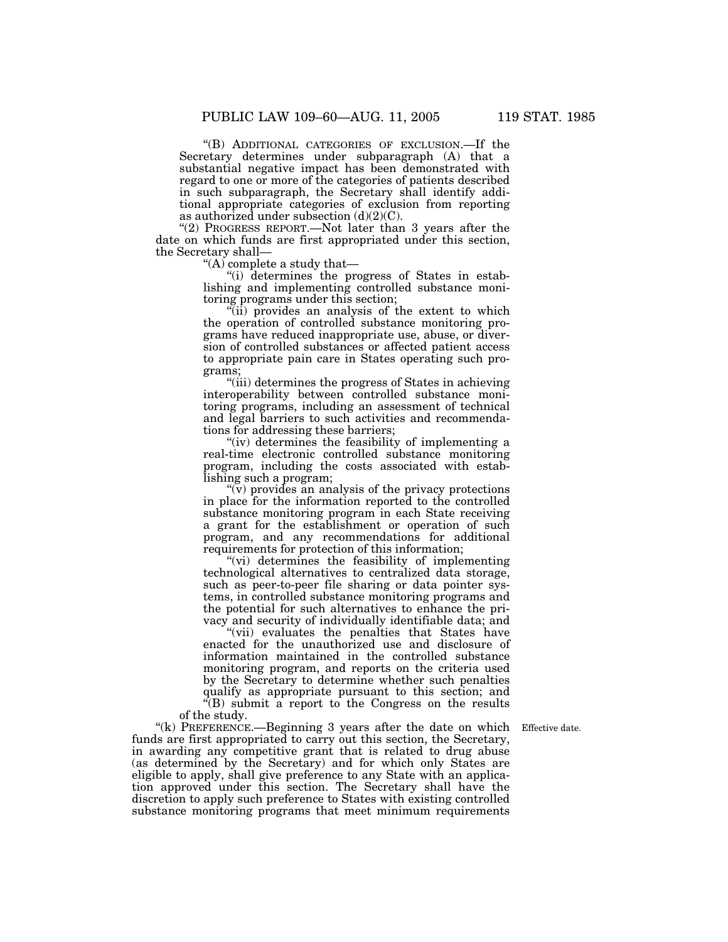''(B) ADDITIONAL CATEGORIES OF EXCLUSION.—If the Secretary determines under subparagraph (A) that a substantial negative impact has been demonstrated with regard to one or more of the categories of patients described in such subparagraph, the Secretary shall identify additional appropriate categories of exclusion from reporting as authorized under subsection  $(d)(2)(C)$ .

"(2) PROGRESS REPORT.—Not later than 3 years after the date on which funds are first appropriated under this section, the Secretary shall—

''(A) complete a study that—

''(i) determines the progress of States in establishing and implementing controlled substance monitoring programs under this section;

 $\tilde{f}$ (ii) provides an analysis of the extent to which the operation of controlled substance monitoring programs have reduced inappropriate use, abuse, or diversion of controlled substances or affected patient access to appropriate pain care in States operating such programs;

''(iii) determines the progress of States in achieving interoperability between controlled substance monitoring programs, including an assessment of technical and legal barriers to such activities and recommendations for addressing these barriers;

"(iv) determines the feasibility of implementing a real-time electronic controlled substance monitoring program, including the costs associated with establishing such a program;

 $\widetilde{\mathfrak{y}}$ ) provides an analysis of the privacy protections in place for the information reported to the controlled substance monitoring program in each State receiving a grant for the establishment or operation of such program, and any recommendations for additional requirements for protection of this information;

''(vi) determines the feasibility of implementing technological alternatives to centralized data storage, such as peer-to-peer file sharing or data pointer systems, in controlled substance monitoring programs and the potential for such alternatives to enhance the privacy and security of individually identifiable data; and

"(vii) evaluates the penalties that States have enacted for the unauthorized use and disclosure of information maintained in the controlled substance monitoring program, and reports on the criteria used by the Secretary to determine whether such penalties qualify as appropriate pursuant to this section; and ''(B) submit a report to the Congress on the results of the study.

''(k) PREFERENCE.—Beginning 3 years after the date on which Effective date. funds are first appropriated to carry out this section, the Secretary, in awarding any competitive grant that is related to drug abuse (as determined by the Secretary) and for which only States are eligible to apply, shall give preference to any State with an application approved under this section. The Secretary shall have the discretion to apply such preference to States with existing controlled substance monitoring programs that meet minimum requirements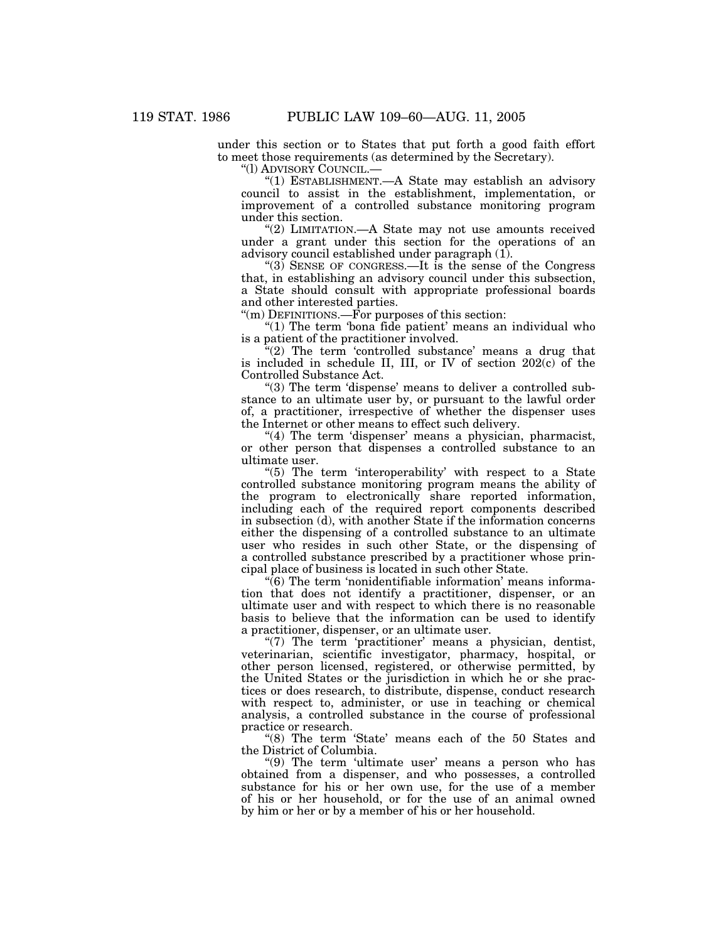under this section or to States that put forth a good faith effort to meet those requirements (as determined by the Secretary).

''(l) ADVISORY COUNCIL.—

''(1) ESTABLISHMENT.—A State may establish an advisory council to assist in the establishment, implementation, or improvement of a controlled substance monitoring program under this section.

"(2) LIMITATION.—A State may not use amounts received under a grant under this section for the operations of an advisory council established under paragraph (1).

''(3) SENSE OF CONGRESS.—It is the sense of the Congress that, in establishing an advisory council under this subsection, a State should consult with appropriate professional boards and other interested parties.

''(m) DEFINITIONS.—For purposes of this section:

"(1) The term 'bona fide patient' means an individual who is a patient of the practitioner involved.

 $f''(2)$  The term 'controlled substance' means a drug that is included in schedule II, III, or IV of section 202(c) of the Controlled Substance Act.

"(3) The term 'dispense' means to deliver a controlled substance to an ultimate user by, or pursuant to the lawful order of, a practitioner, irrespective of whether the dispenser uses the Internet or other means to effect such delivery.

"(4) The term 'dispenser' means a physician, pharmacist, or other person that dispenses a controlled substance to an ultimate user.

"(5) The term 'interoperability' with respect to a State controlled substance monitoring program means the ability of the program to electronically share reported information, including each of the required report components described in subsection (d), with another State if the information concerns either the dispensing of a controlled substance to an ultimate user who resides in such other State, or the dispensing of a controlled substance prescribed by a practitioner whose principal place of business is located in such other State.

 $\sqrt{6}$ ) The term 'nonidentifiable information' means information that does not identify a practitioner, dispenser, or an ultimate user and with respect to which there is no reasonable basis to believe that the information can be used to identify a practitioner, dispenser, or an ultimate user.

 $''(7)$  The term 'practitioner' means a physician, dentist, veterinarian, scientific investigator, pharmacy, hospital, or other person licensed, registered, or otherwise permitted, by the United States or the jurisdiction in which he or she practices or does research, to distribute, dispense, conduct research with respect to, administer, or use in teaching or chemical analysis, a controlled substance in the course of professional practice or research.

"(8) The term 'State' means each of the 50 States and the District of Columbia.

''(9) The term 'ultimate user' means a person who has obtained from a dispenser, and who possesses, a controlled substance for his or her own use, for the use of a member of his or her household, or for the use of an animal owned by him or her or by a member of his or her household.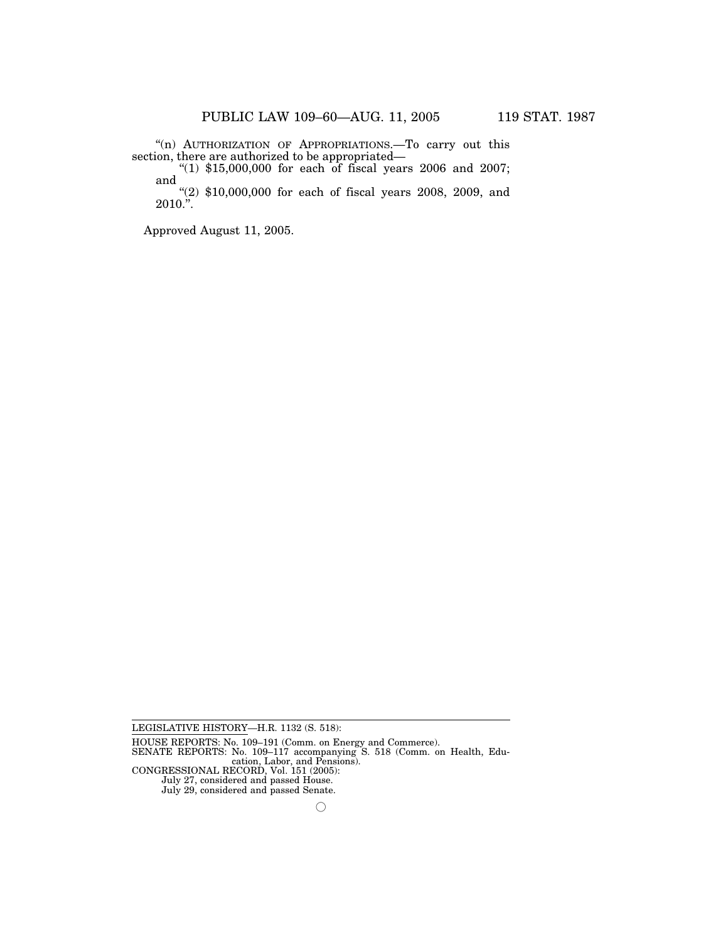''(n) AUTHORIZATION OF APPROPRIATIONS.—To carry out this section, there are authorized to be appropriated—<br>"(1) \$15,000,000 for each of fiscal years 2006 and 2007;

and

''(2) \$10,000,000 for each of fiscal years 2008, 2009, and  $2010.$ ".

Approved August 11, 2005.

July 27, considered and passed House. July 29, considered and passed Senate.

LEGISLATIVE HISTORY—H.R. 1132 (S. 518):

HOUSE REPORTS: No. 109–191 (Comm. on Energy and Commerce).

SENATE REPORTS: No. 109–117 accompanying S. 518 (Comm. on Health, Education, Labor, and Pensions). CONGRESSIONAL RECORD, Vol. 151 (2005):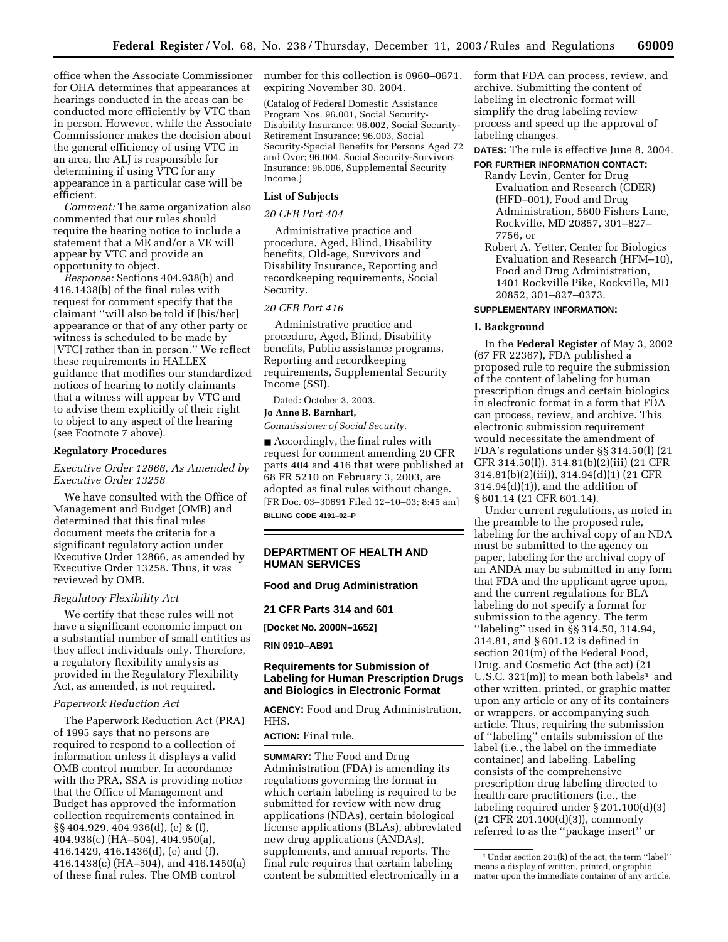office when the Associate Commissioner for OHA determines that appearances at hearings conducted in the areas can be conducted more efficiently by VTC than in person. However, while the Associate Commissioner makes the decision about the general efficiency of using VTC in an area, the ALJ is responsible for determining if using VTC for any appearance in a particular case will be efficient.

*Comment:* The same organization also commented that our rules should require the hearing notice to include a statement that a ME and/or a VE will appear by VTC and provide an opportunity to object.

*Response:* Sections 404.938(b) and 416.1438(b) of the final rules with request for comment specify that the claimant ''will also be told if [his/her] appearance or that of any other party or witness is scheduled to be made by [VTC] rather than in person.'' We reflect these requirements in HALLEX guidance that modifies our standardized notices of hearing to notify claimants that a witness will appear by VTC and to advise them explicitly of their right to object to any aspect of the hearing (see Footnote 7 above).

#### **Regulatory Procedures**

### *Executive Order 12866, As Amended by Executive Order 13258*

We have consulted with the Office of Management and Budget (OMB) and determined that this final rules document meets the criteria for a significant regulatory action under Executive Order 12866, as amended by Executive Order 13258. Thus, it was reviewed by OMB.

#### *Regulatory Flexibility Act*

We certify that these rules will not have a significant economic impact on a substantial number of small entities as they affect individuals only. Therefore, a regulatory flexibility analysis as provided in the Regulatory Flexibility Act, as amended, is not required.

#### *Paperwork Reduction Act*

The Paperwork Reduction Act (PRA) of 1995 says that no persons are required to respond to a collection of information unless it displays a valid OMB control number. In accordance with the PRA, SSA is providing notice that the Office of Management and Budget has approved the information collection requirements contained in §§ 404.929, 404.936(d), (e) & (f), 404.938(c) (HA–504), 404.950(a), 416.1429, 416.1436(d), (e) and (f), 416.1438(c) (HA–504), and 416.1450(a) of these final rules. The OMB control

number for this collection is 0960–0671, expiring November 30, 2004.

(Catalog of Federal Domestic Assistance Program Nos. 96.001, Social Security-Disability Insurance; 96.002, Social Security-Retirement Insurance; 96.003, Social Security-Special Benefits for Persons Aged 72 and Over; 96.004, Social Security-Survivors Insurance; 96.006, Supplemental Security Income.)

#### **List of Subjects**

#### *20 CFR Part 404*

Administrative practice and procedure, Aged, Blind, Disability benefits, Old-age, Survivors and Disability Insurance, Reporting and recordkeeping requirements, Social Security.

#### *20 CFR Part 416*

Administrative practice and procedure, Aged, Blind, Disability benefits, Public assistance programs, Reporting and recordkeeping requirements, Supplemental Security Income (SSI).

Dated: October 3, 2003.

#### **Jo Anne B. Barnhart,**

*Commissioner of Social Security.*

■ Accordingly, the final rules with request for comment amending 20 CFR parts 404 and 416 that were published at 68 FR 5210 on February 3, 2003, are adopted as final rules without change. [FR Doc. 03–30691 Filed 12–10–03; 8:45 am] **BILLING CODE 4191–02–P**

#### **DEPARTMENT OF HEALTH AND HUMAN SERVICES**

# **Food and Drug Administration**

#### **21 CFR Parts 314 and 601**

**[Docket No. 2000N–1652]**

#### **RIN 0910–AB91**

## **Requirements for Submission of Labeling for Human Prescription Drugs and Biologics in Electronic Format**

**AGENCY:** Food and Drug Administration, HHS.

#### **ACTION:** Final rule.

**SUMMARY:** The Food and Drug Administration (FDA) is amending its regulations governing the format in which certain labeling is required to be submitted for review with new drug applications (NDAs), certain biological license applications (BLAs), abbreviated new drug applications (ANDAs), supplements, and annual reports. The final rule requires that certain labeling content be submitted electronically in a

form that FDA can process, review, and archive. Submitting the content of labeling in electronic format will simplify the drug labeling review process and speed up the approval of labeling changes.

**DATES:** The rule is effective June 8, 2004.

# **FOR FURTHER INFORMATION CONTACT:**

- Randy Levin, Center for Drug Evaluation and Research (CDER) (HFD–001), Food and Drug Administration, 5600 Fishers Lane, Rockville, MD 20857, 301–827– 7756, or
- Robert A. Yetter, Center for Biologics Evaluation and Research (HFM–10), Food and Drug Administration, 1401 Rockville Pike, Rockville, MD 20852, 301–827–0373.

## **SUPPLEMENTARY INFORMATION:**

#### **I. Background**

In the **Federal Register** of May 3, 2002 (67 FR 22367), FDA published a proposed rule to require the submission of the content of labeling for human prescription drugs and certain biologics in electronic format in a form that FDA can process, review, and archive. This electronic submission requirement would necessitate the amendment of FDA's regulations under §§ 314.50(l) (21 CFR 314.50(l)), 314.81(b)(2)(iii) (21 CFR 314.81(b)(2)(iii)), 314.94(d)(1) (21 CFR  $314.94(d)(1)$ , and the addition of § 601.14 (21 CFR 601.14).

Under current regulations, as noted in the preamble to the proposed rule, labeling for the archival copy of an NDA must be submitted to the agency on paper, labeling for the archival copy of an ANDA may be submitted in any form that FDA and the applicant agree upon, and the current regulations for BLA labeling do not specify a format for submission to the agency. The term ''labeling'' used in §§ 314.50, 314.94, 314.81, and § 601.12 is defined in section 201(m) of the Federal Food, Drug, and Cosmetic Act (the act) (21 U.S.C.  $321(m)$  to mean both labels<sup>1</sup> and other written, printed, or graphic matter upon any article or any of its containers or wrappers, or accompanying such article. Thus, requiring the submission of ''labeling'' entails submission of the label (i.e., the label on the immediate container) and labeling. Labeling consists of the comprehensive prescription drug labeling directed to health care practitioners (i.e., the labeling required under § 201.100(d)(3) (21 CFR 201.100(d)(3)), commonly referred to as the ''package insert'' or

<sup>1</sup>Under section 201(k) of the act, the term ''label'' means a display of written, printed, or graphic matter upon the immediate container of any article.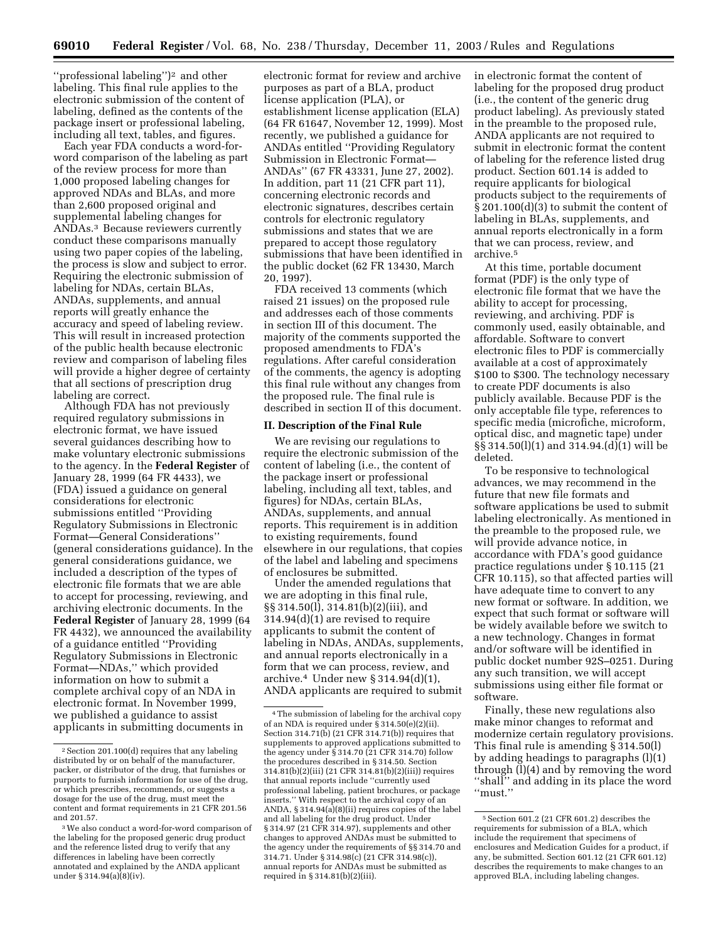"professional labeling")<sup>2</sup> and other labeling. This final rule applies to the electronic submission of the content of labeling, defined as the contents of the package insert or professional labeling, including all text, tables, and figures.

Each year FDA conducts a word-forword comparison of the labeling as part of the review process for more than 1,000 proposed labeling changes for approved NDAs and BLAs, and more than 2,600 proposed original and supplemental labeling changes for ANDAs.3 Because reviewers currently conduct these comparisons manually using two paper copies of the labeling, the process is slow and subject to error. Requiring the electronic submission of labeling for NDAs, certain BLAs, ANDAs, supplements, and annual reports will greatly enhance the accuracy and speed of labeling review. This will result in increased protection of the public health because electronic review and comparison of labeling files will provide a higher degree of certainty that all sections of prescription drug labeling are correct.

Although FDA has not previously required regulatory submissions in electronic format, we have issued several guidances describing how to make voluntary electronic submissions to the agency. In the **Federal Register** of January 28, 1999 (64 FR 4433), we (FDA) issued a guidance on general considerations for electronic submissions entitled ''Providing Regulatory Submissions in Electronic Format—General Considerations'' (general considerations guidance). In the general considerations guidance, we included a description of the types of electronic file formats that we are able to accept for processing, reviewing, and archiving electronic documents. In the **Federal Register** of January 28, 1999 (64 FR 4432), we announced the availability of a guidance entitled ''Providing Regulatory Submissions in Electronic Format—NDAs,'' which provided information on how to submit a complete archival copy of an NDA in electronic format. In November 1999, we published a guidance to assist applicants in submitting documents in

electronic format for review and archive purposes as part of a BLA, product license application (PLA), or establishment license application (ELA) (64 FR 61647, November 12, 1999). Most recently, we published a guidance for ANDAs entitled ''Providing Regulatory Submission in Electronic Format— ANDAs'' (67 FR 43331, June 27, 2002). In addition, part 11 (21 CFR part 11), concerning electronic records and electronic signatures, describes certain controls for electronic regulatory submissions and states that we are prepared to accept those regulatory submissions that have been identified in the public docket (62 FR 13430, March 20, 1997).

FDA received 13 comments (which raised 21 issues) on the proposed rule and addresses each of those comments in section III of this document. The majority of the comments supported the proposed amendments to FDA's regulations. After careful consideration of the comments, the agency is adopting this final rule without any changes from the proposed rule. The final rule is described in section II of this document.

#### **II. Description of the Final Rule**

We are revising our regulations to require the electronic submission of the content of labeling (i.e., the content of the package insert or professional labeling, including all text, tables, and figures) for NDAs, certain BLAs, ANDAs, supplements, and annual reports. This requirement is in addition to existing requirements, found elsewhere in our regulations, that copies of the label and labeling and specimens of enclosures be submitted.

Under the amended regulations that we are adopting in this final rule, §§ 314.50(l), 314.81(b)(2)(iii), and 314.94(d)(1) are revised to require applicants to submit the content of labeling in NDAs, ANDAs, supplements, and annual reports electronically in a form that we can process, review, and archive.4 Under new § 314.94(d)(1), ANDA applicants are required to submit in electronic format the content of labeling for the proposed drug product (i.e., the content of the generic drug product labeling). As previously stated in the preamble to the proposed rule, ANDA applicants are not required to submit in electronic format the content of labeling for the reference listed drug product. Section 601.14 is added to require applicants for biological products subject to the requirements of § 201.100(d)(3) to submit the content of labeling in BLAs, supplements, and annual reports electronically in a form that we can process, review, and archive.5

At this time, portable document format (PDF) is the only type of electronic file format that we have the ability to accept for processing, reviewing, and archiving. PDF is commonly used, easily obtainable, and affordable. Software to convert electronic files to PDF is commercially available at a cost of approximately \$100 to \$300. The technology necessary to create PDF documents is also publicly available. Because PDF is the only acceptable file type, references to specific media (microfiche, microform, optical disc, and magnetic tape) under §§ 314.50(l)(1) and 314.94.(d)(1) will be deleted.

To be responsive to technological advances, we may recommend in the future that new file formats and software applications be used to submit labeling electronically. As mentioned in the preamble to the proposed rule, we will provide advance notice, in accordance with FDA's good guidance practice regulations under § 10.115 (21 CFR 10.115), so that affected parties will have adequate time to convert to any new format or software. In addition, we expect that such format or software will be widely available before we switch to a new technology. Changes in format and/or software will be identified in public docket number 92S–0251. During any such transition, we will accept submissions using either file format or software.

Finally, these new regulations also make minor changes to reformat and modernize certain regulatory provisions. This final rule is amending § 314.50(l) by adding headings to paragraphs (l)(1) through (l)(4) and by removing the word ''shall'' and adding in its place the word ''must.''

<sup>2</sup>Section 201.100(d) requires that any labeling distributed by or on behalf of the manufacturer, packer, or distributor of the drug, that furnishes or purports to furnish information for use of the drug, or which prescribes, recommends, or suggests a dosage for the use of the drug, must meet the content and format requirements in 21 CFR 201.56 and 201.57.

<sup>3</sup>We also conduct a word-for-word comparison of the labeling for the proposed generic drug product and the reference listed drug to verify that any differences in labeling have been correctly annotated and explained by the ANDA applicant under § 314.94(a)(8)(iv).

<sup>4</sup>The submission of labeling for the archival copy of an NDA is required under § 314.50(e)(2)(ii). Section 314.71(b) (21 CFR 314.71(b)) requires that supplements to approved applications submitted to the agency under § 314.70 (21 CFR 314.70) follow the procedures described in § 314.50. Section 314.81(b)(2)(iii) (21 CFR 314.81(b)(2)(iii)) requires that annual reports include ''currently used professional labeling, patient brochures, or package inserts.'' With respect to the archival copy of an ANDA, § 314.94(a)(8)(ii) requires copies of the label and all labeling for the drug product. Under § 314.97 (21 CFR 314.97), supplements and other changes to approved ANDAs must be submitted to the agency under the requirements of §§ 314.70 and 314.71. Under § 314.98(c) (21 CFR 314.98(c)), annual reports for ANDAs must be submitted as required in § 314.81(b)(2)(iii).

<sup>5</sup>Section 601.2 (21 CFR 601.2) describes the requirements for submission of a BLA, which include the requirement that specimens of enclosures and Medication Guides for a product, if any, be submitted. Section 601.12 (21 CFR 601.12) describes the requirements to make changes to an approved BLA, including labeling changes.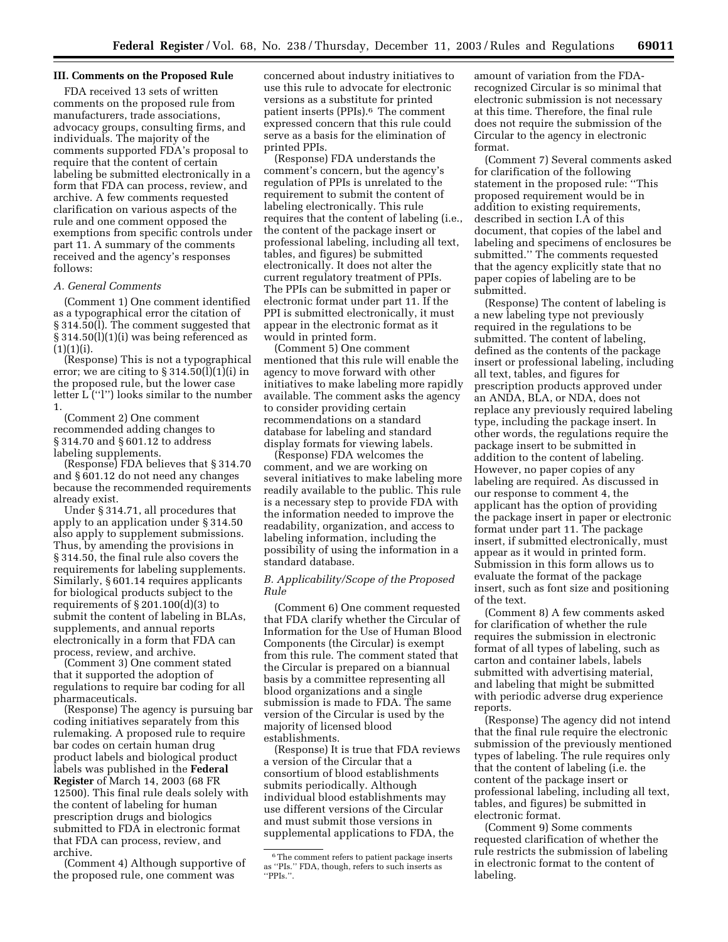### **III. Comments on the Proposed Rule**

FDA received 13 sets of written comments on the proposed rule from manufacturers, trade associations, advocacy groups, consulting firms, and individuals. The majority of the comments supported FDA's proposal to require that the content of certain labeling be submitted electronically in a form that FDA can process, review, and archive. A few comments requested clarification on various aspects of the rule and one comment opposed the exemptions from specific controls under part 11. A summary of the comments received and the agency's responses follows:

# *A. General Comments*

(Comment 1) One comment identified as a typographical error the citation of § 314.50(l). The comment suggested that § 314.50(l)(1)(i) was being referenced as  $(1)(1)(i).$ 

(Response) This is not a typographical error; we are citing to  $\S 314.50(l)(1)(i)$  in the proposed rule, but the lower case letter L (''l'') looks similar to the number 1.

(Comment 2) One comment recommended adding changes to § 314.70 and § 601.12 to address labeling supplements.

(Response) FDA believes that § 314.70 and § 601.12 do not need any changes because the recommended requirements already exist.

Under § 314.71, all procedures that apply to an application under § 314.50 also apply to supplement submissions. Thus, by amending the provisions in § 314.50, the final rule also covers the requirements for labeling supplements. Similarly, § 601.14 requires applicants for biological products subject to the requirements of § 201.100(d)(3) to submit the content of labeling in BLAs, supplements, and annual reports electronically in a form that FDA can process, review, and archive.

(Comment 3) One comment stated that it supported the adoption of regulations to require bar coding for all pharmaceuticals.

(Response) The agency is pursuing bar coding initiatives separately from this rulemaking. A proposed rule to require bar codes on certain human drug product labels and biological product labels was published in the **Federal Register** of March 14, 2003 (68 FR 12500). This final rule deals solely with the content of labeling for human prescription drugs and biologics submitted to FDA in electronic format that FDA can process, review, and archive.

(Comment 4) Although supportive of the proposed rule, one comment was

concerned about industry initiatives to use this rule to advocate for electronic versions as a substitute for printed patient inserts (PPIs).6 The comment expressed concern that this rule could serve as a basis for the elimination of printed PPIs.

(Response) FDA understands the comment's concern, but the agency's regulation of PPIs is unrelated to the requirement to submit the content of labeling electronically. This rule requires that the content of labeling (i.e., the content of the package insert or professional labeling, including all text, tables, and figures) be submitted electronically. It does not alter the current regulatory treatment of PPIs. The PPIs can be submitted in paper or electronic format under part 11. If the PPI is submitted electronically, it must appear in the electronic format as it would in printed form.

(Comment 5) One comment mentioned that this rule will enable the agency to move forward with other initiatives to make labeling more rapidly available. The comment asks the agency to consider providing certain recommendations on a standard database for labeling and standard display formats for viewing labels.

(Response) FDA welcomes the comment, and we are working on several initiatives to make labeling more readily available to the public. This rule is a necessary step to provide FDA with the information needed to improve the readability, organization, and access to labeling information, including the possibility of using the information in a standard database.

#### *B. Applicability/Scope of the Proposed Rule*

(Comment 6) One comment requested that FDA clarify whether the Circular of Information for the Use of Human Blood Components (the Circular) is exempt from this rule. The comment stated that the Circular is prepared on a biannual basis by a committee representing all blood organizations and a single submission is made to FDA. The same version of the Circular is used by the majority of licensed blood establishments.

(Response) It is true that FDA reviews a version of the Circular that a consortium of blood establishments submits periodically. Although individual blood establishments may use different versions of the Circular and must submit those versions in supplemental applications to FDA, the

amount of variation from the FDArecognized Circular is so minimal that electronic submission is not necessary at this time. Therefore, the final rule does not require the submission of the Circular to the agency in electronic format.

(Comment 7) Several comments asked for clarification of the following statement in the proposed rule: ''This proposed requirement would be in addition to existing requirements, described in section I.A of this document, that copies of the label and labeling and specimens of enclosures be submitted.'' The comments requested that the agency explicitly state that no paper copies of labeling are to be submitted.

(Response) The content of labeling is a new labeling type not previously required in the regulations to be submitted. The content of labeling, defined as the contents of the package insert or professional labeling, including all text, tables, and figures for prescription products approved under an ANDA, BLA, or NDA, does not replace any previously required labeling type, including the package insert. In other words, the regulations require the package insert to be submitted in addition to the content of labeling. However, no paper copies of any labeling are required. As discussed in our response to comment 4, the applicant has the option of providing the package insert in paper or electronic format under part 11. The package insert, if submitted electronically, must appear as it would in printed form. Submission in this form allows us to evaluate the format of the package insert, such as font size and positioning of the text.

(Comment 8) A few comments asked for clarification of whether the rule requires the submission in electronic format of all types of labeling, such as carton and container labels, labels submitted with advertising material, and labeling that might be submitted with periodic adverse drug experience reports.

(Response) The agency did not intend that the final rule require the electronic submission of the previously mentioned types of labeling. The rule requires only that the content of labeling (i.e. the content of the package insert or professional labeling, including all text, tables, and figures) be submitted in electronic format.

(Comment 9) Some comments requested clarification of whether the rule restricts the submission of labeling in electronic format to the content of labeling.

<sup>&</sup>lt;sup>6</sup>The comment refers to patient package inserts as ''PIs.'' FDA, though, refers to such inserts as ''PPIs.''.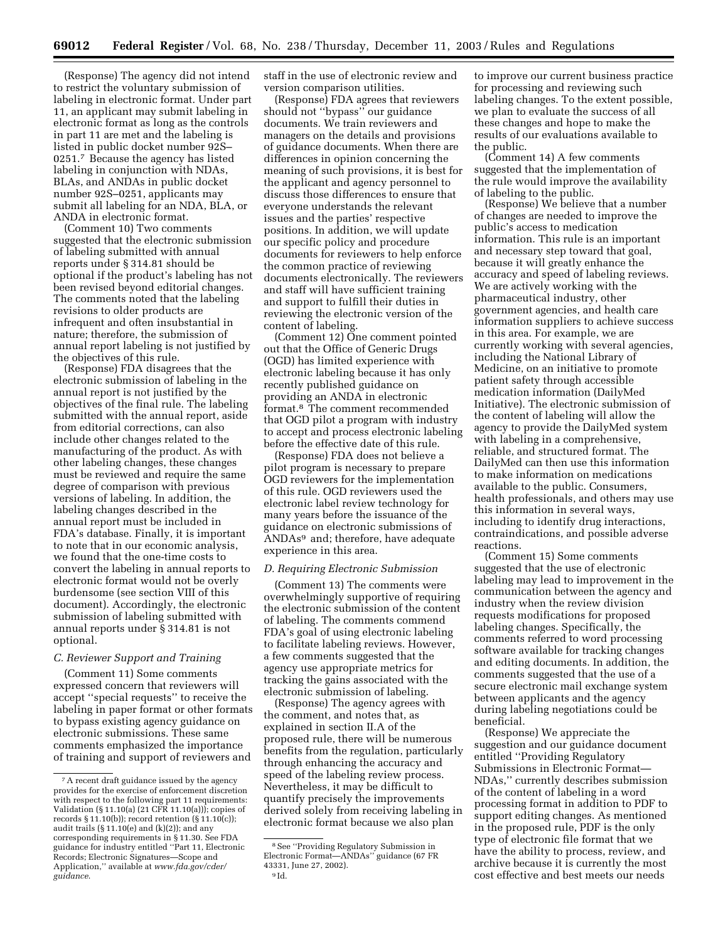(Response) The agency did not intend to restrict the voluntary submission of labeling in electronic format. Under part 11, an applicant may submit labeling in electronic format as long as the controls in part 11 are met and the labeling is listed in public docket number 92S– 0251.7 Because the agency has listed labeling in conjunction with NDAs, BLAs, and ANDAs in public docket number 92S–0251, applicants may submit all labeling for an NDA, BLA, or ANDA in electronic format.

(Comment 10) Two comments suggested that the electronic submission of labeling submitted with annual reports under § 314.81 should be optional if the product's labeling has not been revised beyond editorial changes. The comments noted that the labeling revisions to older products are infrequent and often insubstantial in nature; therefore, the submission of annual report labeling is not justified by the objectives of this rule.

(Response) FDA disagrees that the electronic submission of labeling in the annual report is not justified by the objectives of the final rule. The labeling submitted with the annual report, aside from editorial corrections, can also include other changes related to the manufacturing of the product. As with other labeling changes, these changes must be reviewed and require the same degree of comparison with previous versions of labeling. In addition, the labeling changes described in the annual report must be included in FDA's database. Finally, it is important to note that in our economic analysis, we found that the one-time costs to convert the labeling in annual reports to electronic format would not be overly burdensome (see section VIII of this document). Accordingly, the electronic submission of labeling submitted with annual reports under § 314.81 is not optional.

## *C. Reviewer Support and Training*

(Comment 11) Some comments expressed concern that reviewers will accept ''special requests'' to receive the labeling in paper format or other formats to bypass existing agency guidance on electronic submissions. These same comments emphasized the importance of training and support of reviewers and

staff in the use of electronic review and version comparison utilities.

(Response) FDA agrees that reviewers should not ''bypass'' our guidance documents. We train reviewers and managers on the details and provisions of guidance documents. When there are differences in opinion concerning the meaning of such provisions, it is best for the applicant and agency personnel to discuss those differences to ensure that everyone understands the relevant issues and the parties' respective positions. In addition, we will update our specific policy and procedure documents for reviewers to help enforce the common practice of reviewing documents electronically. The reviewers and staff will have sufficient training and support to fulfill their duties in reviewing the electronic version of the content of labeling.

(Comment 12) One comment pointed out that the Office of Generic Drugs (OGD) has limited experience with electronic labeling because it has only recently published guidance on providing an ANDA in electronic format.8 The comment recommended that OGD pilot a program with industry to accept and process electronic labeling before the effective date of this rule.

(Response) FDA does not believe a pilot program is necessary to prepare OGD reviewers for the implementation of this rule. OGD reviewers used the electronic label review technology for many years before the issuance of the guidance on electronic submissions of ANDAs9 and; therefore, have adequate experience in this area.

#### *D. Requiring Electronic Submission*

(Comment 13) The comments were overwhelmingly supportive of requiring the electronic submission of the content of labeling. The comments commend FDA's goal of using electronic labeling to facilitate labeling reviews. However, a few comments suggested that the agency use appropriate metrics for tracking the gains associated with the electronic submission of labeling.

(Response) The agency agrees with the comment, and notes that, as explained in section II.A of the proposed rule, there will be numerous benefits from the regulation, particularly through enhancing the accuracy and speed of the labeling review process. Nevertheless, it may be difficult to quantify precisely the improvements derived solely from receiving labeling in electronic format because we also plan

to improve our current business practice for processing and reviewing such labeling changes. To the extent possible, we plan to evaluate the success of all these changes and hope to make the results of our evaluations available to the public.

(Comment 14) A few comments suggested that the implementation of the rule would improve the availability of labeling to the public.

(Response) We believe that a number of changes are needed to improve the public's access to medication information. This rule is an important and necessary step toward that goal, because it will greatly enhance the accuracy and speed of labeling reviews. We are actively working with the pharmaceutical industry, other government agencies, and health care information suppliers to achieve success in this area. For example, we are currently working with several agencies, including the National Library of Medicine, on an initiative to promote patient safety through accessible medication information (DailyMed Initiative). The electronic submission of the content of labeling will allow the agency to provide the DailyMed system with labeling in a comprehensive, reliable, and structured format. The DailyMed can then use this information to make information on medications available to the public. Consumers, health professionals, and others may use this information in several ways, including to identify drug interactions, contraindications, and possible adverse reactions.

(Comment 15) Some comments suggested that the use of electronic labeling may lead to improvement in the communication between the agency and industry when the review division requests modifications for proposed labeling changes. Specifically, the comments referred to word processing software available for tracking changes and editing documents. In addition, the comments suggested that the use of a secure electronic mail exchange system between applicants and the agency during labeling negotiations could be beneficial.

(Response) We appreciate the suggestion and our guidance document entitled ''Providing Regulatory Submissions in Electronic Format— NDAs,'' currently describes submission of the content of labeling in a word processing format in addition to PDF to support editing changes. As mentioned in the proposed rule, PDF is the only type of electronic file format that we have the ability to process, review, and archive because it is currently the most cost effective and best meets our needs

<sup>7</sup>A recent draft guidance issued by the agency provides for the exercise of enforcement discretion with respect to the following part 11 requirements: Validation (§ 11.10(a) (21 CFR 11.10(a))); copies of records § 11.10(b)); record retention (§ 11.10(c)); audit trails (§ 11.10(e) and (k)(2)); and any corresponding requirements in § 11.30. See FDA guidance for industry entitled ''Part 11, Electronic Records; Electronic Signatures—Scope and [Application,'' available at](http://www.fda.gov/cder/guidance) *www.fda.gov/cder/ guidance*.

<sup>8</sup>See ''Providing Regulatory Submission in Electronic Format—ANDAs'' guidance (67 FR 43331, June 27, 2002). 9 Id.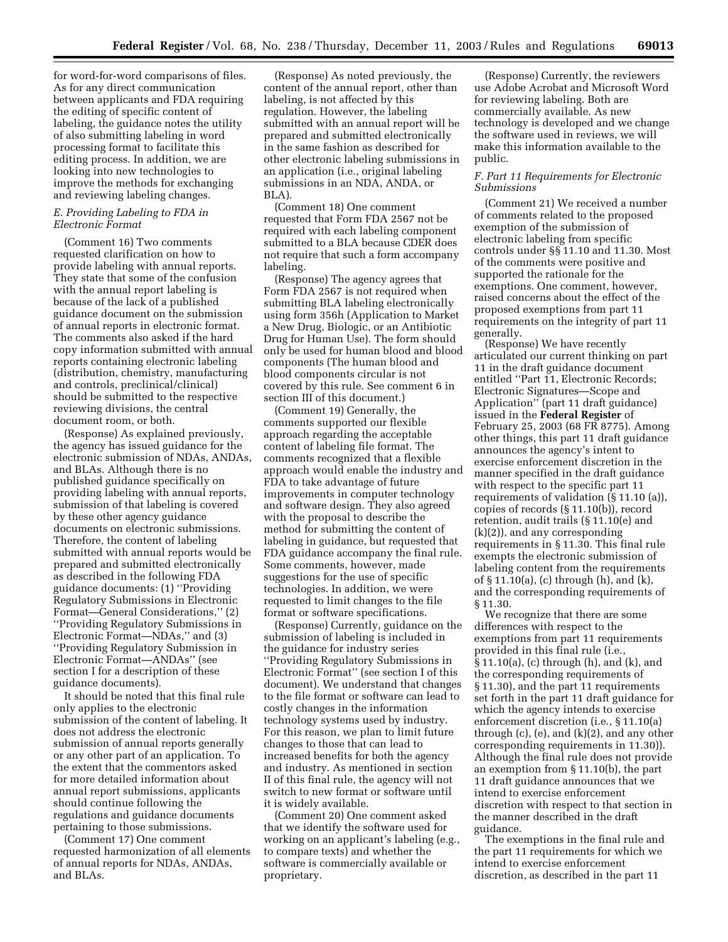for word-for-word comparisons of files. As for any direct communication between applicants and FDA requiring the editing of specific content of labeling, the guidance notes the utility of also submitting labeling in word processing format to facilitate this editing process. In addition, we are looking into new technologies to improve the methods for exchanging and reviewing labeling changes.

#### *E. Providing Labeling to FDA in Electronic Format*

(Comment 16) Two comments requested clarification on how to provide labeling with annual reports. They state that some of the confusion with the annual report labeling is because of the lack of a published guidance document on the submission of annual reports in electronic format. The comments also asked if the hard copy information submitted with annual reports containing electronic labeling (distribution, chemistry, manufacturing and controls, preclinical/clinical) should be submitted to the respective reviewing divisions, the central document room, or both.

(Response) As explained previously, the agency has issued guidance for the electronic submission of NDAs, ANDAs, and BLAs. Although there is no published guidance specifically on providing labeling with annual reports, submission of that labeling is covered by these other agency guidance documents on electronic submissions. Therefore, the content of labeling submitted with annual reports would be prepared and submitted electronically as described in the following FDA guidance documents: (1) ''Providing Regulatory Submissions in Electronic Format—General Considerations,'' (2) ''Providing Regulatory Submissions in Electronic Format—NDAs,'' and (3) ''Providing Regulatory Submission in Electronic Format—ANDAs'' (see section I for a description of these guidance documents).

It should be noted that this final rule only applies to the electronic submission of the content of labeling. It does not address the electronic submission of annual reports generally or any other part of an application. To the extent that the commentors asked for more detailed information about annual report submissions, applicants should continue following the regulations and guidance documents pertaining to those submissions.

(Comment 17) One comment requested harmonization of all elements of annual reports for NDAs, ANDAs, and BLAs.

(Response) As noted previously, the content of the annual report, other than labeling, is not affected by this regulation. However, the labeling submitted with an annual report will be prepared and submitted electronically in the same fashion as described for other electronic labeling submissions in an application (i.e., original labeling submissions in an NDA, ANDA, or BLA).

(Comment 18) One comment requested that Form FDA 2567 not be required with each labeling component submitted to a BLA because CDER does not require that such a form accompany labeling.

(Response) The agency agrees that Form FDA 2567 is not required when submitting BLA labeling electronically using form 356h (Application to Market a New Drug, Biologic, or an Antibiotic Drug for Human Use). The form should only be used for human blood and blood components (The human blood and blood components circular is not covered by this rule. See comment 6 in section III of this document.)

(Comment 19) Generally, the comments supported our flexible approach regarding the acceptable content of labeling file format. The comments recognized that a flexible approach would enable the industry and FDA to take advantage of future improvements in computer technology and software design. They also agreed with the proposal to describe the method for submitting the content of labeling in guidance, but requested that FDA guidance accompany the final rule. Some comments, however, made suggestions for the use of specific technologies. In addition, we were requested to limit changes to the file format or software specifications.

(Response) Currently, guidance on the submission of labeling is included in the guidance for industry series ''Providing Regulatory Submissions in Electronic Format'' (see section I of this document). We understand that changes to the file format or software can lead to costly changes in the information technology systems used by industry. For this reason, we plan to limit future changes to those that can lead to increased benefits for both the agency and industry. As mentioned in section II of this final rule, the agency will not switch to new format or software until it is widely available.

(Comment 20) One comment asked that we identify the software used for working on an applicant's labeling (e.g., to compare texts) and whether the software is commercially available or proprietary.

(Response) Currently, the reviewers use Adobe Acrobat and Microsoft Word for reviewing labeling. Both are commercially available. As new technology is developed and we change the software used in reviews, we will make this information available to the public.

## *F. Part 11 Requirements for Electronic Submissions*

(Comment 21) We received a number of comments related to the proposed exemption of the submission of electronic labeling from specific controls under §§ 11.10 and 11.30. Most of the comments were positive and supported the rationale for the exemptions. One comment, however, raised concerns about the effect of the proposed exemptions from part 11 requirements on the integrity of part 11 generally.

(Response) We have recently articulated our current thinking on part 11 in the draft guidance document entitled ''Part 11, Electronic Records; Electronic Signatures—Scope and Application'' (part 11 draft guidance) issued in the **Federal Register** of February 25, 2003 (68 FR 8775). Among other things, this part 11 draft guidance announces the agency's intent to exercise enforcement discretion in the manner specified in the draft guidance with respect to the specific part 11 requirements of validation (§ 11.10 (a)), copies of records (§ 11.10(b)), record retention, audit trails (§ 11.10(e) and (k)(2)), and any corresponding requirements in § 11.30. This final rule exempts the electronic submission of labeling content from the requirements of § 11.10(a), (c) through (h), and (k), and the corresponding requirements of § 11.30.

We recognize that there are some differences with respect to the exemptions from part 11 requirements provided in this final rule (i.e., § 11.10(a), (c) through (h), and (k), and the corresponding requirements of § 11.30), and the part 11 requirements set forth in the part 11 draft guidance for which the agency intends to exercise enforcement discretion (i.e., § 11.10(a) through  $(c)$ ,  $(e)$ , and  $(k)(2)$ , and any other corresponding requirements in 11.30)). Although the final rule does not provide an exemption from § 11.10(b), the part 11 draft guidance announces that we intend to exercise enforcement discretion with respect to that section in the manner described in the draft guidance.

The exemptions in the final rule and the part 11 requirements for which we intend to exercise enforcement discretion, as described in the part 11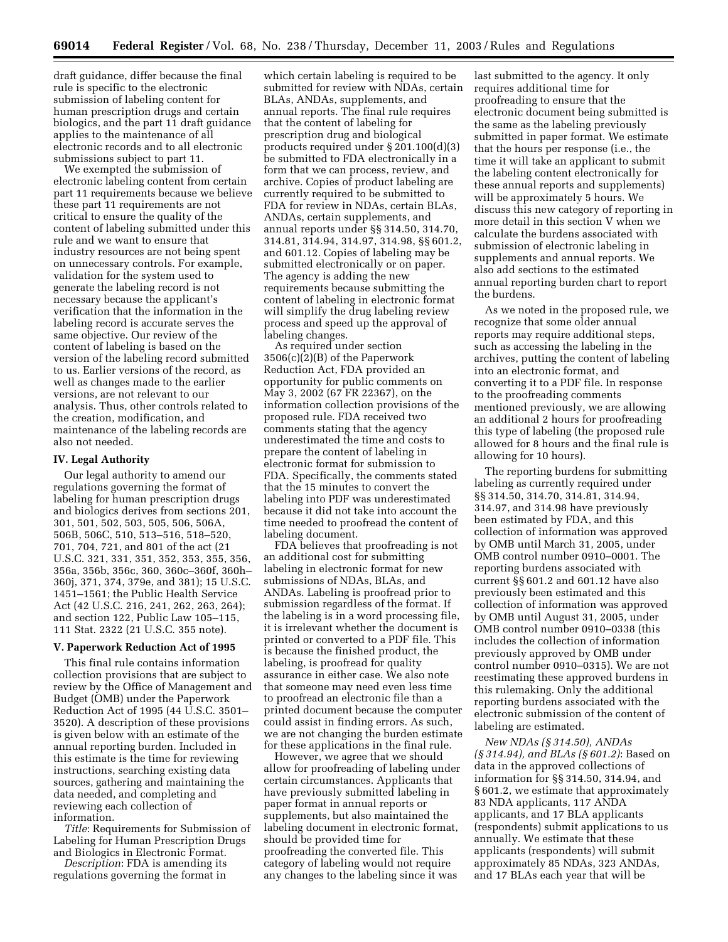draft guidance, differ because the final rule is specific to the electronic submission of labeling content for human prescription drugs and certain biologics, and the part 11 draft guidance applies to the maintenance of all electronic records and to all electronic submissions subject to part 11.

We exempted the submission of electronic labeling content from certain part 11 requirements because we believe these part 11 requirements are not critical to ensure the quality of the content of labeling submitted under this rule and we want to ensure that industry resources are not being spent on unnecessary controls. For example, validation for the system used to generate the labeling record is not necessary because the applicant's verification that the information in the labeling record is accurate serves the same objective. Our review of the content of labeling is based on the version of the labeling record submitted to us. Earlier versions of the record, as well as changes made to the earlier versions, are not relevant to our analysis. Thus, other controls related to the creation, modification, and maintenance of the labeling records are also not needed.

#### **IV. Legal Authority**

Our legal authority to amend our regulations governing the format of labeling for human prescription drugs and biologics derives from sections 201, 301, 501, 502, 503, 505, 506, 506A, 506B, 506C, 510, 513–516, 518–520, 701, 704, 721, and 801 of the act (21 U.S.C. 321, 331, 351, 352, 353, 355, 356, 356a, 356b, 356c, 360, 360c–360f, 360h– 360j, 371, 374, 379e, and 381); 15 U.S.C. 1451–1561; the Public Health Service Act (42 U.S.C. 216, 241, 262, 263, 264); and section 122, Public Law 105–115, 111 Stat. 2322 (21 U.S.C. 355 note).

#### **V. Paperwork Reduction Act of 1995**

This final rule contains information collection provisions that are subject to review by the Office of Management and Budget (OMB) under the Paperwork Reduction Act of 1995 (44 U.S.C. 3501– 3520). A description of these provisions is given below with an estimate of the annual reporting burden. Included in this estimate is the time for reviewing instructions, searching existing data sources, gathering and maintaining the data needed, and completing and reviewing each collection of information.

*Title*: Requirements for Submission of Labeling for Human Prescription Drugs and Biologics in Electronic Format.

*Description*: FDA is amending its regulations governing the format in

which certain labeling is required to be submitted for review with NDAs, certain BLAs, ANDAs, supplements, and annual reports. The final rule requires that the content of labeling for prescription drug and biological products required under § 201.100(d)(3) be submitted to FDA electronically in a form that we can process, review, and archive. Copies of product labeling are currently required to be submitted to FDA for review in NDAs, certain BLAs, ANDAs, certain supplements, and annual reports under §§ 314.50, 314.70, 314.81, 314.94, 314.97, 314.98, §§ 601.2, and 601.12. Copies of labeling may be submitted electronically or on paper. The agency is adding the new requirements because submitting the content of labeling in electronic format will simplify the drug labeling review process and speed up the approval of labeling changes.

As required under section 3506(c)(2)(B) of the Paperwork Reduction Act, FDA provided an opportunity for public comments on May 3, 2002 (67 FR 22367), on the information collection provisions of the proposed rule. FDA received two comments stating that the agency underestimated the time and costs to prepare the content of labeling in electronic format for submission to FDA. Specifically, the comments stated that the 15 minutes to convert the labeling into PDF was underestimated because it did not take into account the time needed to proofread the content of labeling document.

FDA believes that proofreading is not an additional cost for submitting labeling in electronic format for new submissions of NDAs, BLAs, and ANDAs. Labeling is proofread prior to submission regardless of the format. If the labeling is in a word processing file, it is irrelevant whether the document is printed or converted to a PDF file. This is because the finished product, the labeling, is proofread for quality assurance in either case. We also note that someone may need even less time to proofread an electronic file than a printed document because the computer could assist in finding errors. As such, we are not changing the burden estimate for these applications in the final rule.

However, we agree that we should allow for proofreading of labeling under certain circumstances. Applicants that have previously submitted labeling in paper format in annual reports or supplements, but also maintained the labeling document in electronic format, should be provided time for proofreading the converted file. This category of labeling would not require any changes to the labeling since it was

last submitted to the agency. It only requires additional time for proofreading to ensure that the electronic document being submitted is the same as the labeling previously submitted in paper format. We estimate that the hours per response (i.e., the time it will take an applicant to submit the labeling content electronically for these annual reports and supplements) will be approximately 5 hours. We discuss this new category of reporting in more detail in this section V when we calculate the burdens associated with submission of electronic labeling in supplements and annual reports. We also add sections to the estimated annual reporting burden chart to report the burdens.

As we noted in the proposed rule, we recognize that some older annual reports may require additional steps, such as accessing the labeling in the archives, putting the content of labeling into an electronic format, and converting it to a PDF file. In response to the proofreading comments mentioned previously, we are allowing an additional 2 hours for proofreading this type of labeling (the proposed rule allowed for 8 hours and the final rule is allowing for 10 hours).

The reporting burdens for submitting labeling as currently required under §§ 314.50, 314.70, 314.81, 314.94, 314.97, and 314.98 have previously been estimated by FDA, and this collection of information was approved by OMB until March 31, 2005, under OMB control number 0910–0001. The reporting burdens associated with current §§ 601.2 and 601.12 have also previously been estimated and this collection of information was approved by OMB until August 31, 2005, under OMB control number 0910–0338 (this includes the collection of information previously approved by OMB under control number 0910–0315). We are not reestimating these approved burdens in this rulemaking. Only the additional reporting burdens associated with the electronic submission of the content of labeling are estimated.

*New NDAs (§ 314.50), ANDAs (§ 314.94), and BLAs (§ 601.2)*: Based on data in the approved collections of information for §§ 314.50, 314.94, and § 601.2, we estimate that approximately 83 NDA applicants, 117 ANDA applicants, and 17 BLA applicants (respondents) submit applications to us annually. We estimate that these applicants (respondents) will submit approximately 85 NDAs, 323 ANDAs, and 17 BLAs each year that will be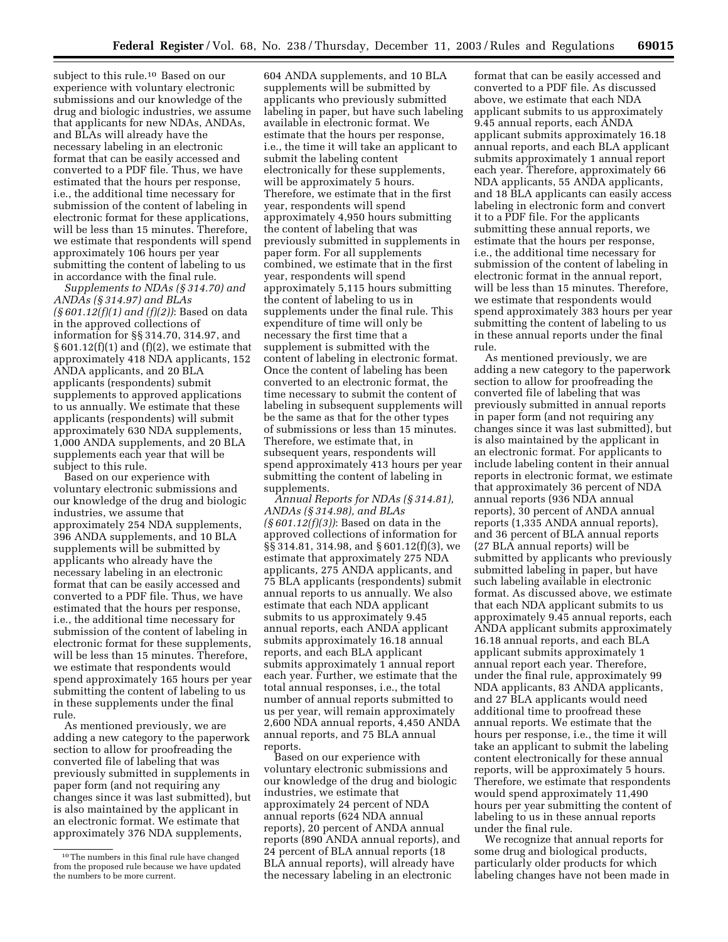subject to this rule.10 Based on our experience with voluntary electronic submissions and our knowledge of the drug and biologic industries, we assume that applicants for new NDAs, ANDAs, and BLAs will already have the necessary labeling in an electronic format that can be easily accessed and converted to a PDF file. Thus, we have estimated that the hours per response, i.e., the additional time necessary for submission of the content of labeling in electronic format for these applications, will be less than 15 minutes. Therefore, we estimate that respondents will spend approximately 106 hours per year submitting the content of labeling to us in accordance with the final rule.

*Supplements to NDAs (§ 314.70) and ANDAs (§ 314.97) and BLAs (§ 601.12(f)(1) and (f)(2))*: Based on data in the approved collections of information for §§ 314.70, 314.97, and  $§ 601.12(f)(1)$  and  $(f)(2)$ , we estimate that approximately 418 NDA applicants, 152 ANDA applicants, and 20 BLA applicants (respondents) submit supplements to approved applications to us annually. We estimate that these applicants (respondents) will submit approximately 630 NDA supplements, 1,000 ANDA supplements, and 20 BLA supplements each year that will be subject to this rule.

Based on our experience with voluntary electronic submissions and our knowledge of the drug and biologic industries, we assume that approximately 254 NDA supplements, 396 ANDA supplements, and 10 BLA supplements will be submitted by applicants who already have the necessary labeling in an electronic format that can be easily accessed and converted to a PDF file. Thus, we have estimated that the hours per response, i.e., the additional time necessary for submission of the content of labeling in electronic format for these supplements, will be less than 15 minutes. Therefore, we estimate that respondents would spend approximately 165 hours per year submitting the content of labeling to us in these supplements under the final rule.

As mentioned previously, we are adding a new category to the paperwork section to allow for proofreading the converted file of labeling that was previously submitted in supplements in paper form (and not requiring any changes since it was last submitted), but is also maintained by the applicant in an electronic format. We estimate that approximately 376 NDA supplements,

604 ANDA supplements, and 10 BLA supplements will be submitted by applicants who previously submitted labeling in paper, but have such labeling available in electronic format. We estimate that the hours per response, i.e., the time it will take an applicant to submit the labeling content electronically for these supplements, will be approximately 5 hours. Therefore, we estimate that in the first year, respondents will spend approximately 4,950 hours submitting the content of labeling that was previously submitted in supplements in paper form. For all supplements combined, we estimate that in the first year, respondents will spend approximately 5,115 hours submitting the content of labeling to us in supplements under the final rule. This expenditure of time will only be necessary the first time that a supplement is submitted with the content of labeling in electronic format. Once the content of labeling has been converted to an electronic format, the time necessary to submit the content of labeling in subsequent supplements will be the same as that for the other types of submissions or less than 15 minutes. Therefore, we estimate that, in subsequent years, respondents will spend approximately 413 hours per year submitting the content of labeling in supplements.

*Annual Reports for NDAs (§ 314.81), ANDAs (§ 314.98), and BLAs (§ 601.12(f)(3))*: Based on data in the approved collections of information for §§ 314.81, 314.98, and § 601.12(f)(3), we estimate that approximately 275 NDA applicants, 275 ANDA applicants, and 75 BLA applicants (respondents) submit annual reports to us annually. We also estimate that each NDA applicant submits to us approximately 9.45 annual reports, each ANDA applicant submits approximately 16.18 annual reports, and each BLA applicant submits approximately 1 annual report each year. Further, we estimate that the total annual responses, i.e., the total number of annual reports submitted to us per year, will remain approximately 2,600 NDA annual reports, 4,450 ANDA annual reports, and 75 BLA annual reports.

Based on our experience with voluntary electronic submissions and our knowledge of the drug and biologic industries, we estimate that approximately 24 percent of NDA annual reports (624 NDA annual reports), 20 percent of ANDA annual reports (890 ANDA annual reports), and 24 percent of BLA annual reports (18 BLA annual reports), will already have the necessary labeling in an electronic

format that can be easily accessed and converted to a PDF file. As discussed above, we estimate that each NDA applicant submits to us approximately 9.45 annual reports, each ANDA applicant submits approximately 16.18 annual reports, and each BLA applicant submits approximately 1 annual report each year. Therefore, approximately 66 NDA applicants, 55 ANDA applicants, and 18 BLA applicants can easily access labeling in electronic form and convert it to a PDF file. For the applicants submitting these annual reports, we estimate that the hours per response, i.e., the additional time necessary for submission of the content of labeling in electronic format in the annual report, will be less than 15 minutes. Therefore, we estimate that respondents would spend approximately 383 hours per year submitting the content of labeling to us in these annual reports under the final rule.

As mentioned previously, we are adding a new category to the paperwork section to allow for proofreading the converted file of labeling that was previously submitted in annual reports in paper form (and not requiring any changes since it was last submitted), but is also maintained by the applicant in an electronic format. For applicants to include labeling content in their annual reports in electronic format, we estimate that approximately 36 percent of NDA annual reports (936 NDA annual reports), 30 percent of ANDA annual reports (1,335 ANDA annual reports), and 36 percent of BLA annual reports (27 BLA annual reports) will be submitted by applicants who previously submitted labeling in paper, but have such labeling available in electronic format. As discussed above, we estimate that each NDA applicant submits to us approximately 9.45 annual reports, each ANDA applicant submits approximately 16.18 annual reports, and each BLA applicant submits approximately 1 annual report each year. Therefore, under the final rule, approximately 99 NDA applicants, 83 ANDA applicants, and 27 BLA applicants would need additional time to proofread these annual reports. We estimate that the hours per response, i.e., the time it will take an applicant to submit the labeling content electronically for these annual reports, will be approximately 5 hours. Therefore, we estimate that respondents would spend approximately 11,490 hours per year submitting the content of labeling to us in these annual reports under the final rule.

We recognize that annual reports for some drug and biological products, particularly older products for which labeling changes have not been made in

<sup>10</sup>The numbers in this final rule have changed from the proposed rule because we have updated the numbers to be more current.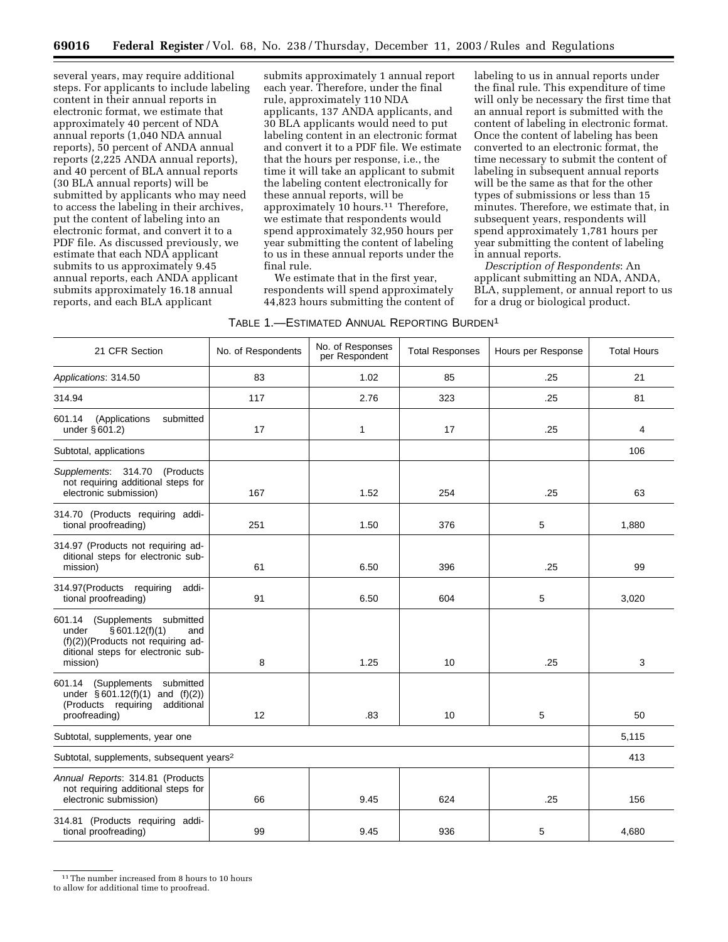several years, may require additional steps. For applicants to include labeling content in their annual reports in electronic format, we estimate that approximately 40 percent of NDA annual reports (1,040 NDA annual reports), 50 percent of ANDA annual reports (2,225 ANDA annual reports), and 40 percent of BLA annual reports (30 BLA annual reports) will be submitted by applicants who may need to access the labeling in their archives, put the content of labeling into an electronic format, and convert it to a PDF file. As discussed previously, we estimate that each NDA applicant submits to us approximately 9.45 annual reports, each ANDA applicant submits approximately 16.18 annual reports, and each BLA applicant

submits approximately 1 annual report each year. Therefore, under the final rule, approximately 110 NDA applicants, 137 ANDA applicants, and 30 BLA applicants would need to put labeling content in an electronic format and convert it to a PDF file. We estimate that the hours per response, i.e., the time it will take an applicant to submit the labeling content electronically for these annual reports, will be approximately 10 hours.11 Therefore, we estimate that respondents would spend approximately 32,950 hours per year submitting the content of labeling to us in these annual reports under the final rule.

labeling to us in annual reports under the final rule. This expenditure of time will only be necessary the first time that an annual report is submitted with the content of labeling in electronic format. Once the content of labeling has been converted to an electronic format, the time necessary to submit the content of labeling in subsequent annual reports will be the same as that for the other types of submissions or less than 15 minutes. Therefore, we estimate that, in subsequent years, respondents will spend approximately 1,781 hours per year submitting the content of labeling

*Description of Respondents*: An applicant submitting an NDA, ANDA, BLA, supplement, or annual report to us

for a drug or biological product.

in annual reports.

We estimate that in the first year, respondents will spend approximately 44,823 hours submitting the content of

| TABLE 1.—ESTIMATED ANNUAL REPORTING BURDEN <sup>1</sup> |  |
|---------------------------------------------------------|--|
|---------------------------------------------------------|--|

21 CFR Section  $\begin{vmatrix} \text{No. of Respondents} \end{vmatrix}$  No. of Respondents  $\begin{vmatrix} \text{No. of Respondent} \end{vmatrix}$ Total Responses | Hours per Response | Total Hours Applications: 314.50 1.03 1.02 1.02 1.02 1.02 1.05 1.02 1.02 21 314.94 117 2.76 323 25 81 601.14 (Applications submitted under § 601.2) 17 | 17 | 17 | .25 | 4 Subtotal, applications and the control of the control of the control of the control of the control of the control of the control of the control of the control of the control of the control of the control of the control of Supplements: 314.70 (Products not requiring additional steps for electronic submission) | 167 | 1.52 | 254 | .25 | 63 314.70 (Products requiring additional proofreading) 251 1.50 376 5 1,880 314.97 (Products not requiring additional steps for electronic submission) 61 | 6.50 | 396 | .25 | 99 314.97(Products requiring additional proofreading) 91 6.50 604 5 3,020 601.14 (Supplements submitted under § 601.12(f)(1) and (f)(2))(Products not requiring additional steps for electronic submission) 8 1.25 10 .25 3 601.14 (Supplements submitted under § 601.12(f)(1) and (f)(2)) (Products requiring additional proofreading) 12 | .83 | 10 | 5 50 Subtotal, supplements, year one 5,115 Subtotal, supplements, subsequent years<sup>2</sup> 413 Annual Reports: 314.81 (Products not requiring additional steps for electronic submission) 66 9.45 624 .25 156 314.81 (Products requiring additional proofreading) 99 9.45 936 5 4,680

 $^{11}$  The number increased from 8 hours to 10 hours

to allow for additional time to proofread.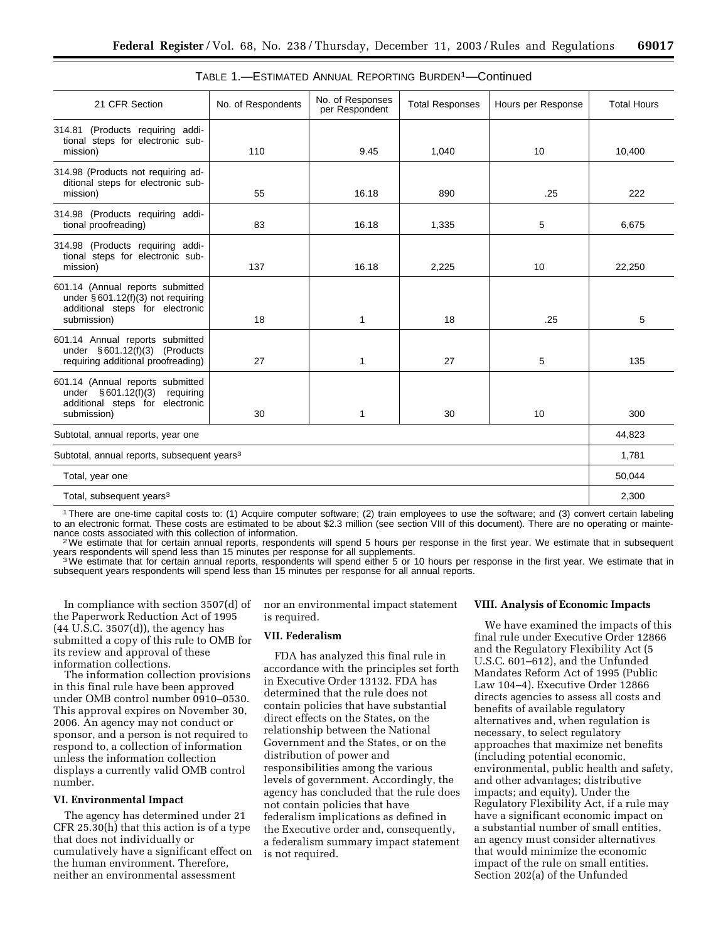| 21 CFR Section                                                                                                             | No. of Respondents | No. of Responses<br>per Respondent | <b>Total Responses</b> | Hours per Response | <b>Total Hours</b> |
|----------------------------------------------------------------------------------------------------------------------------|--------------------|------------------------------------|------------------------|--------------------|--------------------|
| 314.81 (Products requiring addi-<br>tional steps for electronic sub-<br>mission)                                           | 110                | 9.45                               | 1,040                  | 10                 | 10,400             |
| 314.98 (Products not requiring ad-<br>ditional steps for electronic sub-<br>mission)                                       | 55                 | 16.18                              | 890                    | .25                | 222                |
| 314.98 (Products requiring addi-<br>tional proofreading)                                                                   | 83                 | 16.18                              | 1,335                  | 5                  | 6,675              |
| 314.98 (Products requiring addi-<br>tional steps for electronic sub-<br>mission)                                           | 137                | 16.18                              | 2,225                  | 10                 | 22,250             |
| 601.14 (Annual reports submitted<br>under $§ 601.12(f)(3)$ not requiring<br>additional steps for electronic<br>submission) | 18                 | 1                                  | 18                     | .25                | 5                  |
| 601.14 Annual reports submitted<br>under $§ 601.12(f)(3)$ (Products<br>requiring additional proofreading)                  | 27                 | 1                                  | 27                     | 5                  | 135                |
| 601.14 (Annual reports submitted<br>under $§ 601.12(f)(3)$<br>requiring<br>additional steps for electronic<br>submission)  | 30                 | $\mathbf{1}$                       | 30                     | 10                 | 300                |
| Subtotal, annual reports, year one                                                                                         |                    |                                    |                        |                    | 44,823             |
| Subtotal, annual reports, subsequent years <sup>3</sup>                                                                    |                    |                                    |                        |                    | 1.781              |
| Total, year one                                                                                                            |                    |                                    |                        |                    | 50,044             |
| Total, subsequent years <sup>3</sup>                                                                                       |                    |                                    |                        |                    | 2,300              |

| TABLE 1.-ESTIMATED ANNUAL REPORTING BURDEN <sup>1</sup> -Continued |  |  |  |
|--------------------------------------------------------------------|--|--|--|
|--------------------------------------------------------------------|--|--|--|

1There are one-time capital costs to: (1) Acquire computer software; (2) train employees to use the software; and (3) convert certain labeling to an electronic format. These costs are estimated to be about \$2.3 million (see section VIII of this document). There are no operating or mainte-<br>nance costs associated with this collection of information.

<sup>2</sup>We estimate that for certain annual reports, respondents will spend 5 hours per response in the first year. We estimate that in subsequent years respondents will spend less than 15 minutes per response for all supplemen

<sup>3</sup>We estimate that for certain annual reports, respondents will spend either 5 or 10 hours per response in the first year. We estimate that in subsequent years respondents will spend less than 15 minutes per response for all annual reports.

In compliance with section 3507(d) of the Paperwork Reduction Act of 1995 (44 U.S.C. 3507(d)), the agency has submitted a copy of this rule to OMB for its review and approval of these information collections.

The information collection provisions in this final rule have been approved under OMB control number 0910–0530. This approval expires on November 30, 2006. An agency may not conduct or sponsor, and a person is not required to respond to, a collection of information unless the information collection displays a currently valid OMB control number.

#### **VI. Environmental Impact**

The agency has determined under 21 CFR 25.30(h) that this action is of a type that does not individually or cumulatively have a significant effect on the human environment. Therefore, neither an environmental assessment

nor an environmental impact statement is required.

# **VII. Federalism**

FDA has analyzed this final rule in accordance with the principles set forth in Executive Order 13132. FDA has determined that the rule does not contain policies that have substantial direct effects on the States, on the relationship between the National Government and the States, or on the distribution of power and responsibilities among the various levels of government. Accordingly, the agency has concluded that the rule does not contain policies that have federalism implications as defined in the Executive order and, consequently, a federalism summary impact statement is not required.

#### **VIII. Analysis of Economic Impacts**

We have examined the impacts of this final rule under Executive Order 12866 and the Regulatory Flexibility Act (5 U.S.C. 601–612), and the Unfunded Mandates Reform Act of 1995 (Public Law 104–4). Executive Order 12866 directs agencies to assess all costs and benefits of available regulatory alternatives and, when regulation is necessary, to select regulatory approaches that maximize net benefits (including potential economic, environmental, public health and safety, and other advantages; distributive impacts; and equity). Under the Regulatory Flexibility Act, if a rule may have a significant economic impact on a substantial number of small entities, an agency must consider alternatives that would minimize the economic impact of the rule on small entities. Section 202(a) of the Unfunded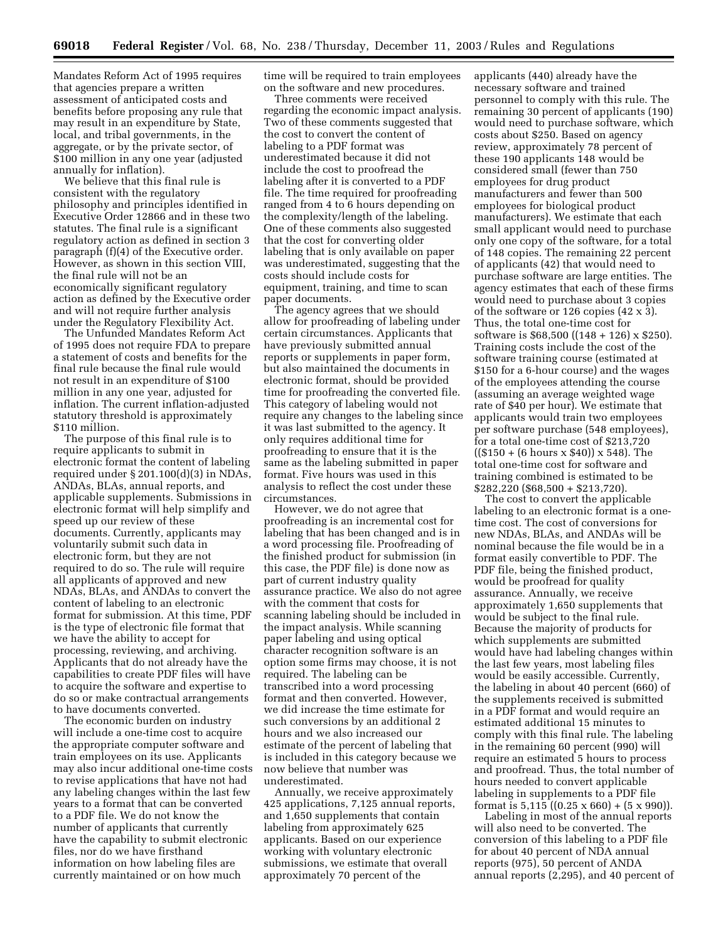Mandates Reform Act of 1995 requires that agencies prepare a written assessment of anticipated costs and benefits before proposing any rule that may result in an expenditure by State, local, and tribal governments, in the aggregate, or by the private sector, of \$100 million in any one year (adjusted annually for inflation).

We believe that this final rule is consistent with the regulatory philosophy and principles identified in Executive Order 12866 and in these two statutes. The final rule is a significant regulatory action as defined in section 3 paragraph (f)(4) of the Executive order. However, as shown in this section VIII, the final rule will not be an economically significant regulatory action as defined by the Executive order and will not require further analysis under the Regulatory Flexibility Act.

The Unfunded Mandates Reform Act of 1995 does not require FDA to prepare a statement of costs and benefits for the final rule because the final rule would not result in an expenditure of \$100 million in any one year, adjusted for inflation. The current inflation-adjusted statutory threshold is approximately \$110 million.

The purpose of this final rule is to require applicants to submit in electronic format the content of labeling required under § 201.100(d)(3) in NDAs, ANDAs, BLAs, annual reports, and applicable supplements. Submissions in electronic format will help simplify and speed up our review of these documents. Currently, applicants may voluntarily submit such data in electronic form, but they are not required to do so. The rule will require all applicants of approved and new NDAs, BLAs, and ANDAs to convert the content of labeling to an electronic format for submission. At this time, PDF is the type of electronic file format that we have the ability to accept for processing, reviewing, and archiving. Applicants that do not already have the capabilities to create PDF files will have to acquire the software and expertise to do so or make contractual arrangements to have documents converted.

The economic burden on industry will include a one-time cost to acquire the appropriate computer software and train employees on its use. Applicants may also incur additional one-time costs to revise applications that have not had any labeling changes within the last few years to a format that can be converted to a PDF file. We do not know the number of applicants that currently have the capability to submit electronic files, nor do we have firsthand information on how labeling files are currently maintained or on how much

time will be required to train employees on the software and new procedures.

Three comments were received regarding the economic impact analysis. Two of these comments suggested that the cost to convert the content of labeling to a PDF format was underestimated because it did not include the cost to proofread the labeling after it is converted to a PDF file. The time required for proofreading ranged from 4 to 6 hours depending on the complexity/length of the labeling. One of these comments also suggested that the cost for converting older labeling that is only available on paper was underestimated, suggesting that the costs should include costs for equipment, training, and time to scan paper documents.

The agency agrees that we should allow for proofreading of labeling under certain circumstances. Applicants that have previously submitted annual reports or supplements in paper form, but also maintained the documents in electronic format, should be provided time for proofreading the converted file. This category of labeling would not require any changes to the labeling since it was last submitted to the agency. It only requires additional time for proofreading to ensure that it is the same as the labeling submitted in paper format. Five hours was used in this analysis to reflect the cost under these circumstances.

However, we do not agree that proofreading is an incremental cost for labeling that has been changed and is in a word processing file. Proofreading of the finished product for submission (in this case, the PDF file) is done now as part of current industry quality assurance practice. We also do not agree with the comment that costs for scanning labeling should be included in the impact analysis. While scanning paper labeling and using optical character recognition software is an option some firms may choose, it is not required. The labeling can be transcribed into a word processing format and then converted. However, we did increase the time estimate for such conversions by an additional 2 hours and we also increased our estimate of the percent of labeling that is included in this category because we now believe that number was underestimated.

Annually, we receive approximately 425 applications, 7,125 annual reports, and 1,650 supplements that contain labeling from approximately 625 applicants. Based on our experience working with voluntary electronic submissions, we estimate that overall approximately 70 percent of the

applicants (440) already have the necessary software and trained personnel to comply with this rule. The remaining 30 percent of applicants (190) would need to purchase software, which costs about \$250. Based on agency review, approximately 78 percent of these 190 applicants 148 would be considered small (fewer than 750 employees for drug product manufacturers and fewer than 500 employees for biological product manufacturers). We estimate that each small applicant would need to purchase only one copy of the software, for a total of 148 copies. The remaining 22 percent of applicants (42) that would need to purchase software are large entities. The agency estimates that each of these firms would need to purchase about 3 copies of the software or 126 copies (42 x 3). Thus, the total one-time cost for software is \$68,500 ((148 + 126) x \$250). Training costs include the cost of the software training course (estimated at \$150 for a 6-hour course) and the wages of the employees attending the course (assuming an average weighted wage rate of \$40 per hour). We estimate that applicants would train two employees per software purchase (548 employees), for a total one-time cost of \$213,720  $((\$150 + (6 \text{ hours} \times \$40)) \times 548)$ . The total one-time cost for software and training combined is estimated to be \$282,220 (\$68,500 + \$213,720).

The cost to convert the applicable labeling to an electronic format is a onetime cost. The cost of conversions for new NDAs, BLAs, and ANDAs will be nominal because the file would be in a format easily convertible to PDF. The PDF file, being the finished product, would be proofread for quality assurance. Annually, we receive approximately 1,650 supplements that would be subject to the final rule. Because the majority of products for which supplements are submitted would have had labeling changes within the last few years, most labeling files would be easily accessible. Currently, the labeling in about 40 percent (660) of the supplements received is submitted in a PDF format and would require an estimated additional 15 minutes to comply with this final rule. The labeling in the remaining 60 percent (990) will require an estimated 5 hours to process and proofread. Thus, the total number of hours needed to convert applicable labeling in supplements to a PDF file format is  $5,115$  ((0.25 x 660) + (5 x 990)).

Labeling in most of the annual reports will also need to be converted. The conversion of this labeling to a PDF file for about 40 percent of NDA annual reports (975), 50 percent of ANDA annual reports (2,295), and 40 percent of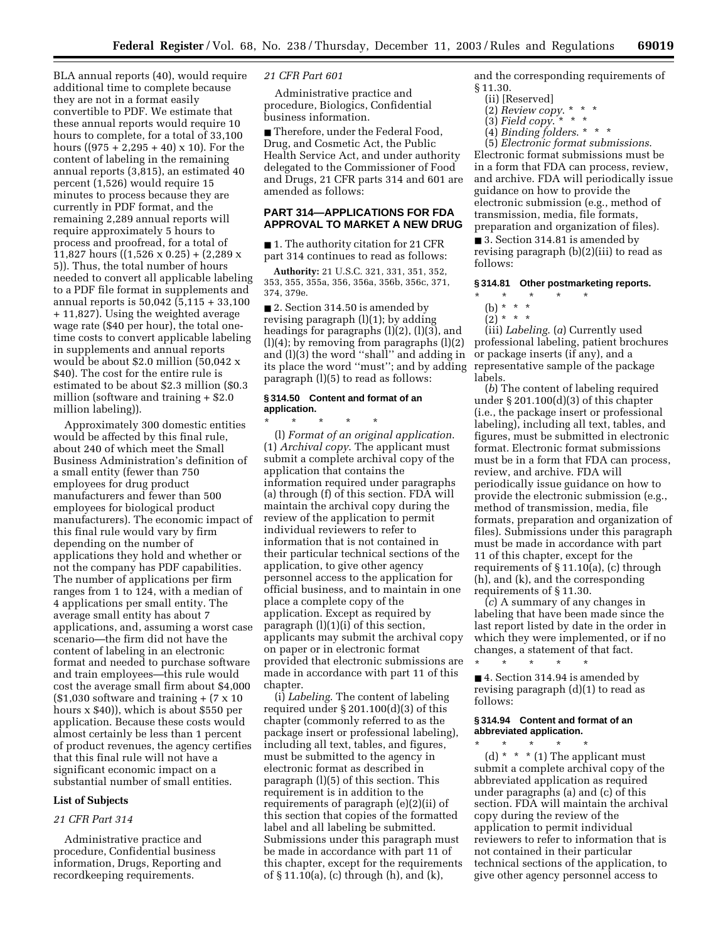BLA annual reports (40), would require additional time to complete because they are not in a format easily convertible to PDF. We estimate that these annual reports would require 10 hours to complete, for a total of 33,100 hours  $((975 + 2,295 + 40) \times 10)$ . For the content of labeling in the remaining annual reports (3,815), an estimated 40 percent (1,526) would require 15 minutes to process because they are currently in PDF format, and the remaining 2,289 annual reports will require approximately 5 hours to process and proofread, for a total of 11,827 hours ((1,526 x 0.25) + (2,289 x 5)). Thus, the total number of hours needed to convert all applicable labeling to a PDF file format in supplements and annual reports is 50,042 (5,115 + 33,100 + 11,827). Using the weighted average wage rate (\$40 per hour), the total onetime costs to convert applicable labeling in supplements and annual reports would be about \$2.0 million (50,042 x \$40). The cost for the entire rule is estimated to be about \$2.3 million (\$0.3 million (software and training + \$2.0 million labeling)).

Approximately 300 domestic entities would be affected by this final rule, about 240 of which meet the Small Business Administration's definition of a small entity (fewer than 750 employees for drug product manufacturers and fewer than 500 employees for biological product manufacturers). The economic impact of this final rule would vary by firm depending on the number of applications they hold and whether or not the company has PDF capabilities. The number of applications per firm ranges from 1 to 124, with a median of 4 applications per small entity. The average small entity has about 7 applications, and, assuming a worst case scenario—the firm did not have the content of labeling in an electronic format and needed to purchase software and train employees—this rule would cost the average small firm about \$4,000  $($1,030$$  software and training  $+ (7 \times 10)$ hours x \$40)), which is about \$550 per application. Because these costs would almost certainly be less than 1 percent of product revenues, the agency certifies that this final rule will not have a significant economic impact on a substantial number of small entities.

#### **List of Subjects**

#### *21 CFR Part 314*

Administrative practice and procedure, Confidential business information, Drugs, Reporting and recordkeeping requirements.

#### *21 CFR Part 601*

Administrative practice and procedure, Biologics, Confidential business information.

■ Therefore, under the Federal Food, Drug, and Cosmetic Act, the Public Health Service Act, and under authority delegated to the Commissioner of Food and Drugs, 21 CFR parts 314 and 601 are amended as follows:

# **PART 314—APPLICATIONS FOR FDA APPROVAL TO MARKET A NEW DRUG**

■ 1. The authority citation for 21 CFR part 314 continues to read as follows:

**Authority:** 21 U.S.C. 321, 331, 351, 352, 353, 355, 355a, 356, 356a, 356b, 356c, 371, 374, 379e.

■ 2. Section 314.50 is amended by revising paragraph (l)(1); by adding headings for paragraphs (l)(2), (l)(3), and (l)(4); by removing from paragraphs (l)(2) and (l)(3) the word ''shall'' and adding in its place the word ''must''; and by adding paragraph (l)(5) to read as follows:

#### **§ 314.50 Content and format of an application.**

\* \* \* \* \* (l) *Format of an original application*. (1) *Archival copy*. The applicant must submit a complete archival copy of the application that contains the information required under paragraphs (a) through (f) of this section. FDA will maintain the archival copy during the review of the application to permit individual reviewers to refer to information that is not contained in their particular technical sections of the application, to give other agency personnel access to the application for official business, and to maintain in one place a complete copy of the application. Except as required by paragraph (l)(1)(i) of this section, applicants may submit the archival copy on paper or in electronic format provided that electronic submissions are made in accordance with part 11 of this chapter.

(i) *Labeling*. The content of labeling required under § 201.100(d)(3) of this chapter (commonly referred to as the package insert or professional labeling), including all text, tables, and figures, must be submitted to the agency in electronic format as described in paragraph (l)(5) of this section. This requirement is in addition to the requirements of paragraph (e)(2)(ii) of this section that copies of the formatted label and all labeling be submitted. Submissions under this paragraph must be made in accordance with part 11 of this chapter, except for the requirements of § 11.10(a), (c) through (h), and (k),

and the corresponding requirements of § 11.30.

- (ii) [Reserved]
- (2) *Review copy*. \* \* \*
- $(3)$  *Field copy.* \* \* \*
- (4) *Binding folders*. \* \* \*

(5) *Electronic format submissions*. Electronic format submissions must be in a form that FDA can process, review, and archive. FDA will periodically issue guidance on how to provide the electronic submission (e.g., method of transmission, media, file formats, preparation and organization of files).

■ 3. Section 314.81 is amended by revising paragraph (b)(2)(iii) to read as follows:

# **§ 314.81 Other postmarketing reports.**

- \* \* \* \* \*
	- (b) \* \* \*
	- $(2)^{*}$  \* \*

(iii) *Labeling*. (*a*) Currently used professional labeling, patient brochures or package inserts (if any), and a representative sample of the package labels.

(*b*) The content of labeling required under § 201.100(d)(3) of this chapter (i.e., the package insert or professional labeling), including all text, tables, and figures, must be submitted in electronic format. Electronic format submissions must be in a form that FDA can process, review, and archive. FDA will periodically issue guidance on how to provide the electronic submission (e.g., method of transmission, media, file formats, preparation and organization of files). Submissions under this paragraph must be made in accordance with part 11 of this chapter, except for the requirements of § 11.10(a), (c) through (h), and (k), and the corresponding requirements of § 11.30.

(*c*) A summary of any changes in labeling that have been made since the last report listed by date in the order in which they were implemented, or if no changes, a statement of that fact.

\* \* \* \* \*

■ 4. Section 314.94 is amended by revising paragraph (d)(1) to read as follows:

### **§ 314.94 Content and format of an abbreviated application.**

\* \* \* \* \* (d)  $*$   $*$   $*$  (1) The applicant must submit a complete archival copy of the abbreviated application as required under paragraphs (a) and (c) of this section. FDA will maintain the archival copy during the review of the application to permit individual reviewers to refer to information that is not contained in their particular technical sections of the application, to give other agency personnel access to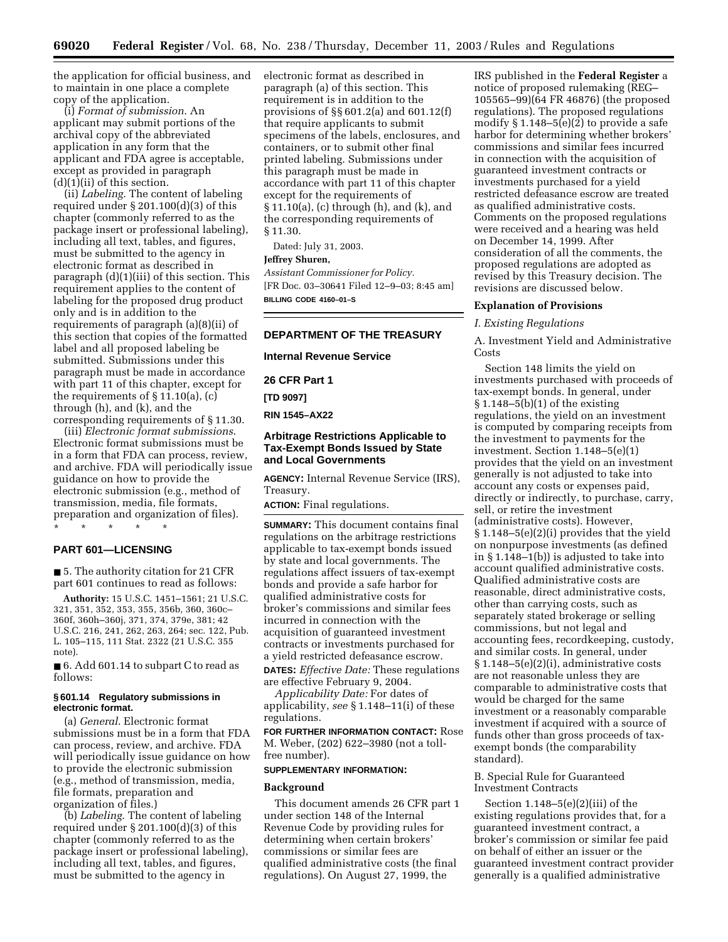the application for official business, and to maintain in one place a complete copy of the application.

(i) *Format of submission*. An applicant may submit portions of the archival copy of the abbreviated application in any form that the applicant and FDA agree is acceptable, except as provided in paragraph  $(d)(1)(ii)$  of this section.

(ii) *Labeling*. The content of labeling required under § 201.100(d)(3) of this chapter (commonly referred to as the package insert or professional labeling), including all text, tables, and figures, must be submitted to the agency in electronic format as described in paragraph (d)(1)(iii) of this section. This requirement applies to the content of labeling for the proposed drug product only and is in addition to the requirements of paragraph (a)(8)(ii) of this section that copies of the formatted label and all proposed labeling be submitted. Submissions under this paragraph must be made in accordance with part 11 of this chapter, except for the requirements of § 11.10(a), (c) through (h), and (k), and the corresponding requirements of § 11.30.

(iii) *Electronic format submissions*. Electronic format submissions must be in a form that FDA can process, review, and archive. FDA will periodically issue guidance on how to provide the electronic submission (e.g., method of transmission, media, file formats, preparation and organization of files). \* \* \* \* \*

# **PART 601—LICENSING**

■ 5. The authority citation for 21 CFR part 601 continues to read as follows:

**Authority:** 15 U.S.C. 1451–1561; 21 U.S.C. 321, 351, 352, 353, 355, 356b, 360, 360c– 360f, 360h–360j, 371, 374, 379e, 381; 42 U.S.C. 216, 241, 262, 263, 264; sec. 122, Pub. L. 105–115, 111 Stat. 2322 (21 U.S.C. 355 note).

■ 6. Add 601.14 to subpart C to read as follows:

#### **§ 601.14 Regulatory submissions in electronic format.**

(a) *General*. Electronic format submissions must be in a form that FDA can process, review, and archive. FDA will periodically issue guidance on how to provide the electronic submission (e.g., method of transmission, media, file formats, preparation and organization of files.)

(b) *Labeling*. The content of labeling required under § 201.100(d)(3) of this chapter (commonly referred to as the package insert or professional labeling), including all text, tables, and figures, must be submitted to the agency in

electronic format as described in paragraph (a) of this section. This requirement is in addition to the provisions of §§ 601.2(a) and 601.12(f) that require applicants to submit specimens of the labels, enclosures, and containers, or to submit other final printed labeling. Submissions under this paragraph must be made in accordance with part 11 of this chapter except for the requirements of § 11.10(a), (c) through (h), and (k), and the corresponding requirements of § 11.30.

Dated: July 31, 2003.

## **Jeffrey Shuren,**

*Assistant Commissioner for Policy.* [FR Doc. 03–30641 Filed 12–9–03; 8:45 am] **BILLING CODE 4160–01–S**

#### **DEPARTMENT OF THE TREASURY**

**Internal Revenue Service** 

**26 CFR Part 1** 

**[TD 9097]** 

**RIN 1545–AX22** 

# **Arbitrage Restrictions Applicable to Tax-Exempt Bonds Issued by State and Local Governments**

**AGENCY:** Internal Revenue Service (IRS), Treasury.

**ACTION:** Final regulations.

**SUMMARY:** This document contains final regulations on the arbitrage restrictions applicable to tax-exempt bonds issued by state and local governments. The regulations affect issuers of tax-exempt bonds and provide a safe harbor for qualified administrative costs for broker's commissions and similar fees incurred in connection with the acquisition of guaranteed investment contracts or investments purchased for a yield restricted defeasance escrow.

**DATES:** *Effective Date:* These regulations are effective February 9, 2004.

*Applicability Date:* For dates of applicability, *see* § 1.148–11(i) of these regulations.

**FOR FURTHER INFORMATION CONTACT:** Rose M. Weber, (202) 622–3980 (not a tollfree number).

#### **SUPPLEMENTARY INFORMATION:**

#### **Background**

This document amends 26 CFR part 1 under section 148 of the Internal Revenue Code by providing rules for determining when certain brokers' commissions or similar fees are qualified administrative costs (the final regulations). On August 27, 1999, the

IRS published in the **Federal Register** a notice of proposed rulemaking (REG– 105565–99)(64 FR 46876) (the proposed regulations). The proposed regulations modify § 1.148–5(e)(2) to provide a safe harbor for determining whether brokers' commissions and similar fees incurred in connection with the acquisition of guaranteed investment contracts or investments purchased for a yield restricted defeasance escrow are treated as qualified administrative costs. Comments on the proposed regulations were received and a hearing was held on December 14, 1999. After consideration of all the comments, the proposed regulations are adopted as revised by this Treasury decision. The revisions are discussed below.

#### **Explanation of Provisions**

#### *I. Existing Regulations*

A. Investment Yield and Administrative Costs

Section 148 limits the yield on investments purchased with proceeds of tax-exempt bonds. In general, under § 1.148–5(b)(1) of the existing regulations, the yield on an investment is computed by comparing receipts from the investment to payments for the investment. Section 1.148–5(e)(1) provides that the yield on an investment generally is not adjusted to take into account any costs or expenses paid, directly or indirectly, to purchase, carry, sell, or retire the investment (administrative costs). However, § 1.148–5(e)(2)(i) provides that the yield on nonpurpose investments (as defined in § 1.148–1(b)) is adjusted to take into account qualified administrative costs. Qualified administrative costs are reasonable, direct administrative costs, other than carrying costs, such as separately stated brokerage or selling commissions, but not legal and accounting fees, recordkeeping, custody, and similar costs. In general, under § 1.148–5(e)(2)(i), administrative costs are not reasonable unless they are comparable to administrative costs that would be charged for the same investment or a reasonably comparable investment if acquired with a source of funds other than gross proceeds of taxexempt bonds (the comparability standard).

# B. Special Rule for Guaranteed Investment Contracts

Section  $1.148-5(e)(2)(iii)$  of the existing regulations provides that, for a guaranteed investment contract, a broker's commission or similar fee paid on behalf of either an issuer or the guaranteed investment contract provider generally is a qualified administrative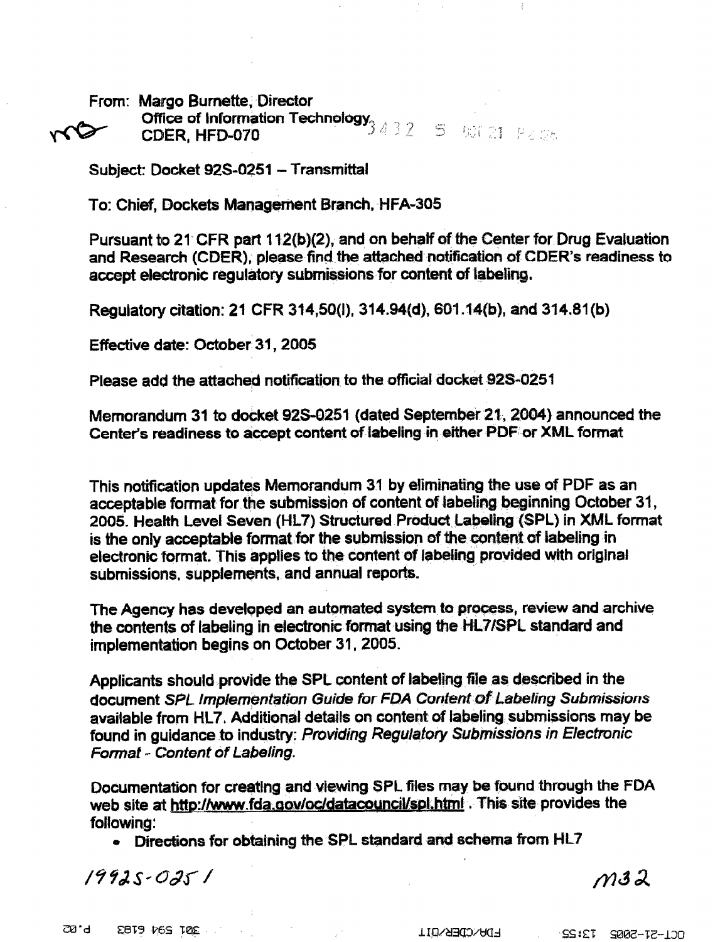From: Margo Burnette, Director **Office of Information Technology<br>Office of Information Technology**<br>CDER, HFD-070 mo

Subject: Docket 92S-0251 - Transmittal

To: Chief, Dockets Management Branch, HFA-305

Pursuant to 21 CFR part 112(b)(2), and on behalf of the Center for Drug Evaluation and Research (CDER), please find the attached notification of CDER's readiness to accept electronic regulatory submissions for content of labeling.

Regulatory citation: 21 CFR 314,50(I), 314.94(d), 601.14(b), and 314.81(b)

Effective date: October 31, 2005

Please add the attached notification to the official docket 92S-0251

Memorandum 31 to docket 92S-0251 (dated September 21, 2004) announced the Center's readiness to accept content of labeling in either PDF or XML format

This notification updates Memorandum 31 by eliminating the use of PDF as an acceptable format for the submission of content of labeling beginning October 31, 2005. Health Level Seven (HL7) Structured Product Labeling (SPL) in XML format is the only acceptable format for the submission of the content of labeling in electronic format. This applies to the content of labeling provided with original submissions, supplements, and annual reports.

The Agency has developed an automated system to process, review and archive the contents of labeling in electronic format using the HL7/SPL standard and implementation begins on October 31,2005.

Applicants should provide the SPL content of labeling file as described in the document SPL Implementation Guide for FDA Content of Labeling Submissions available from HL7. Additional details on content of labeling submissions may be found in guidance to industry: Providing Regulatory Submissions in Electronic Format - Content of Labeling.

Documentation for creating and viewing SPL files may be found through the FDA web site at http://www.fda.gov/oc/datacouncil/spl.html . This site provides the following :

 $\bullet$  Directions for obtaining the SPL standard and schema from HL7

 $19925 - 0251$ 

 $m32$ 

**P.82** EBT9 76S TOE

**FDA/CDER/OIT** DCL-57-5002 T3:22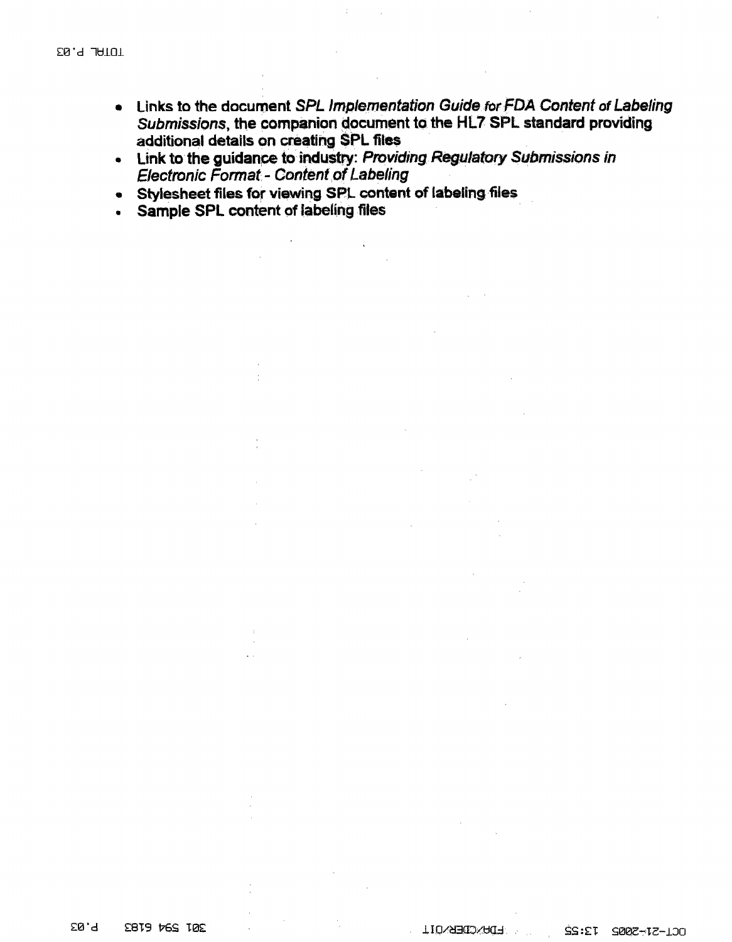- . Links to the document SPL Implementation Guide for FDA Content of Labeling Submissions, the companion document to the HL7 SPL standard providing additional details on creating SPL files
- Link to the guidance to industry: Providing Regulatory Submissions in **Electronic Format - Content of Labeling**
- Stylesheet files for viewing SPL content of labeling files
- Sample SPL content of labeling files  $\bullet$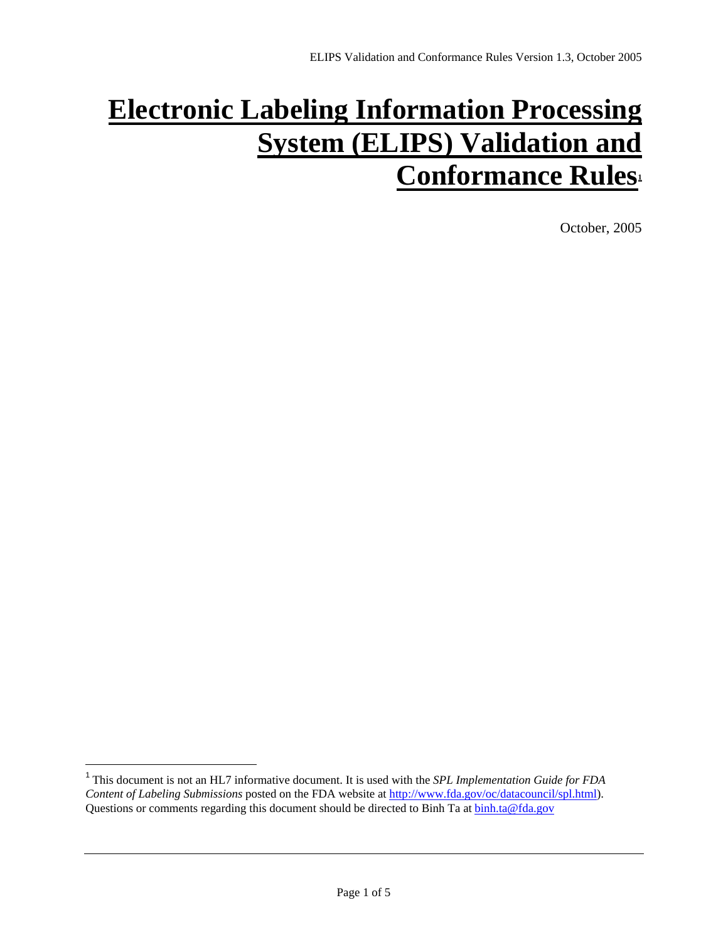# **Electronic Labeling Information Processing System (ELIPS) Validation and Conformance Rules**

October, 2005

 $\overline{a}$ 

<span id="page-43-0"></span><sup>1</sup> This document is not an HL7 informative document. It is used with the *SPL Implementation Guide for FDA Content of Labeling Submissions* posted on the FDA website at <http://www.fda.gov/oc/datacouncil/spl.html>). Questions or comments regarding this document should be directed to Binh Ta at [binh.ta@fda.gov](mailto:binh.ta@fda.gov)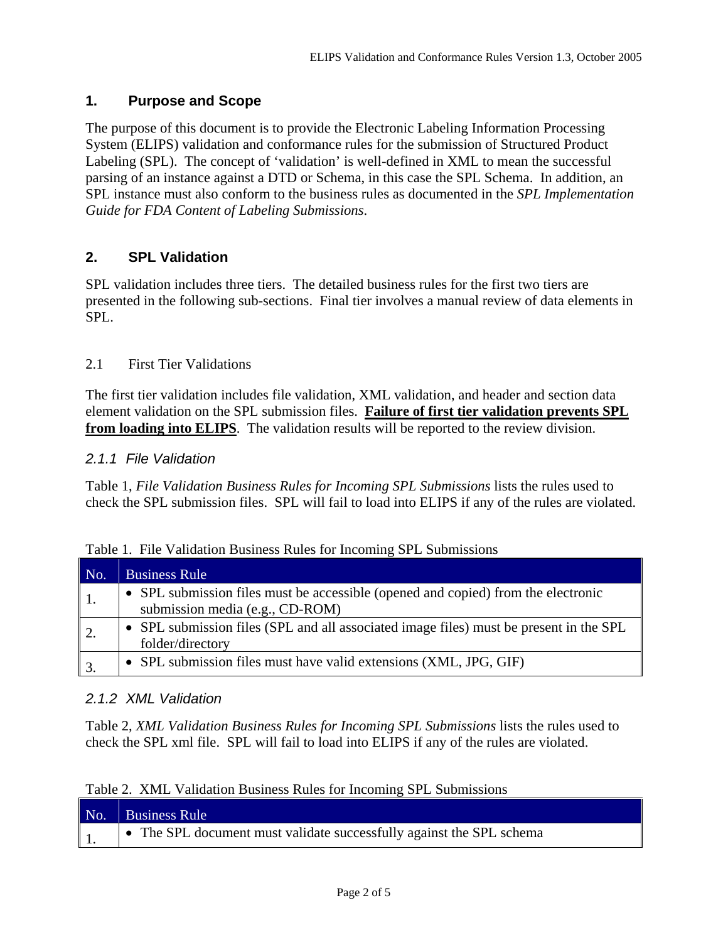# **1. Purpose and Scope**

The purpose of this document is to provide the Electronic Labeling Information Processing System (ELIPS) validation and conformance rules for the submission of Structured Product Labeling (SPL). The concept of 'validation' is well-defined in XML to mean the successful parsing of an instance against a DTD or Schema, in this case the SPL Schema. In addition, an SPL instance must also conform to the business rules as documented in the *SPL Implementation Guide for FDA Content of Labeling Submissions*.

# **2. SPL Validation**

SPL validation includes three tiers. The detailed business rules for the first two tiers are presented in the following sub-sections. Final tier involves a manual review of data elements in SPL.

# 2.1 First Tier Validations

The first tier validation includes file validation, XML validation, and header and section data element validation on the SPL submission files. **Failure of first tier validation prevents SPL from loading into ELIPS**. The validation results will be reported to the review division.

# *2.1.1 File Validation*

Table 1, *File Validation Business Rules for Incoming SPL Submissions* lists the rules used to check the SPL submission files. SPL will fail to load into ELIPS if any of the rules are violated.

| No.              | <b>Business Rule</b>                                                                                                 |
|------------------|----------------------------------------------------------------------------------------------------------------------|
|                  | • SPL submission files must be accessible (opened and copied) from the electronic<br>submission media (e.g., CD-ROM) |
| 2.               | • SPL submission files (SPL and all associated image files) must be present in the SPL<br>folder/directory           |
| $\mathfrak{Z}$ . | SPL submission files must have valid extensions (XML, JPG, GIF)<br>$\bullet$                                         |

|  |  |  |  |  | Table 1. File Validation Business Rules for Incoming SPL Submissions |
|--|--|--|--|--|----------------------------------------------------------------------|
|--|--|--|--|--|----------------------------------------------------------------------|

# *2.1.2 XML Validation*

Table 2, *XML Validation Business Rules for Incoming SPL Submissions* lists the rules used to check the SPL xml file. SPL will fail to load into ELIPS if any of the rules are violated.

|  |  |  |  |  | Table 2. XML Validation Business Rules for Incoming SPL Submissions |
|--|--|--|--|--|---------------------------------------------------------------------|
|--|--|--|--|--|---------------------------------------------------------------------|

| No. | <b>Business Rule</b>                                                 |
|-----|----------------------------------------------------------------------|
|     | • The SPL document must validate successfully against the SPL schema |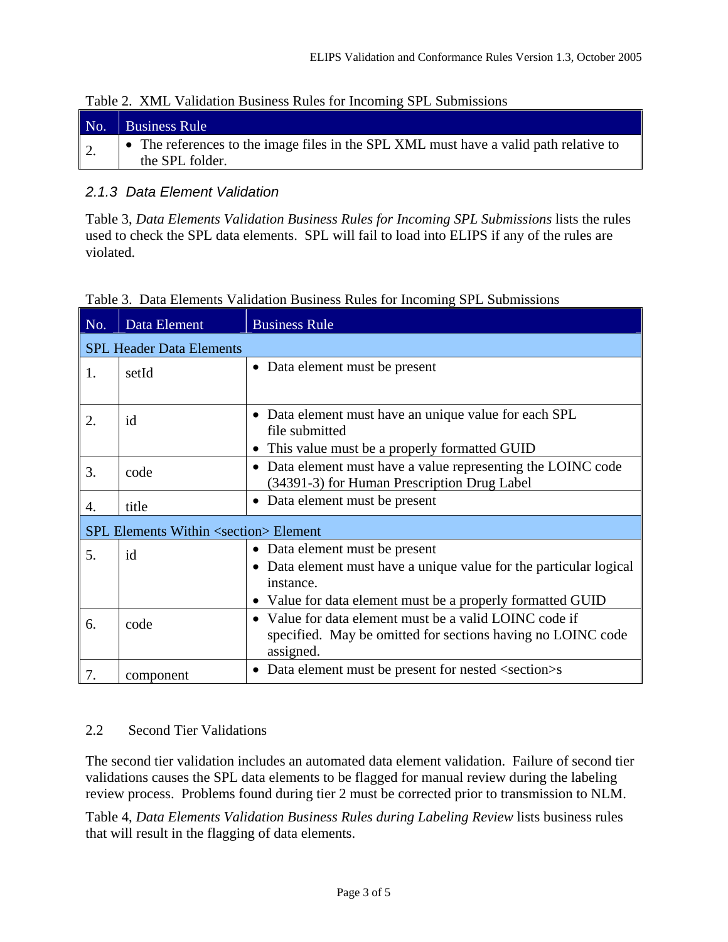| No. | <b>Business Rule</b>                                                                                     |
|-----|----------------------------------------------------------------------------------------------------------|
| Z.  | • The references to the image files in the SPL XML must have a valid path relative to<br>the SPL folder. |

# Table 2. XML Validation Business Rules for Incoming SPL Submissions

# *2.1.3 Data Element Validation*

Table 3, *Data Elements Validation Business Rules for Incoming SPL Submissions* lists the rules used to check the SPL data elements. SPL will fail to load into ELIPS if any of the rules are violated.

| No. | Data Element                                           | <b>Business Rule</b>                                                                                                                                                               |
|-----|--------------------------------------------------------|------------------------------------------------------------------------------------------------------------------------------------------------------------------------------------|
|     | <b>SPL Header Data Elements</b>                        |                                                                                                                                                                                    |
| 1.  | setId                                                  | • Data element must be present                                                                                                                                                     |
| 2.  | id                                                     | Data element must have an unique value for each SPL<br>file submitted<br>This value must be a properly formatted GUID                                                              |
| 3.  | code                                                   | Data element must have a value representing the LOINC code<br>$\bullet$<br>(34391-3) for Human Prescription Drug Label                                                             |
| 4.  | title                                                  | Data element must be present<br>$\bullet$                                                                                                                                          |
|     | <b>SPL Elements Within <section> Element</section></b> |                                                                                                                                                                                    |
| 5.  | id                                                     | Data element must be present<br>٠<br>• Data element must have a unique value for the particular logical<br>instance.<br>• Value for data element must be a properly formatted GUID |
| 6.  | code                                                   | • Value for data element must be a valid LOINC code if<br>specified. May be omitted for sections having no LOINC code<br>assigned.                                                 |
| 7.  | component                                              | Data element must be present for nested <section>s<br/><math display="inline">\bullet</math></section>                                                                             |

# Table 3. Data Elements Validation Business Rules for Incoming SPL Submissions

# 2.2 Second Tier Validations

The second tier validation includes an automated data element validation. Failure of second tier validations causes the SPL data elements to be flagged for manual review during the labeling review process. Problems found during tier 2 must be corrected prior to transmission to NLM.

Table 4, *Data Elements Validation Business Rules during Labeling Review* lists business rules that will result in the flagging of data elements.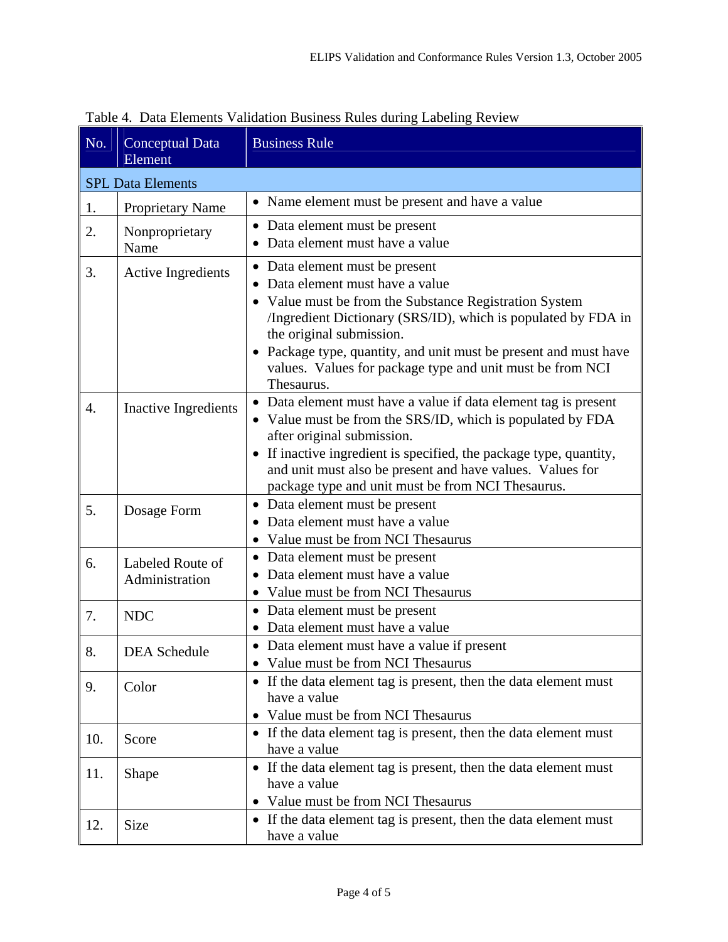| No. | <b>Conceptual Data</b><br>Element  | <b>Business Rule</b>                                                                                                                                                                                                                                                                                                                                             |
|-----|------------------------------------|------------------------------------------------------------------------------------------------------------------------------------------------------------------------------------------------------------------------------------------------------------------------------------------------------------------------------------------------------------------|
|     | <b>SPL Data Elements</b>           |                                                                                                                                                                                                                                                                                                                                                                  |
| 1.  | <b>Proprietary Name</b>            | • Name element must be present and have a value                                                                                                                                                                                                                                                                                                                  |
| 2.  | Nonproprietary<br>Name             | Data element must be present<br>Data element must have a value                                                                                                                                                                                                                                                                                                   |
| 3.  | <b>Active Ingredients</b>          | Data element must be present<br>Data element must have a value<br>Value must be from the Substance Registration System<br>/Ingredient Dictionary (SRS/ID), which is populated by FDA in<br>the original submission.<br>Package type, quantity, and unit must be present and must have<br>values. Values for package type and unit must be from NCI<br>Thesaurus. |
| 4.  | <b>Inactive Ingredients</b>        | Data element must have a value if data element tag is present<br>Value must be from the SRS/ID, which is populated by FDA<br>after original submission.<br>• If inactive ingredient is specified, the package type, quantity,<br>and unit must also be present and have values. Values for<br>package type and unit must be from NCI Thesaurus.                  |
| 5.  | Dosage Form                        | Data element must be present<br>Data element must have a value<br>Value must be from NCI Thesaurus                                                                                                                                                                                                                                                               |
| 6.  | Labeled Route of<br>Administration | Data element must be present<br>$\bullet$<br>Data element must have a value<br>Value must be from NCI Thesaurus                                                                                                                                                                                                                                                  |
| 7.  | <b>NDC</b>                         | • Data element must be present<br>Data element must have a value                                                                                                                                                                                                                                                                                                 |
| 8.  | <b>DEA</b> Schedule                | • Data element must have a value if present<br>Value must be from NCI Thesaurus                                                                                                                                                                                                                                                                                  |
| 9.  | Color                              | • If the data element tag is present, then the data element must<br>have a value<br>Value must be from NCI Thesaurus                                                                                                                                                                                                                                             |
| 10. | Score                              | • If the data element tag is present, then the data element must<br>have a value                                                                                                                                                                                                                                                                                 |
| 11. | Shape                              | • If the data element tag is present, then the data element must<br>have a value<br>Value must be from NCI Thesaurus                                                                                                                                                                                                                                             |
| 12. | Size                               | • If the data element tag is present, then the data element must<br>have a value                                                                                                                                                                                                                                                                                 |

Table 4. Data Elements Validation Business Rules during Labeling Review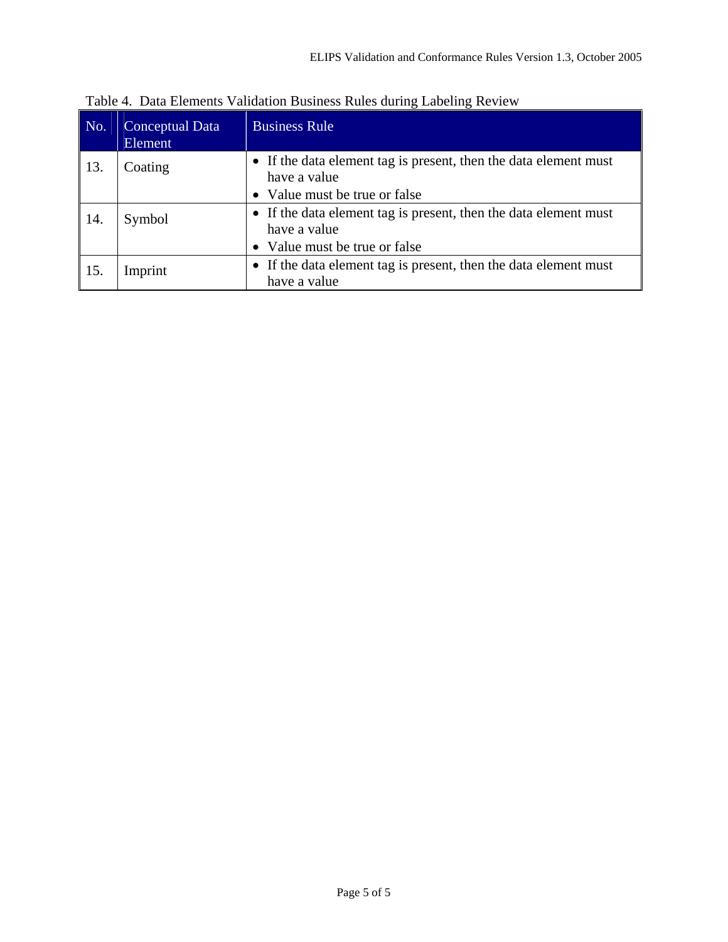| No. | Conceptual Data<br>Element | <b>Business Rule</b>                                                             |
|-----|----------------------------|----------------------------------------------------------------------------------|
| 13. | Coating                    | • If the data element tag is present, then the data element must<br>have a value |
|     |                            | • Value must be true or false                                                    |
| 14. | Symbol                     | • If the data element tag is present, then the data element must<br>have a value |
|     |                            | • Value must be true or false                                                    |
| 15. | Imprint                    | • If the data element tag is present, then the data element must<br>have a value |

Table 4. Data Elements Validation Business Rules during Labeling Review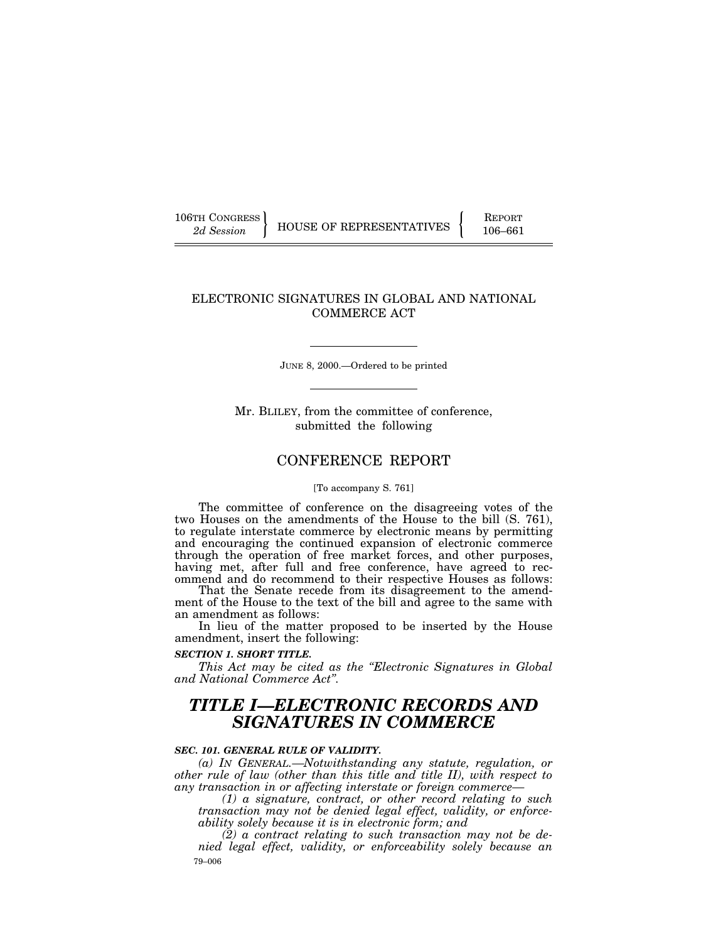| 106TH CONGRESS |  |
|----------------|--|
| 2d Session     |  |

106TH CONGRESS REPORT 2d Session **| HOUSE OF REPRESENTATIVES** | 106–661

# ELECTRONIC SIGNATURES IN GLOBAL AND NATIONAL COMMERCE ACT

JUNE 8, 2000.—Ordered to be printed

Mr. BLILEY, from the committee of conference, submitted the following

# CONFERENCE REPORT

#### [To accompany S. 761]

The committee of conference on the disagreeing votes of the two Houses on the amendments of the House to the bill (S. 761), to regulate interstate commerce by electronic means by permitting and encouraging the continued expansion of electronic commerce through the operation of free market forces, and other purposes, having met, after full and free conference, have agreed to recommend and do recommend to their respective Houses as follows:

That the Senate recede from its disagreement to the amendment of the House to the text of the bill and agree to the same with an amendment as follows:

In lieu of the matter proposed to be inserted by the House amendment, insert the following:

# *SECTION 1. SHORT TITLE.*

*This Act may be cited as the ''Electronic Signatures in Global and National Commerce Act''.*

# *TITLE I—ELECTRONIC RECORDS AND SIGNATURES IN COMMERCE*

# *SEC. 101. GENERAL RULE OF VALIDITY.*

*(a) IN GENERAL.—Notwithstanding any statute, regulation, or other rule of law (other than this title and title II), with respect to any transaction in or affecting interstate or foreign commerce—*

*(1) a signature, contract, or other record relating to such transaction may not be denied legal effect, validity, or enforceability solely because it is in electronic form; and*

79–006 *(2) a contract relating to such transaction may not be denied legal effect, validity, or enforceability solely because an*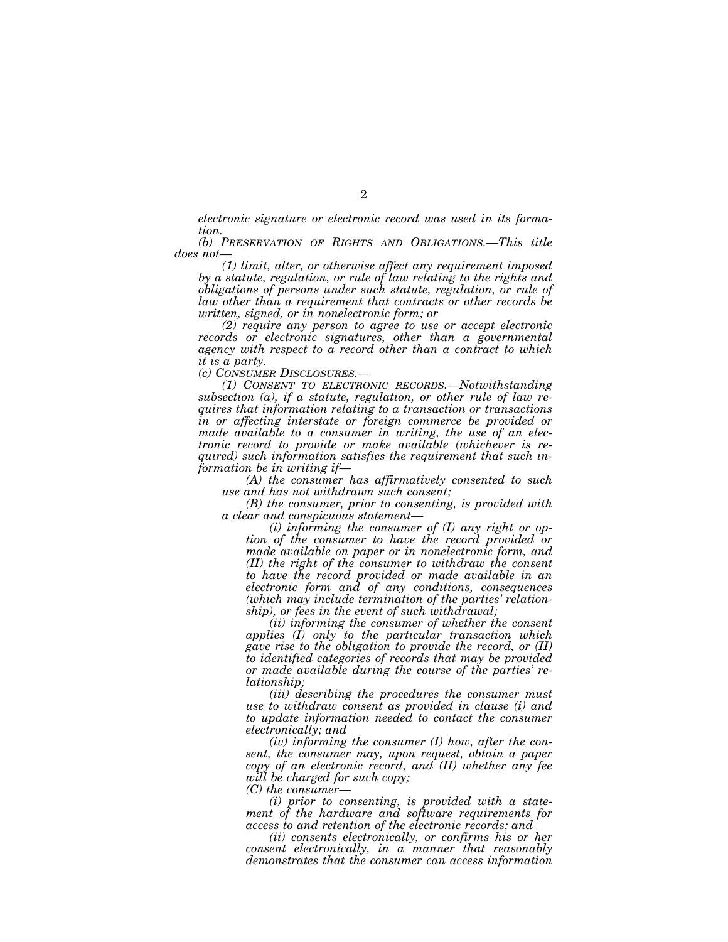*electronic signature or electronic record was used in its formation.*

*(b) PRESERVATION OF RIGHTS AND OBLIGATIONS.—This title does not—*

*(1) limit, alter, or otherwise affect any requirement imposed by a statute, regulation, or rule of law relating to the rights and obligations of persons under such statute, regulation, or rule of law other than a requirement that contracts or other records be written, signed, or in nonelectronic form; or*

*(2) require any person to agree to use or accept electronic records or electronic signatures, other than a governmental agency with respect to a record other than a contract to which it is a party.*

*(c) CONSUMER DISCLOSURES.—*

*(1) CONSENT TO ELECTRONIC RECORDS.—Notwithstanding subsection (a), if a statute, regulation, or other rule of law requires that information relating to a transaction or transactions in or affecting interstate or foreign commerce be provided or made available to a consumer in writing, the use of an electronic record to provide or make available (whichever is required) such information satisfies the requirement that such information be in writing if—*

*(A) the consumer has affirmatively consented to such use and has not withdrawn such consent;*

*(B) the consumer, prior to consenting, is provided with a clear and conspicuous statement—*

*(i) informing the consumer of (I) any right or option of the consumer to have the record provided or made available on paper or in nonelectronic form, and (II) the right of the consumer to withdraw the consent to have the record provided or made available in an electronic form and of any conditions, consequences (which may include termination of the parties' relationship), or fees in the event of such withdrawal;*

*(ii) informing the consumer of whether the consent applies (I) only to the particular transaction which gave rise to the obligation to provide the record, or (II) to identified categories of records that may be provided or made available during the course of the parties' relationship;*

*(iii) describing the procedures the consumer must use to withdraw consent as provided in clause (i) and to update information needed to contact the consumer electronically; and*

*(iv) informing the consumer (I) how, after the consent, the consumer may, upon request, obtain a paper copy of an electronic record, and (II) whether any fee will be charged for such copy;*

*(C) the consumer—*

*(i) prior to consenting, is provided with a statement of the hardware and software requirements for access to and retention of the electronic records; and*

*(ii) consents electronically, or confirms his or her consent electronically, in a manner that reasonably demonstrates that the consumer can access information*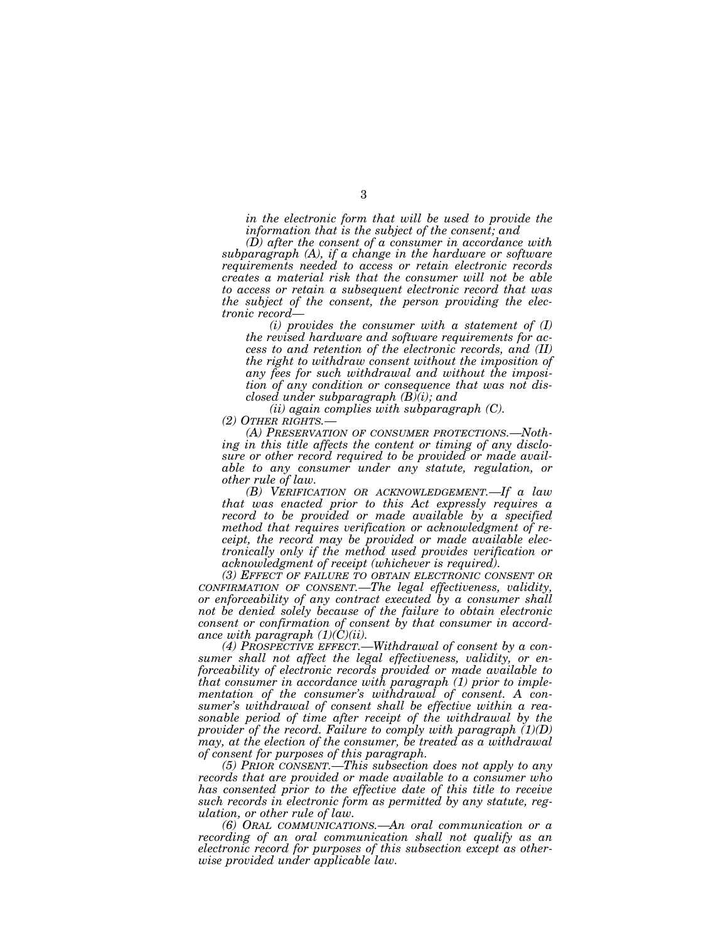*in the electronic form that will be used to provide the information that is the subject of the consent; and*

*(D) after the consent of a consumer in accordance with subparagraph (A), if a change in the hardware or software requirements needed to access or retain electronic records creates a material risk that the consumer will not be able to access or retain a subsequent electronic record that was the subject of the consent, the person providing the electronic record—*

*(i) provides the consumer with a statement of (I) the revised hardware and software requirements for access to and retention of the electronic records, and (II) the right to withdraw consent without the imposition of any fees for such withdrawal and without the imposition of any condition or consequence that was not disclosed under subparagraph (B)(i); and*

*(ii) again complies with subparagraph (C). (2) OTHER RIGHTS.—*

*(A) PRESERVATION OF CONSUMER PROTECTIONS.—Nothing in this title affects the content or timing of any disclosure or other record required to be provided or made available to any consumer under any statute, regulation, or other rule of law.*

*(B) VERIFICATION OR ACKNOWLEDGEMENT.—If a law that was enacted prior to this Act expressly requires a record to be provided or made available by a specified method that requires verification or acknowledgment of receipt, the record may be provided or made available electronically only if the method used provides verification or acknowledgment of receipt (whichever is required).*

*(3) EFFECT OF FAILURE TO OBTAIN ELECTRONIC CONSENT OR CONFIRMATION OF CONSENT.—The legal effectiveness, validity, or enforceability of any contract executed by a consumer shall not be denied solely because of the failure to obtain electronic consent or confirmation of consent by that consumer in accordance with paragraph (1)(C)(ii).*

*(4) PROSPECTIVE EFFECT.—Withdrawal of consent by a consumer shall not affect the legal effectiveness, validity, or enforceability of electronic records provided or made available to that consumer in accordance with paragraph (1) prior to implementation of the consumer's withdrawal of consent. A consumer's withdrawal of consent shall be effective within a reasonable period of time after receipt of the withdrawal by the provider of the record. Failure to comply with paragraph (1)(D) may, at the election of the consumer, be treated as a withdrawal of consent for purposes of this paragraph.*

*(5) PRIOR CONSENT.—This subsection does not apply to any records that are provided or made available to a consumer who has consented prior to the effective date of this title to receive such records in electronic form as permitted by any statute, regulation, or other rule of law.*

*(6) ORAL COMMUNICATIONS.—An oral communication or a recording of an oral communication shall not qualify as an electronic record for purposes of this subsection except as otherwise provided under applicable law.*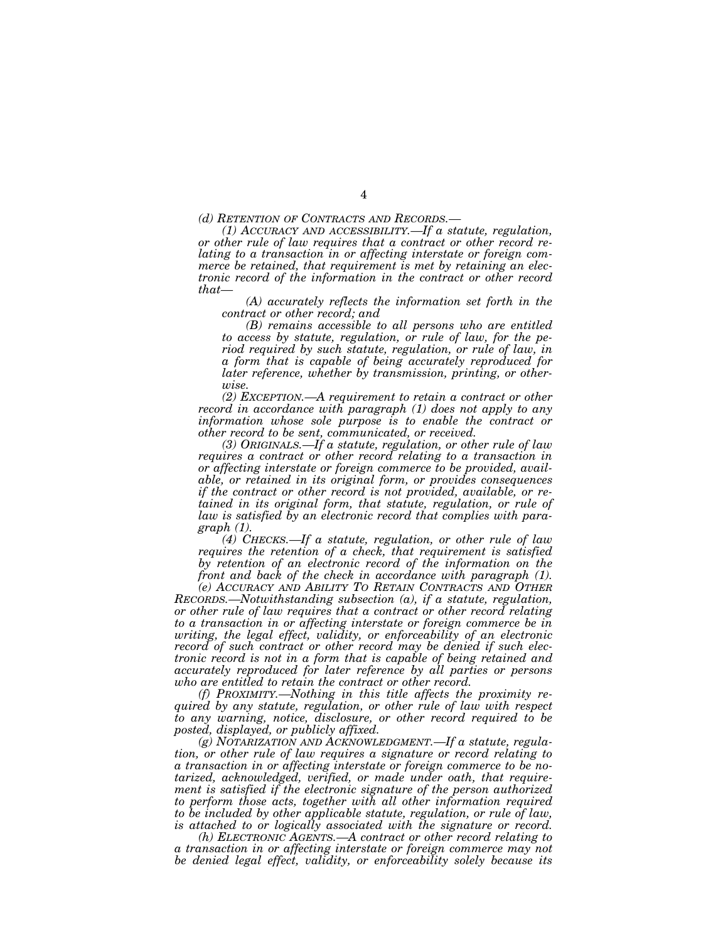*(d) RETENTION OF CONTRACTS AND RECORDS.—*

*(1) ACCURACY AND ACCESSIBILITY.—If a statute, regulation, or other rule of law requires that a contract or other record relating to a transaction in or affecting interstate or foreign commerce be retained, that requirement is met by retaining an electronic record of the information in the contract or other record that—*

*(A) accurately reflects the information set forth in the contract or other record; and*

*(B) remains accessible to all persons who are entitled to access by statute, regulation, or rule of law, for the period required by such statute, regulation, or rule of law, in a form that is capable of being accurately reproduced for later reference, whether by transmission, printing, or otherwise.*

*(2) EXCEPTION.—A requirement to retain a contract or other record in accordance with paragraph (1) does not apply to any information whose sole purpose is to enable the contract or other record to be sent, communicated, or received.*

*(3) ORIGINALS.—If a statute, regulation, or other rule of law requires a contract or other record relating to a transaction in or affecting interstate or foreign commerce to be provided, available, or retained in its original form, or provides consequences if the contract or other record is not provided, available, or retained in its original form, that statute, regulation, or rule of law is satisfied by an electronic record that complies with paragraph (1).*

*(4) CHECKS.—If a statute, regulation, or other rule of law requires the retention of a check, that requirement is satisfied by retention of an electronic record of the information on the front and back of the check in accordance with paragraph (1).*

*(e) ACCURACY AND ABILITY TO RETAIN CONTRACTS AND OTHER RECORDS.—Notwithstanding subsection (a), if a statute, regulation, or other rule of law requires that a contract or other record relating to a transaction in or affecting interstate or foreign commerce be in writing, the legal effect, validity, or enforceability of an electronic record of such contract or other record may be denied if such electronic record is not in a form that is capable of being retained and accurately reproduced for later reference by all parties or persons who are entitled to retain the contract or other record.*

*(f) PROXIMITY.—Nothing in this title affects the proximity required by any statute, regulation, or other rule of law with respect to any warning, notice, disclosure, or other record required to be posted, displayed, or publicly affixed.*

*(g) NOTARIZATION AND ACKNOWLEDGMENT.—If a statute, regulation, or other rule of law requires a signature or record relating to a transaction in or affecting interstate or foreign commerce to be notarized, acknowledged, verified, or made under oath, that requirement is satisfied if the electronic signature of the person authorized to perform those acts, together with all other information required to be included by other applicable statute, regulation, or rule of law, is attached to or logically associated with the signature or record.*

*(h) ELECTRONIC AGENTS.—A contract or other record relating to a transaction in or affecting interstate or foreign commerce may not be denied legal effect, validity, or enforceability solely because its*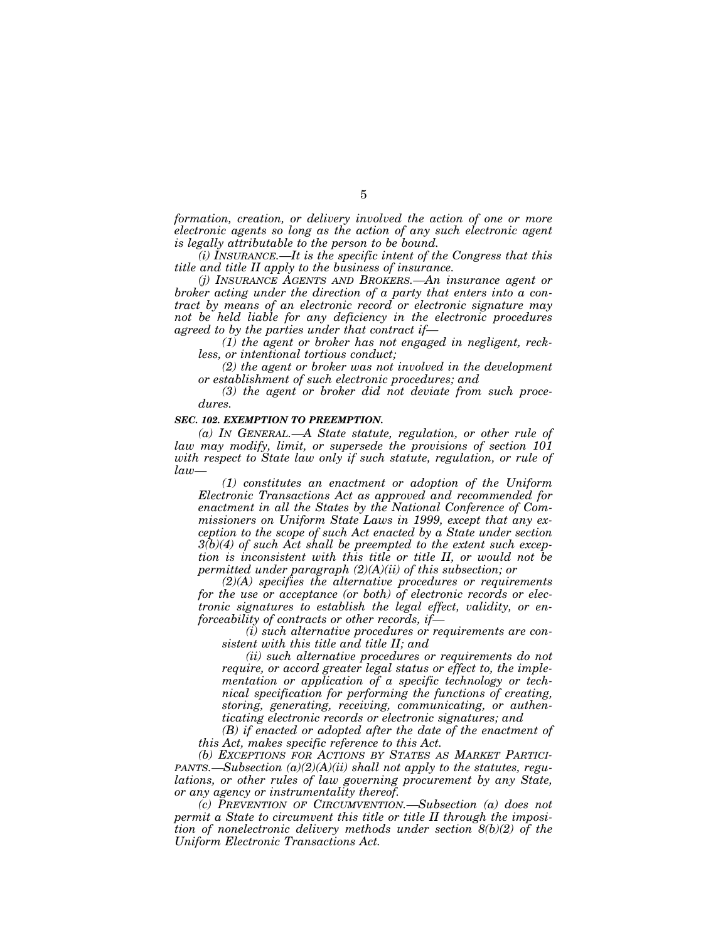*formation, creation, or delivery involved the action of one or more electronic agents so long as the action of any such electronic agent is legally attributable to the person to be bound.*

*(i) INSURANCE.—It is the specific intent of the Congress that this title and title II apply to the business of insurance.*

*(j) INSURANCE AGENTS AND BROKERS.—An insurance agent or broker acting under the direction of a party that enters into a contract by means of an electronic record or electronic signature may not be held liable for any deficiency in the electronic procedures agreed to by the parties under that contract if—*

*(1) the agent or broker has not engaged in negligent, reckless, or intentional tortious conduct;*

*(2) the agent or broker was not involved in the development or establishment of such electronic procedures; and*

*(3) the agent or broker did not deviate from such procedures.*

#### *SEC. 102. EXEMPTION TO PREEMPTION.*

*(a) IN GENERAL.—A State statute, regulation, or other rule of law may modify, limit, or supersede the provisions of section 101 with respect to State law only if such statute, regulation, or rule of law—*

*(1) constitutes an enactment or adoption of the Uniform Electronic Transactions Act as approved and recommended for enactment in all the States by the National Conference of Commissioners on Uniform State Laws in 1999, except that any exception to the scope of such Act enacted by a State under section 3(b)(4) of such Act shall be preempted to the extent such exception is inconsistent with this title or title II, or would not be permitted under paragraph (2)(A)(ii) of this subsection; or*

*(2)(A) specifies the alternative procedures or requirements for the use or acceptance (or both) of electronic records or electronic signatures to establish the legal effect, validity, or enforceability of contracts or other records, if—*

*(i) such alternative procedures or requirements are consistent with this title and title II; and*

*(ii) such alternative procedures or requirements do not require, or accord greater legal status or effect to, the implementation or application of a specific technology or technical specification for performing the functions of creating, storing, generating, receiving, communicating, or authenticating electronic records or electronic signatures; and*

*(B) if enacted or adopted after the date of the enactment of this Act, makes specific reference to this Act.*

*(b) EXCEPTIONS FOR ACTIONS BY STATES AS MARKET PARTICI-PANTS.—Subsection (a)(2)(A)(ii) shall not apply to the statutes, regulations, or other rules of law governing procurement by any State, or any agency or instrumentality thereof.*

*(c) PREVENTION OF CIRCUMVENTION.—Subsection (a) does not permit a State to circumvent this title or title II through the imposition of nonelectronic delivery methods under section 8(b)(2) of the Uniform Electronic Transactions Act.*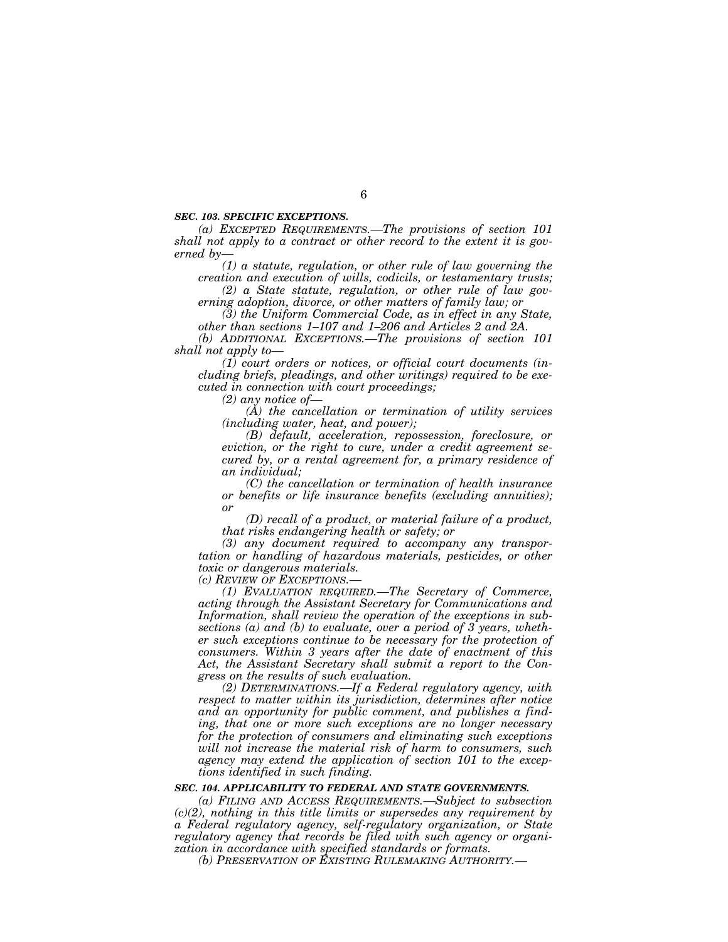#### *SEC. 103. SPECIFIC EXCEPTIONS.*

*(a) EXCEPTED REQUIREMENTS.—The provisions of section 101 shall not apply to a contract or other record to the extent it is governed by—*

*(1) a statute, regulation, or other rule of law governing the creation and execution of wills, codicils, or testamentary trusts; (2) a State statute, regulation, or other rule of law gov-*

*erning adoption, divorce, or other matters of family law; or*

*(3) the Uniform Commercial Code, as in effect in any State, other than sections 1–107 and 1–206 and Articles 2 and 2A.*

*(b) ADDITIONAL EXCEPTIONS.—The provisions of section 101 shall not apply to—*

*(1) court orders or notices, or official court documents (including briefs, pleadings, and other writings) required to be executed in connection with court proceedings;*

*(2) any notice of—*

*(A) the cancellation or termination of utility services (including water, heat, and power);*

*(B) default, acceleration, repossession, foreclosure, or eviction, or the right to cure, under a credit agreement secured by, or a rental agreement for, a primary residence of an individual;*

*(C) the cancellation or termination of health insurance or benefits or life insurance benefits (excluding annuities); or*

*(D) recall of a product, or material failure of a product, that risks endangering health or safety; or*

*(3) any document required to accompany any transportation or handling of hazardous materials, pesticides, or other toxic or dangerous materials.*

*(c) REVIEW OF EXCEPTIONS.—*

*(1) EVALUATION REQUIRED.—The Secretary of Commerce, acting through the Assistant Secretary for Communications and Information, shall review the operation of the exceptions in subsections (a) and (b) to evaluate, over a period of 3 years, whether such exceptions continue to be necessary for the protection of consumers. Within 3 years after the date of enactment of this Act, the Assistant Secretary shall submit a report to the Congress on the results of such evaluation.*

*(2) DETERMINATIONS.—If a Federal regulatory agency, with respect to matter within its jurisdiction, determines after notice and an opportunity for public comment, and publishes a finding, that one or more such exceptions are no longer necessary for the protection of consumers and eliminating such exceptions will not increase the material risk of harm to consumers, such agency may extend the application of section 101 to the exceptions identified in such finding.*

### *SEC. 104. APPLICABILITY TO FEDERAL AND STATE GOVERNMENTS.*

*(a) FILING AND ACCESS REQUIREMENTS.—Subject to subsection (c)(2), nothing in this title limits or supersedes any requirement by a Federal regulatory agency, self-regulatory organization, or State regulatory agency that records be filed with such agency or organization in accordance with specified standards or formats.*

*(b) PRESERVATION OF EXISTING RULEMAKING AUTHORITY.—*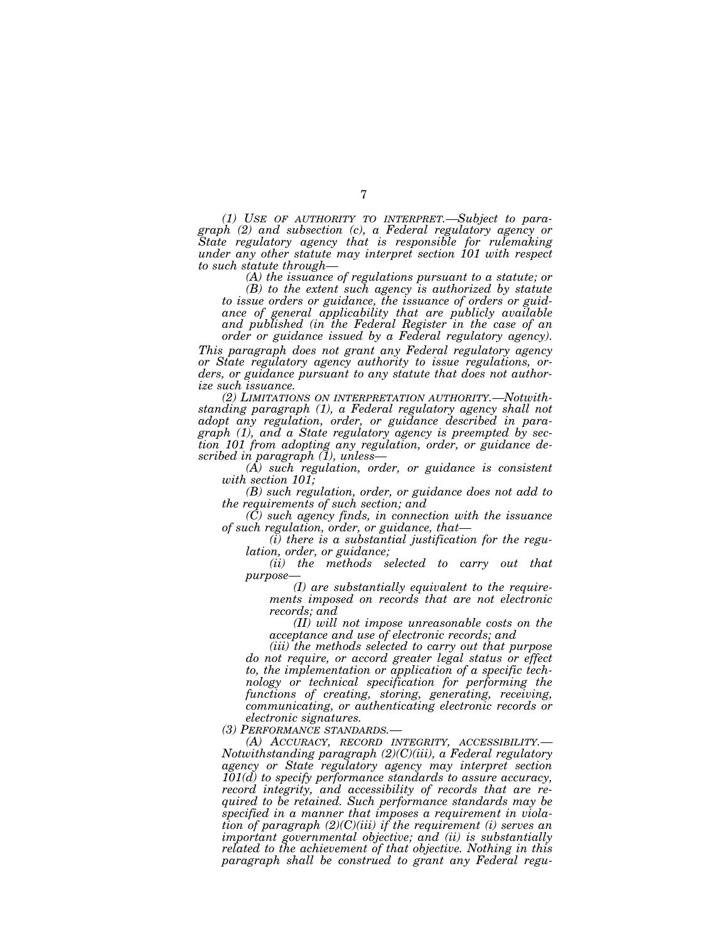*(1) USE OF AUTHORITY TO INTERPRET.—Subject to paragraph (2) and subsection (c), a Federal regulatory agency or State regulatory agency that is responsible for rulemaking under any other statute may interpret section 101 with respect to such statute through—*

*(A) the issuance of regulations pursuant to a statute; or*

*(B) to the extent such agency is authorized by statute to issue orders or guidance, the issuance of orders or guidance of general applicability that are publicly available and published (in the Federal Register in the case of an order or guidance issued by a Federal regulatory agency).*

*This paragraph does not grant any Federal regulatory agency or State regulatory agency authority to issue regulations, orders, or guidance pursuant to any statute that does not authorize such issuance.*

*(2) LIMITATIONS ON INTERPRETATION AUTHORITY.—Notwithstanding paragraph (1), a Federal regulatory agency shall not adopt any regulation, order, or guidance described in paragraph (1), and a State regulatory agency is preempted by section 101 from adopting any regulation, order, or guidance described in paragraph (1), unless—*

*(A) such regulation, order, or guidance is consistent with section 101;*

*(B) such regulation, order, or guidance does not add to the requirements of such section; and*

*(C) such agency finds, in connection with the issuance of such regulation, order, or guidance, that—*

*(i) there is a substantial justification for the regulation, order, or guidance;*

*(ii) the methods selected to carry out that purpose—*

*(I) are substantially equivalent to the requirements imposed on records that are not electronic records; and*

*(II) will not impose unreasonable costs on the acceptance and use of electronic records; and*

*(iii) the methods selected to carry out that purpose do not require, or accord greater legal status or effect to, the implementation or application of a specific technology or technical specification for performing the functions of creating, storing, generating, receiving, communicating, or authenticating electronic records or electronic signatures.*

*(3) PERFORMANCE STANDARDS.—*

*(A) ACCURACY, RECORD INTEGRITY, ACCESSIBILITY.— Notwithstanding paragraph (2)(C)(iii), a Federal regulatory agency or State regulatory agency may interpret section 101(d) to specify performance standards to assure accuracy, record integrity, and accessibility of records that are required to be retained. Such performance standards may be specified in a manner that imposes a requirement in violation of paragraph (2)(C)(iii) if the requirement (i) serves an important governmental objective; and (ii) is substantially related to the achievement of that objective. Nothing in this paragraph shall be construed to grant any Federal regu-*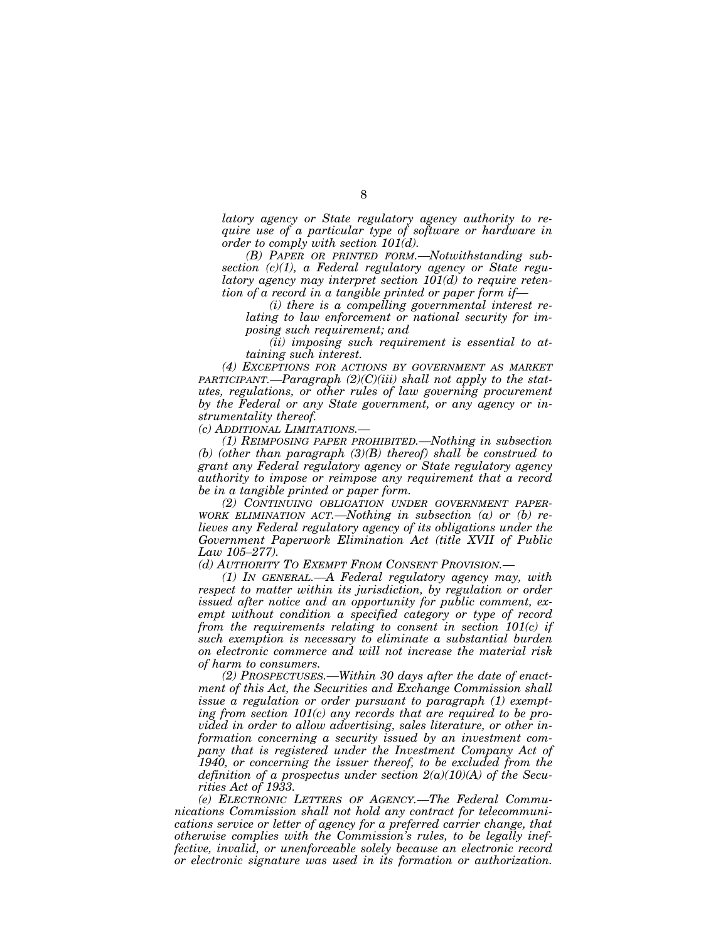*latory agency or State regulatory agency authority to require use of a particular type of software or hardware in order to comply with section 101(d).*

*(B) PAPER OR PRINTED FORM.—Notwithstanding subsection (c)(1), a Federal regulatory agency or State regulatory agency may interpret section 101(d) to require retention of a record in a tangible printed or paper form if—*

*(i) there is a compelling governmental interest relating to law enforcement or national security for imposing such requirement; and*

*(ii) imposing such requirement is essential to attaining such interest.*

*(4) EXCEPTIONS FOR ACTIONS BY GOVERNMENT AS MARKET PARTICIPANT.—Paragraph (2)(C)(iii) shall not apply to the statutes, regulations, or other rules of law governing procurement by the Federal or any State government, or any agency or instrumentality thereof.*

*(c) ADDITIONAL LIMITATIONS.—*

*(1) REIMPOSING PAPER PROHIBITED.—Nothing in subsection (b) (other than paragraph (3)(B) thereof) shall be construed to grant any Federal regulatory agency or State regulatory agency authority to impose or reimpose any requirement that a record be in a tangible printed or paper form.*

*(2) CONTINUING OBLIGATION UNDER GOVERNMENT PAPER-WORK ELIMINATION ACT.—Nothing in subsection (a) or (b) relieves any Federal regulatory agency of its obligations under the Government Paperwork Elimination Act (title XVII of Public Law 105–277).*

*(d) AUTHORITY TO EXEMPT FROM CONSENT PROVISION.—*

*(1) IN GENERAL.—A Federal regulatory agency may, with respect to matter within its jurisdiction, by regulation or order issued after notice and an opportunity for public comment, exempt without condition a specified category or type of record from the requirements relating to consent in section 101(c) if such exemption is necessary to eliminate a substantial burden on electronic commerce and will not increase the material risk of harm to consumers.*

*(2) PROSPECTUSES.—Within 30 days after the date of enactment of this Act, the Securities and Exchange Commission shall issue a regulation or order pursuant to paragraph (1) exempting from section 101(c) any records that are required to be provided in order to allow advertising, sales literature, or other information concerning a security issued by an investment company that is registered under the Investment Company Act of 1940, or concerning the issuer thereof, to be excluded from the definition of a prospectus under section 2(a)(10)(A) of the Securities Act of 1933.*

*(e) ELECTRONIC LETTERS OF AGENCY.—The Federal Communications Commission shall not hold any contract for telecommunications service or letter of agency for a preferred carrier change, that otherwise complies with the Commission's rules, to be legally ineffective, invalid, or unenforceable solely because an electronic record or electronic signature was used in its formation or authorization.*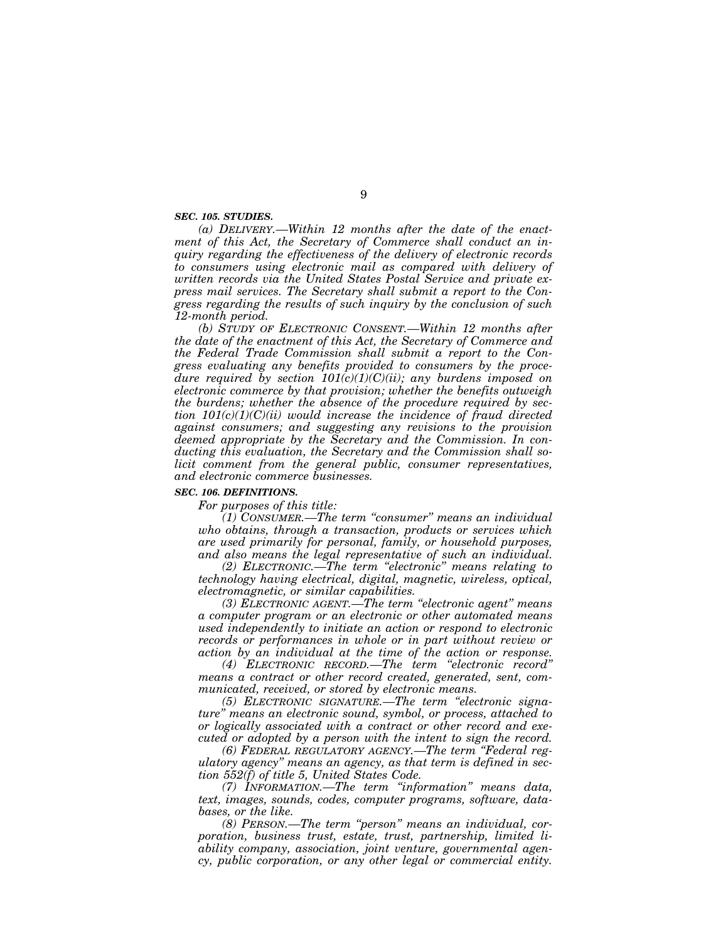#### *SEC. 105. STUDIES.*

*(a) DELIVERY.—Within 12 months after the date of the enactment of this Act, the Secretary of Commerce shall conduct an inquiry regarding the effectiveness of the delivery of electronic records to consumers using electronic mail as compared with delivery of written records via the United States Postal Service and private express mail services. The Secretary shall submit a report to the Congress regarding the results of such inquiry by the conclusion of such 12-month period.*

*(b) STUDY OF ELECTRONIC CONSENT.—Within 12 months after the date of the enactment of this Act, the Secretary of Commerce and the Federal Trade Commission shall submit a report to the Congress evaluating any benefits provided to consumers by the procedure required by section 101(c)(1)(C)(ii); any burdens imposed on electronic commerce by that provision; whether the benefits outweigh the burdens; whether the absence of the procedure required by section 101(c)(1)(C)(ii) would increase the incidence of fraud directed against consumers; and suggesting any revisions to the provision deemed appropriate by the Secretary and the Commission. In conducting this evaluation, the Secretary and the Commission shall solicit comment from the general public, consumer representatives, and electronic commerce businesses.*

# *SEC. 106. DEFINITIONS.*

*For purposes of this title:*

*(1) CONSUMER.—The term ''consumer'' means an individual who obtains, through a transaction, products or services which are used primarily for personal, family, or household purposes, and also means the legal representative of such an individual.*

*(2) ELECTRONIC.—The term ''electronic'' means relating to technology having electrical, digital, magnetic, wireless, optical, electromagnetic, or similar capabilities.*

*(3) ELECTRONIC AGENT.—The term ''electronic agent'' means a computer program or an electronic or other automated means used independently to initiate an action or respond to electronic records or performances in whole or in part without review or action by an individual at the time of the action or response.*

*(4) ELECTRONIC RECORD.—The term ''electronic record'' means a contract or other record created, generated, sent, communicated, received, or stored by electronic means.*

*(5) ELECTRONIC SIGNATURE.—The term ''electronic signature'' means an electronic sound, symbol, or process, attached to or logically associated with a contract or other record and executed or adopted by a person with the intent to sign the record.*

*(6) FEDERAL REGULATORY AGENCY.—The term ''Federal regulatory agency'' means an agency, as that term is defined in section 552(f) of title 5, United States Code.*

*(7) INFORMATION.—The term ''information'' means data, text, images, sounds, codes, computer programs, software, databases, or the like.*

*(8) PERSON.—The term ''person'' means an individual, corporation, business trust, estate, trust, partnership, limited liability company, association, joint venture, governmental agency, public corporation, or any other legal or commercial entity.*

9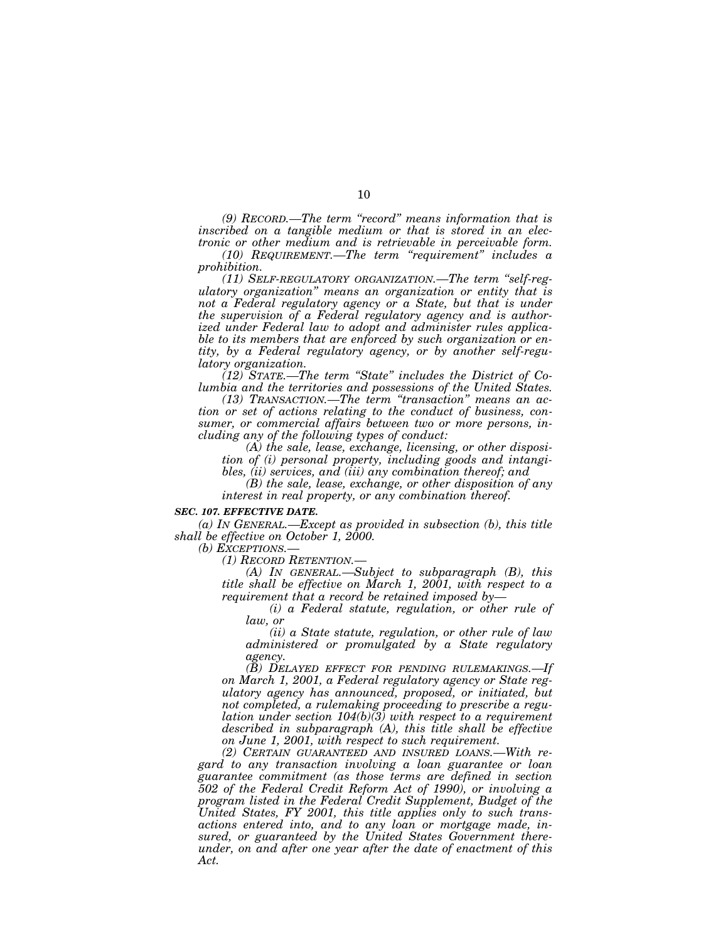*(9) RECORD.—The term ''record'' means information that is inscribed on a tangible medium or that is stored in an electronic or other medium and is retrievable in perceivable form. (10) REQUIREMENT.—The term ''requirement'' includes a prohibition.*

*(11) SELF-REGULATORY ORGANIZATION.—The term ''self-regulatory organization'' means an organization or entity that is not a Federal regulatory agency or a State, but that is under the supervision of a Federal regulatory agency and is authorized under Federal law to adopt and administer rules applicable to its members that are enforced by such organization or entity, by a Federal regulatory agency, or by another self-regulatory organization.*

*(12) STATE.—The term ''State'' includes the District of Columbia and the territories and possessions of the United States.*

*(13) TRANSACTION.—The term ''transaction'' means an action or set of actions relating to the conduct of business, consumer, or commercial affairs between two or more persons, including any of the following types of conduct:*

*(A) the sale, lease, exchange, licensing, or other disposition of (i) personal property, including goods and intangibles, (ii) services, and (iii) any combination thereof; and*

*(B) the sale, lease, exchange, or other disposition of any interest in real property, or any combination thereof.*

#### *SEC. 107. EFFECTIVE DATE.*

*(a) IN GENERAL.—Except as provided in subsection (b), this title shall be effective on October 1, 2000.*

*(b) EXCEPTIONS.—*

*(1) RECORD RETENTION.—*

*(A) IN GENERAL.—Subject to subparagraph (B), this title shall be effective on March 1, 2001, with respect to a requirement that a record be retained imposed by—*

*(i) a Federal statute, regulation, or other rule of law, or*

*(ii) a State statute, regulation, or other rule of law administered or promulgated by a State regulatory agency.*

*(B) DELAYED EFFECT FOR PENDING RULEMAKINGS.—If on March 1, 2001, a Federal regulatory agency or State regulatory agency has announced, proposed, or initiated, but not completed, a rulemaking proceeding to prescribe a regulation under section 104(b)(3) with respect to a requirement described in subparagraph (A), this title shall be effective on June 1, 2001, with respect to such requirement.*

*(2) CERTAIN GUARANTEED AND INSURED LOANS.—With regard to any transaction involving a loan guarantee or loan guarantee commitment (as those terms are defined in section 502 of the Federal Credit Reform Act of 1990), or involving a program listed in the Federal Credit Supplement, Budget of the United States, FY 2001, this title applies only to such transactions entered into, and to any loan or mortgage made, insured, or guaranteed by the United States Government thereunder, on and after one year after the date of enactment of this Act.*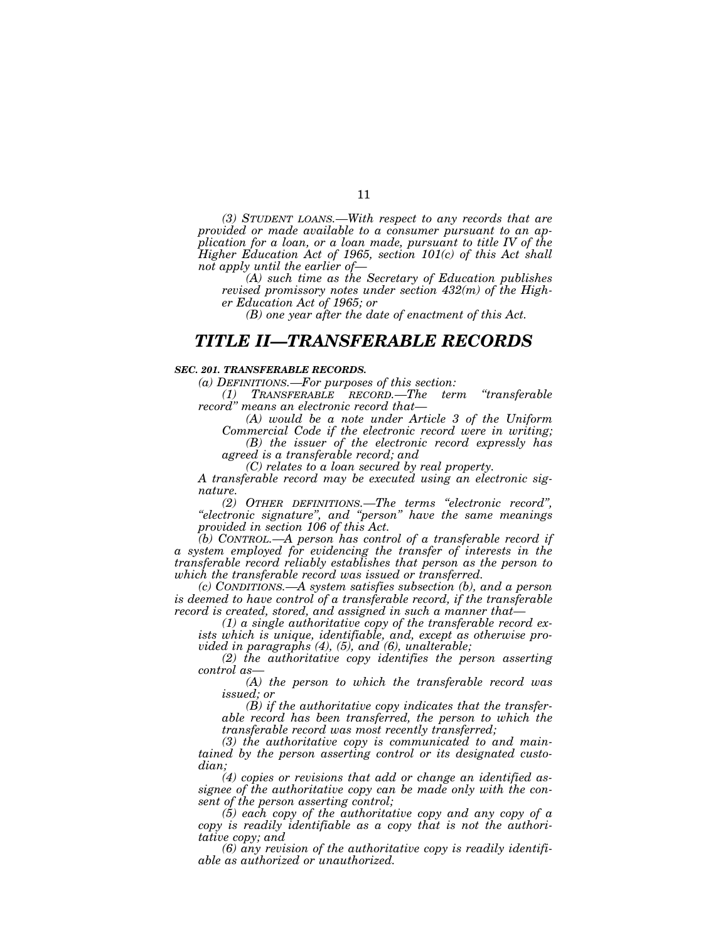*(3) STUDENT LOANS.—With respect to any records that are provided or made available to a consumer pursuant to an application for a loan, or a loan made, pursuant to title IV of the Higher Education Act of 1965, section 101(c) of this Act shall not apply until the earlier of—*

*(A) such time as the Secretary of Education publishes revised promissory notes under section 432(m) of the Higher Education Act of 1965; or*

*(B) one year after the date of enactment of this Act.*

# *TITLE II—TRANSFERABLE RECORDS*

#### *SEC. 201. TRANSFERABLE RECORDS.*

*(a) DEFINITIONS.—For purposes of this section:*

*(1) TRANSFERABLE RECORD.—The term ''transferable record'' means an electronic record that—*

*(A) would be a note under Article 3 of the Uniform*

*Commercial Code if the electronic record were in writing; (B) the issuer of the electronic record expressly has*

*agreed is a transferable record; and*

*(C) relates to a loan secured by real property.*

*A transferable record may be executed using an electronic signature.*

*(2) OTHER DEFINITIONS.—The terms ''electronic record'', ''electronic signature'', and ''person'' have the same meanings provided in section 106 of this Act.*

*(b) CONTROL.—A person has control of a transferable record if a system employed for evidencing the transfer of interests in the transferable record reliably establishes that person as the person to which the transferable record was issued or transferred.*

*(c) CONDITIONS.—A system satisfies subsection (b), and a person is deemed to have control of a transferable record, if the transferable record is created, stored, and assigned in such a manner that—*

*(1) a single authoritative copy of the transferable record exists which is unique, identifiable, and, except as otherwise provided in paragraphs (4), (5), and (6), unalterable;*

*(2) the authoritative copy identifies the person asserting control as—*

*(A) the person to which the transferable record was issued; or*

*(B) if the authoritative copy indicates that the transferable record has been transferred, the person to which the transferable record was most recently transferred;*

*(3) the authoritative copy is communicated to and maintained by the person asserting control or its designated custodian;*

*(4) copies or revisions that add or change an identified assignee of the authoritative copy can be made only with the consent of the person asserting control;*

*(5) each copy of the authoritative copy and any copy of a copy is readily identifiable as a copy that is not the authoritative copy; and*

*(6) any revision of the authoritative copy is readily identifiable as authorized or unauthorized.*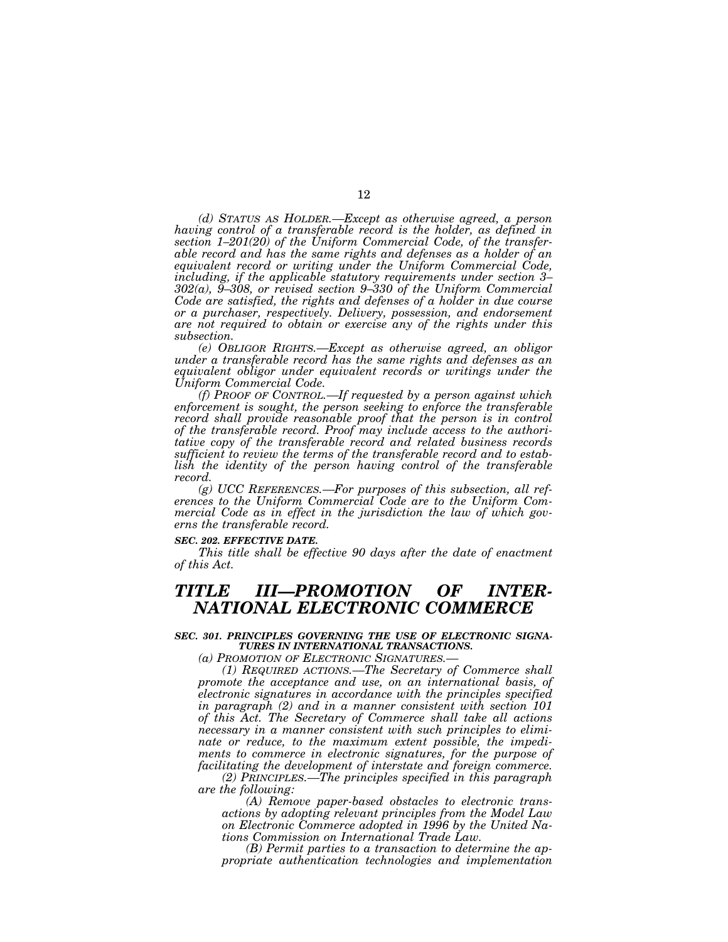*(d) STATUS AS HOLDER.—Except as otherwise agreed, a person having control of a transferable record is the holder, as defined in section 1–201(20) of the Uniform Commercial Code, of the transferable record and has the same rights and defenses as a holder of an equivalent record or writing under the Uniform Commercial Code, including, if the applicable statutory requirements under section 3– 302(a), 9–308, or revised section 9–330 of the Uniform Commercial Code are satisfied, the rights and defenses of a holder in due course or a purchaser, respectively. Delivery, possession, and endorsement are not required to obtain or exercise any of the rights under this subsection.*

*(e) OBLIGOR RIGHTS.—Except as otherwise agreed, an obligor under a transferable record has the same rights and defenses as an equivalent obligor under equivalent records or writings under the Uniform Commercial Code.*

*(f) PROOF OF CONTROL.—If requested by a person against which enforcement is sought, the person seeking to enforce the transferable record shall provide reasonable proof that the person is in control of the transferable record. Proof may include access to the authoritative copy of the transferable record and related business records sufficient to review the terms of the transferable record and to establish the identity of the person having control of the transferable record.*

*(g) UCC REFERENCES.—For purposes of this subsection, all references to the Uniform Commercial Code are to the Uniform Commercial Code as in effect in the jurisdiction the law of which governs the transferable record.*

#### *SEC. 202. EFFECTIVE DATE.*

*This title shall be effective 90 days after the date of enactment of this Act.*

# *TITLE III—PROMOTION OF INTER-NATIONAL ELECTRONIC COMMERCE*

# *SEC. 301. PRINCIPLES GOVERNING THE USE OF ELECTRONIC SIGNA-TURES IN INTERNATIONAL TRANSACTIONS.*

*(a) PROMOTION OF ELECTRONIC SIGNATURES.—*

*(1) REQUIRED ACTIONS.—The Secretary of Commerce shall promote the acceptance and use, on an international basis, of electronic signatures in accordance with the principles specified in paragraph (2) and in a manner consistent with section 101 of this Act. The Secretary of Commerce shall take all actions necessary in a manner consistent with such principles to eliminate or reduce, to the maximum extent possible, the impediments to commerce in electronic signatures, for the purpose of facilitating the development of interstate and foreign commerce.*

*(2) PRINCIPLES.—The principles specified in this paragraph are the following:*

*(A) Remove paper-based obstacles to electronic transactions by adopting relevant principles from the Model Law on Electronic Commerce adopted in 1996 by the United Nations Commission on International Trade Law.*

*(B) Permit parties to a transaction to determine the appropriate authentication technologies and implementation*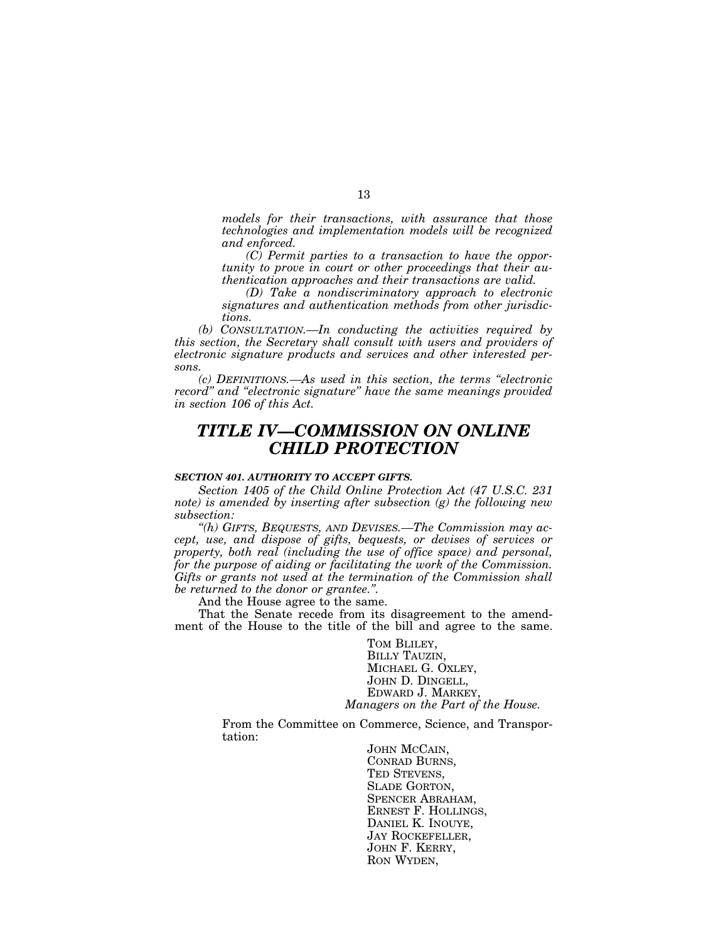*models for their transactions, with assurance that those technologies and implementation models will be recognized and enforced.*

*(C) Permit parties to a transaction to have the opportunity to prove in court or other proceedings that their authentication approaches and their transactions are valid.*

*(D) Take a nondiscriminatory approach to electronic signatures and authentication methods from other jurisdictions.*

*(b) CONSULTATION.—In conducting the activities required by this section, the Secretary shall consult with users and providers of electronic signature products and services and other interested persons.*

*(c) DEFINITIONS.—As used in this section, the terms ''electronic record'' and ''electronic signature'' have the same meanings provided in section 106 of this Act.*

# *TITLE IV—COMMISSION ON ONLINE CHILD PROTECTION*

# *SECTION 401. AUTHORITY TO ACCEPT GIFTS.*

*Section 1405 of the Child Online Protection Act (47 U.S.C. 231 note) is amended by inserting after subsection (g) the following new subsection:*

*''(h) GIFTS, BEQUESTS, AND DEVISES.—The Commission may accept, use, and dispose of gifts, bequests, or devises of services or property, both real (including the use of office space) and personal, for the purpose of aiding or facilitating the work of the Commission. Gifts or grants not used at the termination of the Commission shall be returned to the donor or grantee.''.*

And the House agree to the same.

That the Senate recede from its disagreement to the amendment of the House to the title of the bill and agree to the same.

> TOM BLILEY, BILLY TAUZIN, MICHAEL G. OXLEY, JOHN D. DINGELL, EDWARD J. MARKEY, *Managers on the Part of the House.*

From the Committee on Commerce, Science, and Transportation:

> JOHN MCCAIN, CONRAD BURNS, TED STEVENS, SLADE GORTON, SPENCER ABRAHAM, ERNEST F. HOLLINGS, DANIEL K. INOUYE, JAY ROCKEFELLER, JOHN F. KERRY, RON WYDEN,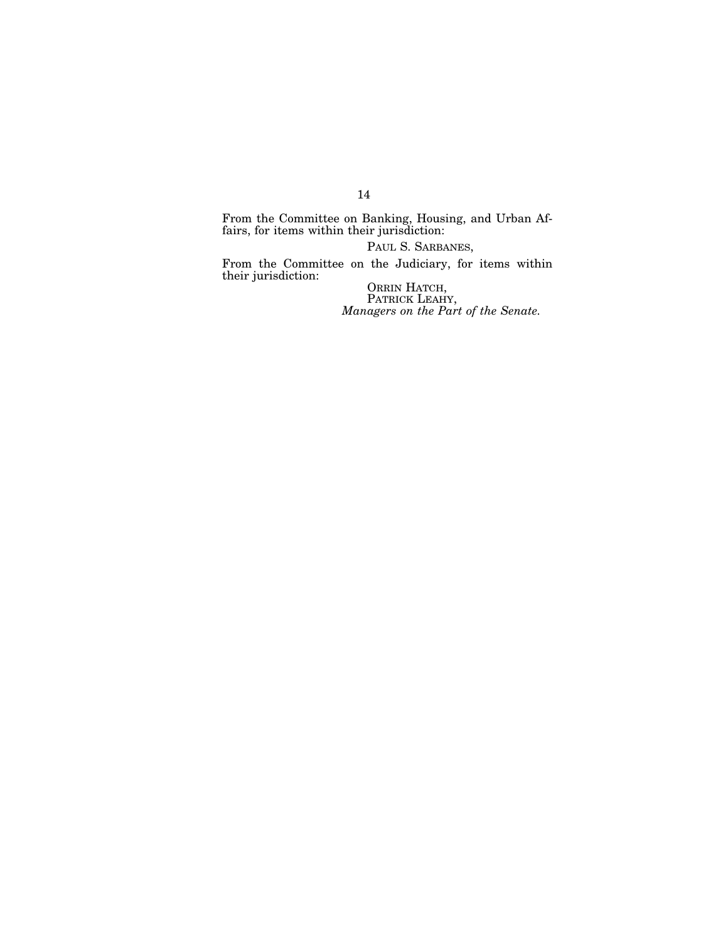From the Committee on Banking, Housing, and Urban Affairs, for items within their jurisdiction:

PAUL S. SARBANES,

From the Committee on the Judiciary, for items within their jurisdiction:

ORRIN HATCH, PATRICK LEAHY, *Managers on the Part of the Senate.*

14